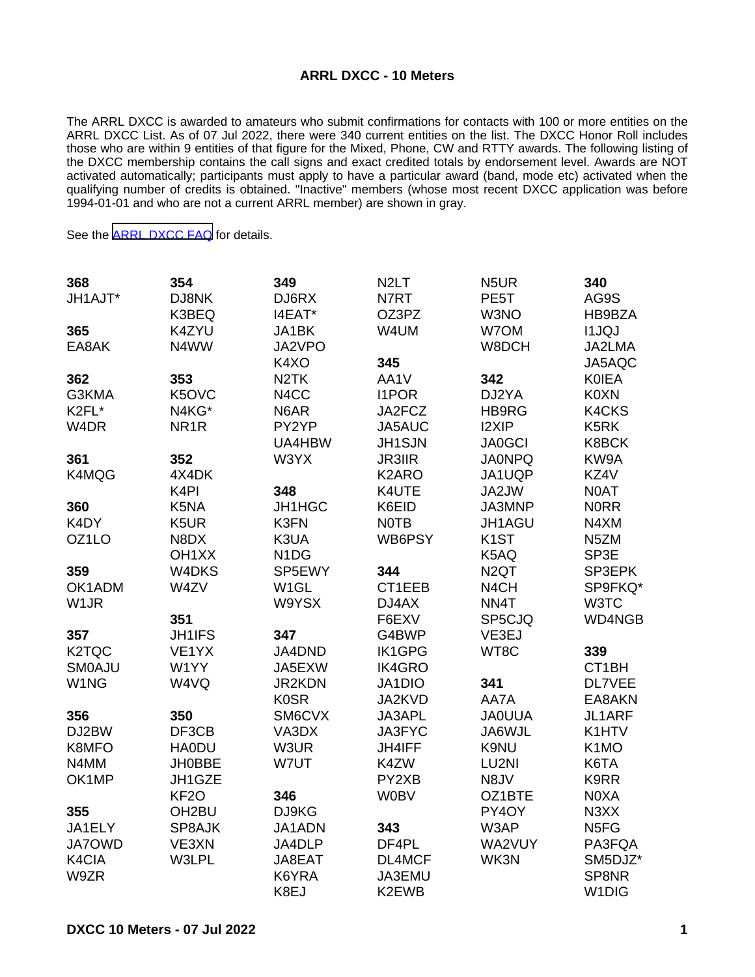## **ARRL DXCC - 10 Meters**

The ARRL DXCC is awarded to amateurs who submit confirmations for contacts with 100 or more entities on the ARRL DXCC List. As of 07 Jul 2022, there were 340 current entities on the list. The DXCC Honor Roll includes those who are within 9 entities of that figure for the Mixed, Phone, CW and RTTY awards. The following listing of the DXCC membership contains the call signs and exact credited totals by endorsement level. Awards are NOT activated automatically; participants must apply to have a particular award (band, mode etc) activated when the qualifying number of credits is obtained. "Inactive" members (whose most recent DXCC application was before 1994-01-01 and who are not a current ARRL member) are shown in gray.

See the [ARRL DXCC FAQ](http://www.arrl.org/dxcc-faq/) for details.

| 368                | 354                | 349                           | N <sub>2</sub> LT | N <sub>5</sub> UR | 340                |
|--------------------|--------------------|-------------------------------|-------------------|-------------------|--------------------|
| JH1AJT*            | DJ8NK              | DJ6RX                         | N7RT              | PE <sub>5</sub> T | AG9S               |
|                    | K3BEQ              | I4EAT*                        | OZ3PZ             | W3NO              | HB9BZA             |
| 365                | K4ZYU              | JA1BK                         | W4UM              | W7OM              | <b>I1JQJ</b>       |
| EA8AK              | N4WW               | JA2VPO                        |                   | W8DCH             | JA2LMA             |
|                    |                    | K4XO                          | 345               |                   | JA5AQC             |
| 362                | 353                | N <sub>2</sub> TK             | AA1V              | 342               | <b>KOIEA</b>       |
| G3KMA              | K5OVC              | N4CC                          | <b>I1POR</b>      | DJ2YA             | <b>K0XN</b>        |
| K2FL*              | N4KG*              | N6AR                          | JA2FCZ            | <b>HB9RG</b>      | K4CKS              |
| W4DR               | NR <sub>1</sub> R  | PY2YP                         | JA5AUC            | I2XIP             | K <sub>5</sub> RK  |
|                    |                    | UA4HBW                        | JH1SJN            | <b>JA0GCI</b>     | K8BCK              |
| 361                | 352                | W3YX                          | <b>JR3IIR</b>     | <b>JA0NPQ</b>     | KW9A               |
| K4MQG              | 4X4DK              |                               | K2ARO             | JA1UQP            | KZ4V               |
|                    | K <sub>4</sub> PI  | 348                           | K4UTE             | JA2JW             | N0AT               |
| 360                | K5NA               | JH1HGC                        | K6EID             | JA3MNP            | <b>NORR</b>        |
| K4DY               | K5UR               | K3FN                          | <b>NOTB</b>       | JH1AGU            | N4XM               |
| OZ1LO              | N8DX               | K3UA                          | WB6PSY            | K <sub>1</sub> ST | N <sub>5</sub> ZM  |
|                    | OH <sub>1</sub> XX | N <sub>1</sub> D <sub>G</sub> |                   | K5AQ              | SP3E               |
| 359                | W4DKS              | SP5EWY                        | 344               | N <sub>2</sub> QT | SP3EPK             |
| OK1ADM             | W4ZV               | W <sub>1</sub> GL             | CT1EEB            | N <sub>4</sub> CH | SP9FKQ*            |
| W <sub>1</sub> JR  |                    | W9YSX                         | DJ4AX             | NN4T              | W3TC               |
|                    | 351                |                               | F6EXV             | SP5CJQ            | <b>WD4NGB</b>      |
| 357                | <b>JH1IFS</b>      | 347                           | G4BWP             | VE3EJ             |                    |
| K <sub>2</sub> TQC | VE1YX              | JA4DND                        | <b>IK1GPG</b>     | WT8C              | 339                |
| <b>SMOAJU</b>      | W1YY               | JA5EXW                        | <b>IK4GRO</b>     |                   | CT1BH              |
| W1NG               | W4VQ               | JR2KDN                        | JA1DIO            | 341               | <b>DL7VEE</b>      |
|                    |                    | <b>K0SR</b>                   | JA2KVD            | AA7A              | EA8AKN             |
| 356                | 350                | SM6CVX                        | JA3APL            | <b>JA0UUA</b>     | JL1ARF             |
| DJ2BW              | DF3CB              | VA3DX                         | JA3FYC            | JA6WJL            | K1HTV              |
| K8MFO              | <b>HA0DU</b>       | W3UR                          | JH4IFF            | K9NU              | K <sub>1</sub> MO  |
| N4MM               | <b>JH0BBE</b>      | W7UT                          | K4ZW              | LU2NI             | K6TA               |
| OK1MP              | JH1GZE             |                               | PY2XB             | N8JV              | K9RR               |
|                    | KF <sub>20</sub>   | 346                           | <b>W0BV</b>       | OZ1BTE            | N0XA               |
| 355                | OH <sub>2</sub> BU | DJ9KG                         |                   | PY4OY             | N3XX               |
| JA1ELY             | SP8AJK             | JA1ADN                        | 343               | W3AP              | N <sub>5FG</sub>   |
| JA7OWD             | VE3XN              | JA4DLP                        | DF4PL             | WA2VUY            | PA3FQA             |
| K4CIA              | W3LPL              | JA8EAT                        | DL4MCF            | WK3N              | SM5DJZ*            |
| W9ZR               |                    | K6YRA                         | JA3EMU            |                   | SP8NR              |
|                    |                    | K8EJ                          | K2EWB             |                   | W <sub>1</sub> DIG |
|                    |                    |                               |                   |                   |                    |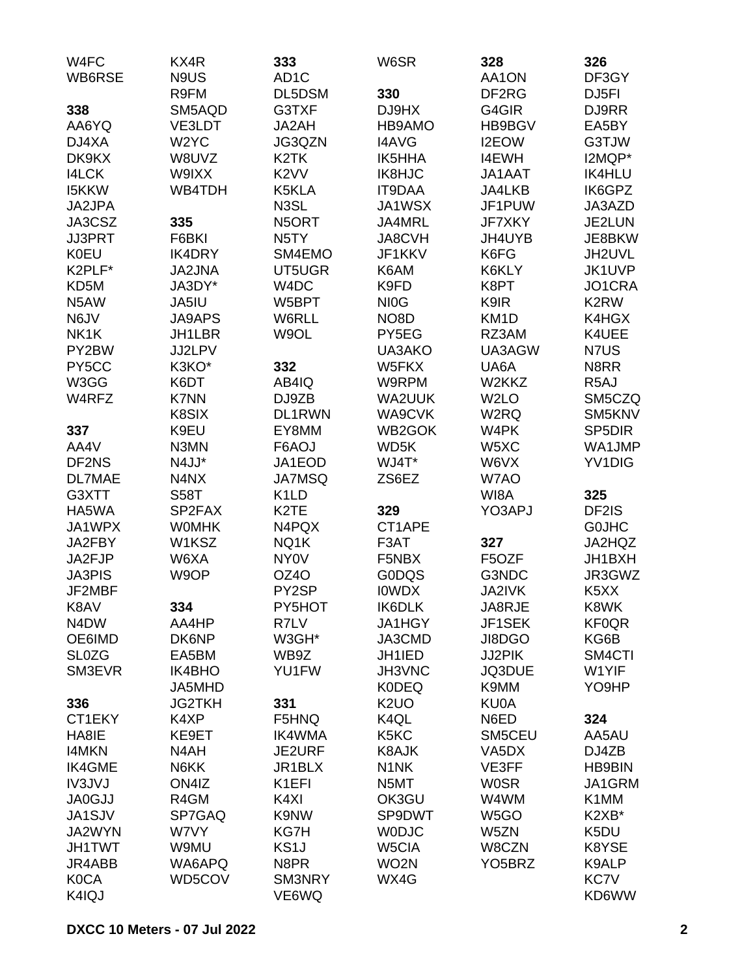| W4FC                          | KX4R              | 333                | W6SR                          | 328                 | 326                           |
|-------------------------------|-------------------|--------------------|-------------------------------|---------------------|-------------------------------|
| WB6RSE                        | N9US              | AD <sub>1</sub> C  |                               | AA1ON               | DF3GY                         |
|                               | R9FM              | DL5DSM             | 330                           | DF2RG               | DJ5FI                         |
| 338                           | SM5AQD            | G3TXF              | DJ9HX                         | G4GIR               | DJ9RR                         |
| AA6YQ                         | VE3LDT            | JA2AH              | HB9AMO                        | HB9BGV              | EA5BY                         |
| DJ4XA                         | W <sub>2</sub> YC | JG3QZN             | <b>I4AVG</b>                  | I2EOW               | G3TJW                         |
| DK9KX                         | W8UVZ             | K <sub>2</sub> TK  | <b>IK5HHA</b>                 | <b>I4EWH</b>        | I2MQP*                        |
| <b>I4LCK</b>                  | W9IXX             | K <sub>2</sub> VV  | IK8HJC                        | JA1AAT              | <b>IK4HLU</b>                 |
| <b>I5KKW</b>                  | <b>WB4TDH</b>     | K5KLA              | <b>IT9DAA</b>                 | <b>JA4LKB</b>       | IK6GPZ                        |
| JA2JPA                        |                   | N <sub>3</sub> SL  | JA1WSX                        | JF1PUW              | JA3AZD                        |
| JA3CSZ                        | 335               | N5ORT              | JA4MRL                        | <b>JF7XKY</b>       | JE2LUN                        |
| <b>JJ3PRT</b>                 | F6BKI             | N <sub>5</sub> TY  | <b>JA8CVH</b>                 | JH4UYB              | JE8BKW                        |
| <b>K0EU</b>                   | <b>IK4DRY</b>     | SM4EMO             | JF1KKV                        | K6FG                | JH2UVL                        |
| K2PLF*                        | <b>JA2JNA</b>     | UT5UGR             | K6AM                          | K6KLY               | JK1UVP                        |
| KD <sub>5</sub> M             | JA3DY*            | W4DC               | K9FD                          | K8PT                | JO1CRA                        |
| N <sub>5</sub> AW             | JA5IU             | W5BPT              | NI <sub>O</sub> G             | K9IR                | K2RW                          |
| N6JV                          | <b>JA9APS</b>     | W6RLL              | NO <sub>8</sub> D             | KM <sub>1</sub> D   | K4HGX                         |
| NK1K                          | JH1LBR            | W9OL               | PY5EG                         | RZ3AM               | K4UEE                         |
| PY2BW                         | JJ2LPV            |                    | UA3AKO                        | UA3AGW              | N7US                          |
| PY5CC                         | K3KO*             | 332                | W5FKX                         | UA6A                | N8RR                          |
| W3GG                          | K6DT              | AB4IQ              | W9RPM                         | W2KKZ               | R <sub>5</sub> AJ             |
| W4RFZ                         | <b>K7NN</b>       | DJ9ZB              | <b>WA2UUK</b>                 | W <sub>2</sub> LO   | SM5CZQ                        |
|                               | K8SIX             | DL1RWN             | WA9CVK                        | W2RQ                | SM5KNV                        |
| 337                           | K9EU              | EY8MM              | WB2GOK                        | W4PK                | SP <sub>5</sub> DIR           |
| AA4V                          | N3MN              | F6AOJ              | WD5K                          | W5XC                | WA1JMP                        |
| DF2NS                         | N4JJ*             | JA1EOD             | WJ4T*                         | W6VX                | YV1DIG                        |
| <b>DL7MAE</b>                 | N4NX              | <b>JA7MSQ</b>      | ZS6EZ                         | W7AO                |                               |
| G3XTT                         | <b>S58T</b>       | K <sub>1</sub> LD  |                               | WI8A                | 325                           |
| HA5WA                         | SP2FAX            | K <sub>2</sub> TE  | 329                           | YO3APJ              | DF2IS                         |
| JA1WPX                        | <b>WOMHK</b>      | N4PQX              | CT1APE                        |                     | <b>GOJHC</b>                  |
| JA2FBY                        | W1KSZ             | NQ1K               | F <sub>3</sub> AT             | 327                 | JA2HQZ                        |
| JA2FJP                        | W6XA              | <b>NY0V</b>        | F5NBX                         | F5OZF               | JH1BXH                        |
| <b>JA3PIS</b>                 | W9OP              | OZ4O               | <b>GODQS</b>                  | G3NDC               | JR3GWZ                        |
| JF2MBF                        |                   | PY2SP              | <b>IOWDX</b>                  | <b>JA2IVK</b>       | K <sub>5</sub> X <sub>X</sub> |
| K8AV                          | 334               | PY5HOT             | <b>IK6DLK</b>                 | JA8RJE              | K8WK                          |
| N <sub>4</sub> D <sub>W</sub> | AA4HP             | R7LV               | JA1HGY                        | JF1SEK              | <b>KF0QR</b>                  |
| OE6IMD                        | DK6NP             | W3GH*              | JA3CMD                        | JI8DGO              | KG6B                          |
| <b>SL0ZG</b>                  | EA5BM             | WB9Z               | JH1IED                        | JJ2PIK              | SM4CTI                        |
| SM3EVR                        | IK4BHO            | YU1FW              | JH3VNC                        | JQ3DUE              | W1YIF                         |
|                               | JA5MHD            |                    | <b>K0DEQ</b>                  | K9MM                | YO9HP                         |
| 336                           | <b>JG2TKH</b>     | 331                | K <sub>2</sub> U <sub>O</sub> | KU0A                |                               |
| CT1EKY                        | K4XP              | F5HNQ              | K4QL                          | N6ED                | 324                           |
| HA8IE                         | KE9ET             | IK4WMA             | K5KC                          | SM5CEU              | AA5AU                         |
| <b>I4MKN</b>                  | N4AH              | JE2URF             | <b>K8AJK</b>                  | VA5DX               | DJ4ZB                         |
| <b>IK4GME</b>                 | N6KK              | JR1BLX             | N <sub>1</sub> NK             | VE3FF               | <b>HB9BIN</b>                 |
| IV3JVJ                        | ON4IZ             | K <sub>1</sub> EFI | N5MT                          | <b>WOSR</b>         | JA1GRM                        |
| <b>JA0GJJ</b>                 | R4GM              | K4XI               | OK3GU                         | W4WM                | K1MM                          |
| JA1SJV                        | SP7GAQ            | K9NW               | SP9DWT                        | W <sub>5</sub> GO   | K2XB*                         |
| JA2WYN                        | W7VY              | <b>KG7H</b>        | <b>WODJC</b>                  | W5ZN                | K5DU                          |
| <b>JH1TWT</b>                 | W9MU              | KS <sub>1</sub> J  | W5CIA                         | W8CZN               | K8YSE                         |
| JR4ABB                        | WA6APQ            | N8PR               | WO <sub>2</sub> N             | YO <sub>5</sub> BRZ | K9ALP                         |
| <b>K0CA</b>                   | WD5COV            | SM3NRY             | WX4G                          |                     | KC7V                          |
| K4IQJ                         |                   | VE6WQ              |                               |                     | KD6WW                         |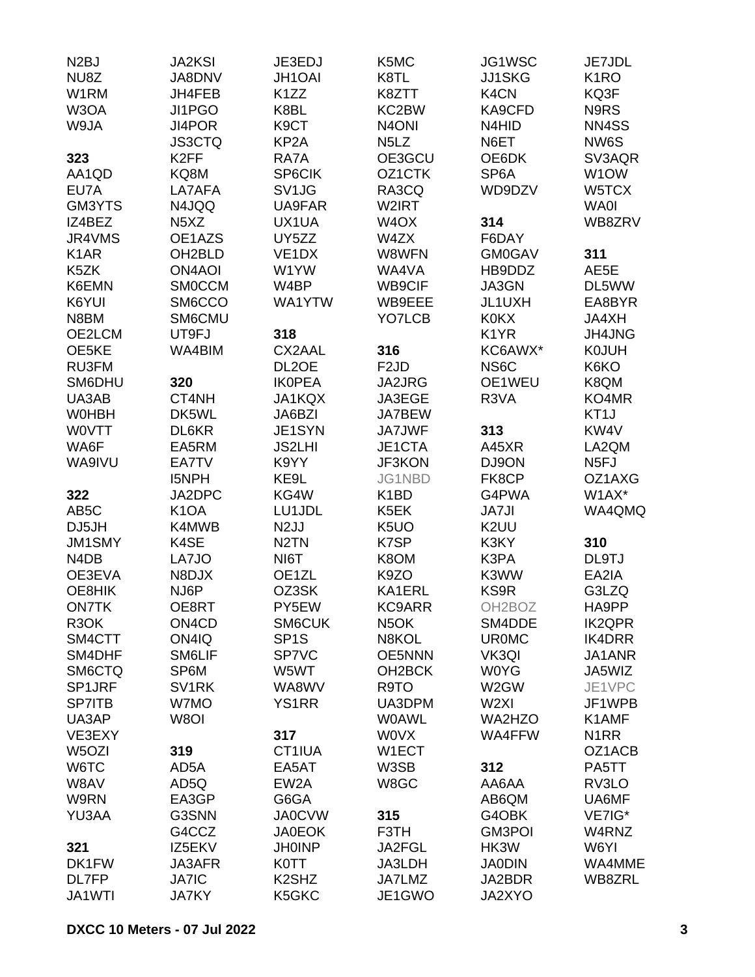| N <sub>2</sub> BJ             | <b>JA2KSI</b>                  | JE3EDJ                         | K5MC                          | JG1WSC              | JE7JDL            |
|-------------------------------|--------------------------------|--------------------------------|-------------------------------|---------------------|-------------------|
| NU8Z                          | JA8DNV                         | <b>JH1OAI</b>                  | K8TL                          | <b>JJ1SKG</b>       | K <sub>1</sub> RO |
| W1RM                          | JH4FEB                         | K <sub>1</sub> ZZ              | K8ZTT                         | K <sub>4</sub> CN   | KQ3F              |
| W3OA                          | JI1PGO                         | K8BL                           | KC2BW                         | KA9CFD              | N9RS              |
| W9JA                          | JI4POR                         | K <sub>9</sub> CT              | N <sub>4</sub> ONI            | N4HID               | NN4SS             |
|                               | <b>JS3CTQ</b>                  | KP <sub>2</sub> A              | N <sub>5</sub> L <sub>Z</sub> | N6ET                | NW6S              |
| 323                           | K <sub>2FF</sub>               | RA7A                           | OE3GCU                        | OE6DK               | SV3AQR            |
| AA1QD                         | KQ8M                           | SP6CIK                         | OZ1CTK                        | SP <sub>6</sub> A   | W <sub>1</sub> OW |
| EU7A                          | LA7AFA                         | SV <sub>1JG</sub>              | RA3CQ                         | WD9DZV              | W5TCX             |
| GM3YTS                        | N4JQQ                          | UA9FAR                         | W2IRT                         |                     | <b>WA0I</b>       |
| IZ4BEZ                        | N <sub>5</sub> X <sub>Z</sub>  | UX1UA                          | W <sub>4</sub> OX             | 314                 | WB8ZRV            |
| JR4VMS                        | OE1AZS                         | UY5ZZ                          | W4ZX                          | F6DAY               |                   |
| K <sub>1</sub> AR             | OH <sub>2</sub> BLD            | VE <sub>1</sub> D <sub>X</sub> | W8WFN                         | <b>GM0GAV</b>       | 311               |
| K5ZK                          | <b>ON4AOI</b>                  | W1YW                           | WA4VA                         | HB9DDZ              | AE5E              |
| K6EMN                         | <b>SMOCCM</b>                  | W4BP                           | WB9CIF                        | JA3GN               | DL5WW             |
| K6YUI                         | SM6CCO                         | WA1YTW                         | WB9EEE                        | JL1UXH              | EA8BYR            |
| N8BM                          | SM6CMU                         |                                | YO7LCB                        | <b>K0KX</b>         | JA4XH             |
| OE2LCM                        | UT9FJ                          | 318                            |                               | K <sub>1</sub> YR   | <b>JH4JNG</b>     |
| OE5KE                         | WA4BIM                         | CX2AAL                         | 316                           | KC6AWX*             | <b>K0JUH</b>      |
| <b>RU3FM</b>                  |                                | DL <sub>2</sub> OE             | F <sub>2</sub> JD             | NS <sub>6</sub> C   | K6KO              |
| SM6DHU                        | 320                            | <b>IKOPEA</b>                  | JA2JRG                        | OE1WEU              | K8QM              |
| UA3AB                         | CT4NH                          | JA1KQX                         | JA3EGE                        | R3VA                | KO4MR             |
| <b>WOHBH</b>                  | DK5WL                          | JA6BZI                         | JA7BEW                        |                     | KT <sub>1</sub> J |
| <b>WOVTT</b>                  | DL6KR                          | JE1SYN                         | <b>JA7JWF</b>                 | 313                 | KW4V              |
| WA6F                          | EA5RM                          | <b>JS2LHI</b>                  | JE1CTA                        | A45XR               | LA2QM             |
| WA9IVU                        | EA7TV                          | K9YY                           | <b>JF3KON</b>                 | DJ9ON               | N <sub>5FJ</sub>  |
|                               | <b>I5NPH</b>                   | KE9L                           | JG1NBD                        | FK8CP               | OZ1AXG            |
| 322                           | JA2DPC                         | KG4W                           | K <sub>1</sub> BD             | G4PWA               | W1AX*             |
| AB <sub>5</sub> C             | K <sub>1</sub> OA              | LU1JDL                         | K <sub>5</sub> EK             | <b>JA7JI</b>        | WA4QMQ            |
| DJ5JH                         | K4MWB                          | N <sub>2</sub> JJ              | K <sub>5</sub> UO             | K2UU                |                   |
| JM1SMY                        | K4SE                           | N <sub>2</sub> TN              | K7SP                          | K3KY                | 310               |
| N <sub>4</sub> D <sub>B</sub> | LA7JO                          | NI6T                           | K8OM                          | K3PA                | DL9TJ             |
| OE3EVA                        | N8DJX                          | OE1ZL                          | K9ZO                          | K3WW                | EA2IA             |
| OE8HIK                        | NJ6P                           | OZ3SK                          | KA1ERL                        | <b>KS9R</b>         | G3LZQ             |
| <b>ON7TK</b>                  | OE8RT                          | PY5EW                          | <b>KC9ARR</b>                 | OH <sub>2</sub> BOZ | HA9PP             |
| R <sub>3</sub> OK             | ON <sub>4</sub> C <sub>D</sub> | SM6CUK                         | N <sub>5</sub> OK             | SM4DDE              | <b>IK2QPR</b>     |
| SM4CTT                        | ON4IQ                          | SP <sub>1</sub> S              | N8KOL                         | <b>UROMC</b>        | IK4DRR            |
| SM4DHF                        | SM6LIF                         | SP7VC                          | <b>OE5NNN</b>                 | VK3QI               | JA1ANR            |
| SM6CTQ                        | SP6M                           | W5WT                           | OH <sub>2</sub> BCK           | <b>W0YG</b>         | JA5WIZ            |
| SP1JRF                        | SV <sub>1</sub> RK             | WA8WV                          | R9TO                          | W2GW                | JE1VPC            |
| <b>SP7ITB</b>                 | W7MO                           | <b>YS1RR</b>                   | UA3DPM                        | W <sub>2XI</sub>    | JF1WPB            |
| UA3AP                         | W8OI                           |                                | <b>WOAWL</b>                  | WA2HZO              | K1AMF             |
| VE3EXY                        |                                | 317                            | <b>WOVX</b>                   | <b>WA4FFW</b>       | N <sub>1</sub> RR |
| W5OZI                         | 319                            | CT1IUA                         | W1ECT                         |                     | OZ1ACB            |
| W6TC                          | AD5A                           | EA5AT                          | W3SB                          | 312                 | PA5TT             |
| W8AV                          | AD5Q                           | EW <sub>2</sub> A              | W8GC                          | AA6AA               | RV3LO             |
| W9RN                          | EA3GP                          | G6GA                           |                               | AB6QM               | UA6MF             |
| YU3AA                         | G3SNN                          | <b>JA0CVW</b>                  | 315                           | G4OBK               | VE7IG*            |
|                               | G4CCZ                          | <b>JA0EOK</b>                  | F3TH                          | <b>GM3POI</b>       | W4RNZ             |
| 321                           | IZ5EKV                         | <b>JH0INP</b>                  | JA2FGL                        | HK3W                | W6YI              |
| DK1FW                         | JA3AFR                         | <b>K0TT</b>                    | JA3LDH                        | <b>JA0DIN</b>       | WA4MME            |
| DL7FP                         | <b>JA7IC</b>                   | K <sub>2</sub> SH <sub>Z</sub> | <b>JA7LMZ</b>                 | JA2BDR              | WB8ZRL            |
| JA1WTI                        | <b>JA7KY</b>                   | K5GKC                          | JE1GWO                        | JA2XYO              |                   |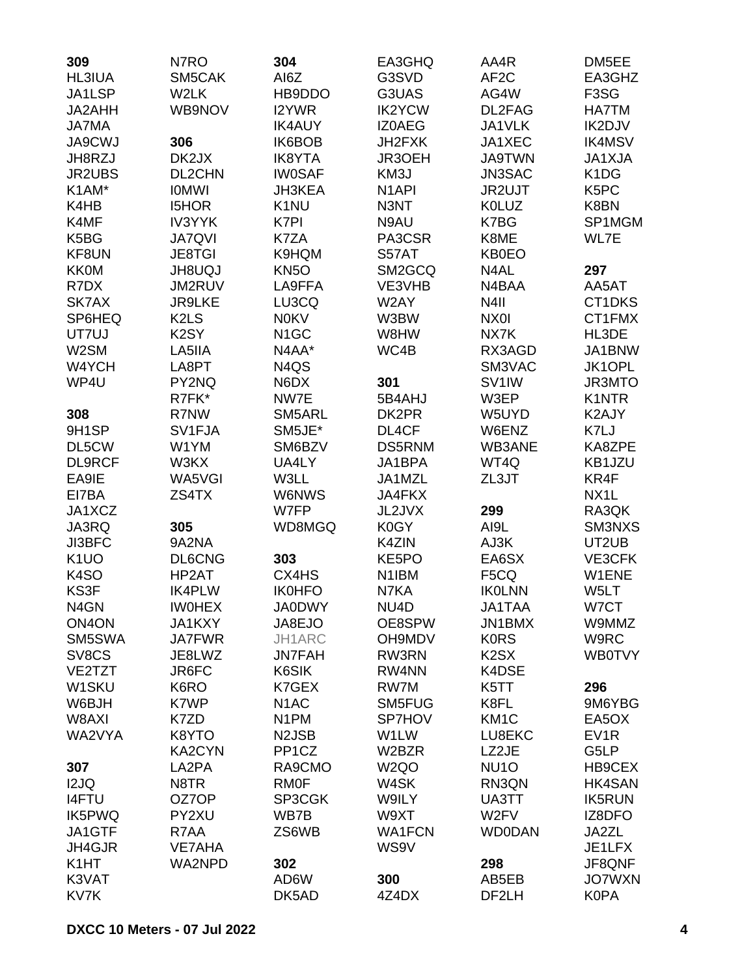| 309                                    | N7RO                          | 304                | EA3GHQ             | AA4R                          | DM5EE                         |
|----------------------------------------|-------------------------------|--------------------|--------------------|-------------------------------|-------------------------------|
| HL3IUA                                 | SM5CAK                        | AI6Z               | G3SVD              | AF <sub>2</sub> C             | EA3GHZ                        |
| JA1LSP                                 | W2LK                          | HB9DDO             | G3UAS              | AG4W                          | F <sub>3</sub> SG             |
| JA2AHH                                 | WB9NOV                        | I2YWR              | <b>IK2YCW</b>      | DL2FAG                        | <b>HA7TM</b>                  |
| <b>JA7MA</b>                           |                               | <b>IK4AUY</b>      | <b>IZ0AEG</b>      | JA1VLK                        | IK2DJV                        |
| <b>JA9CWJ</b>                          | 306                           | IK6BOB             | JH2FXK             | JA1XEC                        | <b>IK4MSV</b>                 |
| JH8RZJ                                 | DK2JX                         | <b>IK8YTA</b>      | JR3OEH             | <b>JA9TWN</b>                 | JA1XJA                        |
| JR2UBS                                 | DL2CHN                        | <b>IW0SAF</b>      | KM3J               | JN3SAC                        | K <sub>1</sub> D <sub>G</sub> |
| K1AM*                                  | <b>IOMWI</b>                  | JH3KEA             | N <sub>1</sub> API | JR2UJT                        | K <sub>5</sub> PC             |
| K4HB                                   | <b>I5HOR</b>                  | K <sub>1</sub> NU  | N3NT               | <b>K0LUZ</b>                  | K8BN                          |
| K4MF                                   | <b>IV3YYK</b>                 | K7PI               | N9AU               | K7BG                          | SP1MGM                        |
| K5BG                                   | <b>JA7QVI</b>                 | K7ZA               | PA3CSR             | K8ME                          | WL7E                          |
| KF8UN                                  | <b>JE8TGI</b>                 | K9HQM              | S57AT              | <b>KB0EO</b>                  |                               |
| <b>KK0M</b>                            | <b>UQUBHL</b>                 | <b>KN5O</b>        | SM2GCQ             | N4AL                          | 297                           |
| R7DX                                   | JM2RUV                        | LA9FFA             | VE3VHB             | N4BAA                         | AA5AT                         |
| SK7AX                                  | <b>JR9LKE</b>                 | LU3CQ              | W2AY               | N4II                          | CT1DKS                        |
| SP6HEQ                                 | K <sub>2</sub> L <sub>S</sub> | <b>N0KV</b>        | W3BW               | NX0I                          | CT1FMX                        |
| UT7UJ                                  | K <sub>2</sub> SY             | N <sub>1</sub> GC  | W8HW               | NX7K                          | HL3DE                         |
| W2SM                                   | LA5IIA                        | N4AA*              | WC4B               | RX3AGD                        | JA1BNW                        |
| W4YCH                                  | LA8PT                         | N4QS               |                    | SM3VAC                        | JK1OPL                        |
| WP4U                                   | PY2NQ                         | N6DX               | 301                | SV <sub>1</sub> IW            | JR3MTO                        |
|                                        | R7FK*                         | NW7E               | 5B4AHJ             | W3EP                          | K1NTR                         |
| 308                                    | R7NW                          | SM5ARL             | DK2PR              | W5UYD                         | K2AJY                         |
| 9H1SP                                  | SV1FJA                        | SM5JE*             | DL4CF              | W6ENZ                         | K7LJ                          |
| DL5CW                                  | W1YM                          | SM6BZV             | <b>DS5RNM</b>      | WB3ANE                        | KA8ZPE                        |
| <b>DL9RCF</b>                          | W3KX                          | UA4LY              | JA1BPA             | WT4Q                          | KB1JZU                        |
| EA9IE                                  | WA5VGI                        | W3LL               | JA1MZL             | ZL3JT                         | KR4F                          |
| EI7BA                                  |                               | <b>W6NWS</b>       | <b>JA4FKX</b>      |                               | NX <sub>1</sub> L             |
| JA1XCZ                                 | ZS4TX                         | W7FP               |                    |                               |                               |
|                                        |                               |                    | JL2JVX<br>K0GY     | 299                           | RA3QK                         |
| JA3RQ                                  | 305                           | WD8MGQ             |                    | AI9L                          | SM3NXS                        |
| <b>JI3BFC</b>                          | 9A2NA                         |                    | K4ZIN              | AJ3K                          | UT2UB                         |
| K <sub>1</sub> UO<br>K <sub>4</sub> SO | <b>DL6CNG</b>                 | 303                | KE5PO              | EA6SX                         | VE3CFK<br>W1ENE               |
|                                        | HP2AT                         | CX4HS              | N1IBM              | F5CQ                          |                               |
| KS3F                                   | <b>IK4PLW</b>                 | <b>IK0HFO</b>      | N7KA               | <b>IKOLNN</b>                 | W5LT                          |
| N <sub>4</sub> GN                      | <b>IWOHEX</b>                 | <b>JA0DWY</b>      | NU4D               | <b>JA1TAA</b>                 | W7CT                          |
| ON <sub>4</sub> ON                     | JA1KXY                        | JA8EJO             | OE8SPW             | JN1BMX                        | W9MMZ                         |
| SM5SWA                                 | <b>JA7FWR</b>                 | JH1ARC             | OH9MDV             | <b>KORS</b>                   | W9RC                          |
| SV8CS                                  | JE8LWZ                        | <b>JN7FAH</b>      | RW3RN              | K <sub>2</sub> S <sub>X</sub> | <b>WB0TVY</b>                 |
| VE2TZT                                 | JR6FC                         | K6SIK              | RW4NN              | K4DSE                         |                               |
| W1SKU                                  | K6RO                          | K7GEX              | RW7M               | K5TT                          | 296                           |
| W6BJH                                  | K7WP                          | N <sub>1</sub> AC  | SM5FUG             | K8FL                          | 9M6YBG                        |
| W8AXI                                  | K7ZD                          | N <sub>1</sub> PM  | SP7HOV             | KM <sub>1</sub> C             | EA5OX                         |
| WA2VYA                                 | K8YTO                         | N <sub>2</sub> JSB | W1LW               | LU8EKC                        | EV <sub>1</sub> R             |
|                                        | KA2CYN                        | PP <sub>1</sub> CZ | W2BZR              | LZ2JE                         | G5LP                          |
| 307                                    | LA2PA                         | RA9CMO             | W <sub>2</sub> QO  | NU <sub>10</sub>              | HB9CEX                        |
| I2JQ                                   | N8TR                          | <b>RMOF</b>        | W4SK               | RN3QN                         | HK4SAN                        |
| <b>I4FTU</b>                           | OZ7OP                         | SP3CGK             | W9ILY              | UA3TT                         | <b>IK5RUN</b>                 |
| <b>IK5PWQ</b>                          | PY2XU                         | WB7B               | W9XT               | W <sub>2</sub> FV             | IZ8DFO                        |
| JA1GTF                                 | R7AA                          | ZS6WB              | <b>WA1FCN</b>      | <b>WD0DAN</b>                 | JA2ZL                         |
| JH4GJR                                 | <b>VE7AHA</b>                 |                    | WS9V               |                               | JE1LFX                        |
| K <sub>1</sub> HT                      | WA2NPD                        | 302                |                    | 298                           | JF8QNF                        |
| K3VAT                                  |                               | AD6W               | 300                | AB5EB                         | <b>JO7WXN</b>                 |
| KV7K                                   |                               | DK5AD              | 4Z4DX              | DF2LH                         | <b>K0PA</b>                   |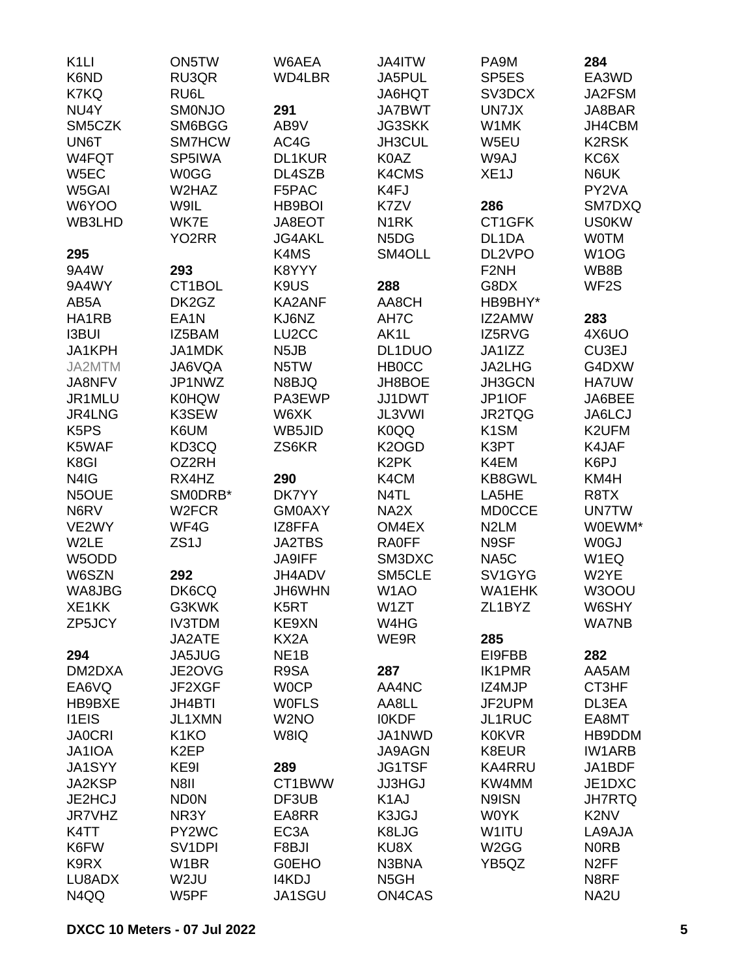| K <sub>1</sub> LI             | ON5TW               | W6AEA             | JA4ITW                        | PA9M               | 284                           |
|-------------------------------|---------------------|-------------------|-------------------------------|--------------------|-------------------------------|
| K6ND                          | RU3QR               | WD4LBR            | JA5PUL                        | SP <sub>5E</sub> S | EA3WD                         |
| K7KQ                          | RU6L                |                   | <b>JA6HQT</b>                 | SV3DCX             | JA2FSM                        |
| NU4Y                          | SMONJO              | 291               | <b>JA7BWT</b>                 | UN7JX              | JA8BAR                        |
| SM5CZK                        | SM6BGG              | AB9V              | <b>JG3SKK</b>                 | W1MK               | JH4CBM                        |
| UN6T                          | SM7HCW              | AC4G              | JH3CUL                        | W5EU               | <b>K2RSK</b>                  |
| W4FQT                         | SP5IWA              | DL1KUR            | K0AZ                          | W9AJ               | KC6X                          |
| W5EC                          | <b>W0GG</b>         | DL4SZB            | K4CMS                         | XE <sub>1</sub> J  | N6UK                          |
| W5GAI                         | W2HAZ               | F5PAC             | K4FJ                          |                    | PY2VA                         |
| W6YOO                         | W9IL                | HB9BOI            | K7ZV                          | 286                | SM7DXQ                        |
| WB3LHD                        | WK7E                | JA8EOT            | N <sub>1</sub> RK             | CT1GFK             | <b>US0KW</b>                  |
|                               | YO <sub>2</sub> RR  | <b>JG4AKL</b>     | N <sub>5</sub> D <sub>G</sub> | DL1DA              | <b>WOTM</b>                   |
| 295                           |                     | K4MS              | SM4OLL                        | DL2VPO             | W <sub>1</sub> OG             |
| 9A4W                          | 293                 | K8YYY             |                               | F <sub>2</sub> NH  | WB8B                          |
| 9A4WY                         | CT1BOL              | K9US              | 288                           | G8DX               | WF <sub>2</sub> S             |
| AB5A                          | DK2GZ               | <b>KA2ANF</b>     | AA8CH                         | HB9BHY*            |                               |
| HA1RB                         | EA <sub>1</sub> N   | KJ6NZ             | AH7C                          | IZ2AMW             | 283                           |
| <b>I3BUI</b>                  | IZ5BAM              | LU2CC             | AK1L                          | IZ5RVG             | 4X6UO                         |
| JA1KPH                        | JA1MDK              | N <sub>5</sub> JB | DL1DUO                        | JA1IZZ             | CU3EJ                         |
| JA2MTM                        | JA6VQA              | N5TW              | <b>HBOCC</b>                  | JA2LHG             | G4DXW                         |
| JA8NFV                        | JP1NWZ              | N8BJQ             | JH8BOE                        | JH3GCN             | <b>HA7UW</b>                  |
| JR1MLU                        | <b>K0HQW</b>        | PA3EWP            | JJ1DWT                        | JP1IOF             | JA6BEE                        |
| JR4LNG                        | K3SEW               | W6XK              | JL3VWI                        | JR2TQG             | JA6LCJ                        |
| K <sub>5</sub> P <sub>S</sub> | K6UM                | WB5JID            | K <sub>0</sub> QQ             | K <sub>1</sub> SM  | K2UFM                         |
| K5WAF                         | KD3CQ               | ZS6KR             | K <sub>2</sub> OGD            | K3PT               | K4JAF                         |
| K8GI                          | OZ2RH               |                   | K <sub>2</sub> PK             | K4EM               | K6PJ                          |
| N4IG                          | RX4HZ               | 290               | K4CM                          | KB8GWL             | KM4H                          |
| N5OUE                         | SMODRB*             | DK7YY             | N4TL                          | LA5HE              | R8TX                          |
| N6RV                          | W <sub>2</sub> FCR  | <b>GM0AXY</b>     | NA <sub>2</sub> X             | <b>MD0CCE</b>      | <b>UN7TW</b>                  |
| VE2WY                         | WF4G                | IZ8FFA            | OM4EX                         | N <sub>2</sub> LM  | W0EWM*                        |
| W2LE                          | ZS <sub>1</sub> J   | <b>JA2TBS</b>     | <b>RA0FF</b>                  | N9SF               | <b>W0GJ</b>                   |
| W5ODD                         |                     | <b>JA9IFF</b>     | SM3DXC                        | NA <sub>5</sub> C  | W1EQ                          |
| W6SZN                         | 292                 | JH4ADV            | SM5CLE                        | SV1GYG             | W2YE                          |
| WA8JBG                        | DK6CQ               | JH6WHN            | W <sub>1</sub> AO             | <b>WA1EHK</b>      | W3OOU                         |
| XE1KK                         | G3KWK               | K <sub>5</sub> RT | W1ZT                          | ZL1BYZ             | W6SHY                         |
| ZP5JCY                        | <b>IV3TDM</b>       | KE9XN             | W4HG                          |                    | <b>WA7NB</b>                  |
|                               | JA2ATE              | KX2A              | WE9R                          | 285                |                               |
| 294                           | JA5JUG              | NE <sub>1</sub> B |                               | EI9FBB             | 282                           |
| DM2DXA                        | JE2OVG              | R9SA              | 287                           | <b>IK1PMR</b>      | AA5AM                         |
| EA6VQ                         | JF2XGF              | <b>WOCP</b>       | AA4NC                         | IZ4MJP             | CT3HF                         |
| HB9BXE                        | <b>JH4BTI</b>       | <b>WOFLS</b>      | AA8LL                         | JF2UPM             | DL3EA                         |
| <b>I1EIS</b>                  | JL1XMN              | W <sub>2</sub> NO | <b>IOKDF</b>                  | JL1RUC             | EA8MT                         |
| <b>JA0CRI</b>                 | K <sub>1</sub> KO   | W8IQ              | JA1NWD                        | <b>K0KVR</b>       | HB9DDM                        |
| JA1IOA                        | K <sub>2</sub> EP   |                   | <b>JA9AGN</b>                 | K8EUR              | <b>IW1ARB</b>                 |
| JA1SYY                        | KE9I                | 289               | <b>JG1TSF</b>                 | <b>KA4RRU</b>      | JA1BDF                        |
| JA2KSP                        | N8II                | CT1BWW            | <b>JJ3HGJ</b>                 | KW4MM              | JE1DXC                        |
| JE2HCJ                        | <b>ND0N</b>         | DF3UB             | K <sub>1</sub> AJ             | N9ISN              | <b>JH7RTQ</b>                 |
| JR7VHZ                        | NR3Y                | EA8RR             | K3JGJ                         | <b>WOYK</b>        | K <sub>2</sub> N <sub>V</sub> |
| K4TT                          | PY2WC               | EC <sub>3</sub> A | K8LJG                         | W1ITU              | LA9AJA                        |
| K6FW                          | SV <sub>1</sub> DPI | F8BJI             | KU8X                          | W <sub>2</sub> GG  | <b>NORB</b>                   |
| K9RX                          | W <sub>1</sub> BR   | <b>GOEHO</b>      | N3BNA                         | YB5QZ              | N <sub>2</sub> FF             |
| LU8ADX                        | W <sub>2</sub> JU   | <b>I4KDJ</b>      | N <sub>5</sub> GH             |                    | N8RF                          |
| N4QQ                          | W5PF                | JA1SGU            | ON4CAS                        |                    | NA2U                          |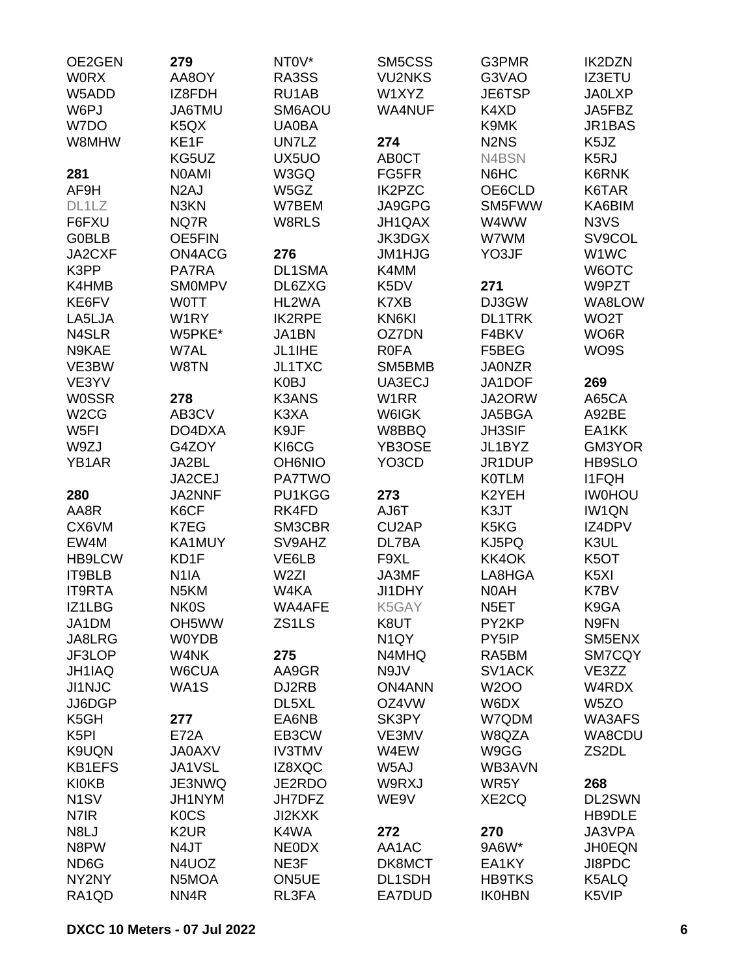| OE2GEN            | 279               | NT <sub>0</sub> V* | SM5CSS            | G3PMR                         | <b>IK2DZN</b>     |
|-------------------|-------------------|--------------------|-------------------|-------------------------------|-------------------|
| <b>WORX</b>       | AA8OY             | RA3SS              | <b>VU2NKS</b>     | G3VAO                         | <b>IZ3ETU</b>     |
| W5ADD             | IZ8FDH            | RU1AB              | W1XYZ             | JE6TSP                        | <b>JA0LXP</b>     |
| W6PJ              | JA6TMU            | SM6AOU             | WA4NUF            | K4XD                          | JA5FBZ            |
| W7DO              | K <sub>5</sub> QX | <b>UA0BA</b>       |                   | K9MK                          | JR1BAS            |
| W8MHW             | KE1F              | UN7LZ              | 274               | N <sub>2</sub> N <sub>S</sub> | K <sub>5</sub> JZ |
|                   | KG5UZ             | UX5UO              | <b>ABOCT</b>      | N4BSN                         | K <sub>5</sub> RJ |
| 281               | <b>NOAMI</b>      | W3GQ               | FG5FR             | N6HC                          | K6RNK             |
| AF9H              | N <sub>2</sub> AJ | W5GZ               | <b>IK2PZC</b>     | OE6CLD                        | K6TAR             |
| DL1LZ             | N3KN              | W7BEM              | JA9GPG            | SM5FWW                        | KA6BIM            |
| F6FXU             | NQ7R              | W8RLS              | JH1QAX            | W4WW                          | N3VS              |
| <b>G0BLB</b>      | OE5FIN            |                    | <b>JK3DGX</b>     | W7WM                          | SV9COL            |
| JA2CXF            | ON4ACG            | 276                | JM1HJG            | YO3JF                         | W1WC              |
| K3PP              | PA7RA             | DL1SMA             | K4MM              |                               | W6OTC             |
| K4HMB             | <b>SMOMPV</b>     | DL6ZXG             | K5DV              | 271                           | W9PZT             |
| KE6FV             | <b>WOTT</b>       | HL2WA              | K7XB              | DJ3GW                         | WA8LOW            |
| LA5LJA            | W <sub>1</sub> RY | <b>IK2RPE</b>      | KN6KI             | <b>DL1TRK</b>                 | WO <sub>2</sub> T |
| N4SLR             | W5PKE*            | <b>JA1BN</b>       | OZ7DN             | F4BKV                         | WO6R              |
| N9KAE             | W7AL              | JL1IHE             | <b>R0FA</b>       | F5BEG                         | WO9S              |
| VE3BW             | W8TN              | <b>JL1TXC</b>      | SM5BMB            | <b>JA0NZR</b>                 |                   |
| VE3YV             |                   | K0BJ               | UA3ECJ            | JA1DOF                        | 269               |
| <b>W0SSR</b>      | 278               | <b>K3ANS</b>       | W <sub>1</sub> RR | JA2ORW                        | A65CA             |
| W <sub>2</sub> CG | AB3CV             | K3XA               | W6IGK             | JA5BGA                        | A92BE             |
| W <sub>5FI</sub>  | DO4DXA            | K9JF               | W8BBQ             | JH3SIF                        | EA1KK             |
| W9ZJ              | G4ZOY             | KI6CG              | YB3OSE            | JL1BYZ                        | GM3YOR            |
| YB1AR             | JA2BL             | <b>OH6NIO</b>      | YO3CD             | JR1DUP                        | <b>HB9SLO</b>     |
|                   | JA2CEJ            | <b>PA7TWO</b>      |                   | <b>K0TLM</b>                  | <b>I1FQH</b>      |
| 280               | JA2NNF            | PU1KGG             | 273               | K2YEH                         | <b>IWOHOU</b>     |
| AA8R              |                   | RK4FD              | AJ6T              | K3JT                          | <b>IW1QN</b>      |
|                   | K6CF              |                    |                   | K5KG                          | IZ4DPV            |
| CX6VM<br>EW4M     | K7EG<br>KA1MUY    | SM3CBR             | CU2AP<br>DL7BA    |                               |                   |
|                   |                   | SV9AHZ             |                   | KJ5PQ                         | K3UL              |
| HB9LCW            | KD1F              | VE6LB              | F9XL              | KK4OK                         | K <sub>5</sub> OT |
| IT9BLB            | N <sub>1</sub> IA | W <sub>2ZI</sub>   | JA3MF             | LA8HGA                        | K <sub>5</sub> XI |
| <b>IT9RTA</b>     | N <sub>5</sub> KM | W4KA               | JI1DHY            | N0AH                          | K7BV              |
| IZ1LBG            | <b>NK0S</b>       | WA4AFE             | K5GAY             | N <sub>5</sub> ET             | K9GA              |
| JA1DM             | OH5WW             | ZS1LS              | K8UT              | PY2KP                         | N9FN              |
| JA8LRG            | <b>W0YDB</b>      |                    | N <sub>1</sub> QY | PY5IP                         | SM5ENX            |
| JF3LOP            | W4NK              | 275                | N4MHQ             | RA5BM                         | SM7CQY            |
| JH1IAQ            | W6CUA             | AA9GR              | N9JV              | SV1ACK                        | VE3ZZ             |
| JI1NJC            | WA1S              | DJ2RB              | <b>ON4ANN</b>     | <b>W2OO</b>                   | W4RDX             |
| JJ6DGP            |                   | DL5XL              | OZ4VW             | W6DX                          | W <sub>5</sub> ZO |
| K5GH              | 277               | EA6NB              | SK3PY             | W7QDM                         | <b>WA3AFS</b>     |
| K <sub>5</sub> PI | <b>E72A</b>       | EB3CW              | VE3MV             | W8QZA                         | WA8CDU            |
| K9UQN             | <b>JA0AXV</b>     | <b>IV3TMV</b>      | W4EW              | W9GG                          | ZS2DL             |
| <b>KB1EFS</b>     | JA1VSL            | IZ8XQC             | W5AJ              | WB3AVN                        |                   |
| <b>KI0KB</b>      | JE3NWQ            | JE2RDO             | W9RXJ             | WR5Y                          | 268               |
| N <sub>1</sub> SV | JH1NYM            | JH7DFZ             | WE9V              | XE2CQ                         | DL2SWN            |
| N7IR              | <b>KOCS</b>       | <b>JI2KXK</b>      |                   |                               | HB9DLE            |
| N8LJ              | K <sub>2</sub> UR | K4WA               | 272               | 270                           | JA3VPA            |
| N8PW              | N4JT              | <b>NEODX</b>       | AA1AC             | 9A6W*                         | <b>JH0EQN</b>     |
| ND <sub>6</sub> G | N4UOZ             | NE3F               | DK8MCT            | EA1KY                         | JI8PDC            |
| NY2NY             | N5MOA             | ON5UE              | DL1SDH            | <b>HB9TKS</b>                 | K5ALQ             |
| RA1QD             | NN <sub>4</sub> R | RL3FA              | EA7DUD            | <b>IK0HBN</b>                 | K5VIP             |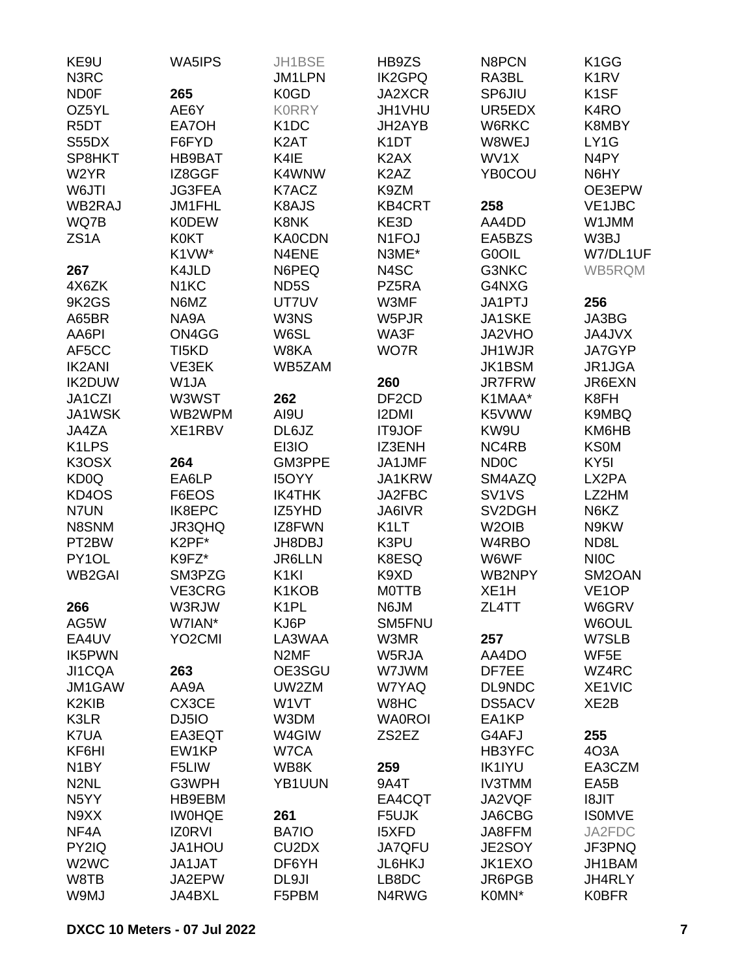| KE9U                           | <b>WA5IPS</b>       | JH1BSE                         | HB9ZS                         | N8PCN              | K <sub>1</sub> GG             |
|--------------------------------|---------------------|--------------------------------|-------------------------------|--------------------|-------------------------------|
| N3RC                           |                     | JM1LPN                         | <b>IK2GPQ</b>                 | RA3BL              | K <sub>1</sub> R <sub>V</sub> |
| <b>ND0F</b>                    | 265                 | K <sub>0</sub> GD              | JA2XCR                        | SP6JIU             | K <sub>1</sub> SF             |
| OZ5YL                          | AE6Y                | <b>KORRY</b>                   | JH1VHU                        | UR5EDX             | K4RO                          |
| R <sub>5</sub> DT              | EA7OH               | K <sub>1</sub> DC              | JH2AYB                        | W6RKC              | K8MBY                         |
| S55DX                          | F6FYD               | K <sub>2</sub> AT              | K <sub>1</sub> DT             | W8WEJ              | LY1G                          |
| SP8HKT                         | <b>HB9BAT</b>       | K4IE                           | K <sub>2</sub> AX             | WV1X               | N4PY                          |
| W2YR                           | IZ8GGF              | K4WNW                          | K <sub>2</sub> A <sub>Z</sub> | <b>YB0COU</b>      | N6HY                          |
| W6JTI                          | <b>JG3FEA</b>       | K7ACZ                          | K9ZM                          |                    | OE3EPW                        |
| WB2RAJ                         | JM1FHL              | K8AJS                          | <b>KB4CRT</b>                 | 258                | VE1JBC                        |
| WQ7B                           | <b>K0DEW</b>        | <b>K8NK</b>                    | KE3D                          | AA4DD              | W1JMM                         |
| ZS <sub>1</sub> A              | <b>K0KT</b>         | <b>KA0CDN</b>                  | N <sub>1</sub> FOJ            | EA5BZS             | W3BJ                          |
|                                | K1VW*               | N4ENE                          | N3ME*                         | G0OIL              | W7/DL1UF                      |
| 267                            | K4JLD               | N6PEQ                          | N4SC                          | G3NKC              | WB5RQM                        |
| 4X6ZK                          | N <sub>1</sub> KC   | ND <sub>5</sub> S              | PZ5RA                         | G4NXG              |                               |
| 9K2GS                          | N6MZ                | UT7UV                          | W3MF                          | JA1PTJ             | 256                           |
|                                | NA9A                | W3NS                           | W5PJR                         | JA1SKE             | JA3BG                         |
| A65BR                          |                     |                                |                               |                    |                               |
| AA6PI                          | ON4GG               | W6SL                           | WA3F                          | JA2VHO             | JA4JVX                        |
| AF5CC                          | TI <sub>5</sub> KD  | W8KA                           | WO7R                          | JH1WJR             | JA7GYP                        |
| <b>IK2ANI</b>                  | VE3EK               | WB5ZAM                         |                               | JK1BSM             | JR1JGA                        |
| <b>IK2DUW</b>                  | W1JA                |                                | 260                           | <b>JR7FRW</b>      | JR6EXN                        |
| JA1CZI                         | W3WST               | 262                            | DF <sub>2</sub> CD            | K1MAA*             | K8FH                          |
| JA1WSK                         | WB2WPM              | AI9U                           | <b>I2DMI</b>                  | K5VWW              | K9MBQ                         |
| JA4ZA                          | XE1RBV              | DL6JZ                          | <b>IT9JOF</b>                 | KW9U               | KM6HB                         |
| K <sub>1</sub> LPS             |                     | EI3IO                          | IZ3ENH                        | NC4RB              | <b>KS0M</b>                   |
| K3OSX                          | 264                 | GM3PPE                         | JA1JMF                        | ND <sub>0</sub> C  | KY <sub>5</sub> I             |
| KD <sub>0</sub> Q              | EA6LP               | <b>I5OYY</b>                   | JA1KRW                        | SM4AZQ             | LX2PA                         |
| KD4OS                          | F6EOS               | <b>IK4THK</b>                  | JA2FBC                        | SV <sub>1VS</sub>  | LZ2HM                         |
| N7UN                           | IK8EPC              | IZ5YHD                         | JA6IVR                        | SV2DGH             | N6KZ                          |
| N8SNM                          | JR3QHQ              | IZ8FWN                         | K <sub>1</sub> LT             | W <sub>2</sub> OIB | N9KW                          |
| PT2BW                          | K2PF*               | JH8DBJ                         | K3PU                          | W4RBO              | ND8L                          |
| PY1OL                          | K9FZ*               | <b>JR6LLN</b>                  | K8ESQ                         | W6WF               | <b>NIOC</b>                   |
| <b>WB2GAI</b>                  | SM3PZG              | K <sub>1</sub> KI              | K9XD                          | WB2NPY             | SM2OAN                        |
|                                | VE3CRG              | K1KOB                          | <b>MOTTB</b>                  | XE <sub>1</sub> H  | VE <sub>1</sub> OP            |
| 266                            | W3RJW               | K <sub>1</sub> PL              | N6JM                          | ZL4TT              | W6GRV                         |
| AG5W                           | W7IAN*              | KJ6P                           | SM5FNU                        |                    | W6OUL                         |
| EA4UV                          | YO <sub>2</sub> CMI | LA3WAA                         | W3MR                          | 257                | W7SLB                         |
| <b>IK5PWN</b>                  |                     | N <sub>2</sub> MF              | W5RJA                         | AA4DO              | WF5E                          |
| JI1CQA                         | 263                 | OE3SGU                         | W7JWM                         | DF7EE              | WZ4RC                         |
| JM1GAW                         | AA9A                | UW2ZM                          | W7YAQ                         | DL9NDC             | XE1VIC                        |
| K <sub>2</sub> KI <sub>B</sub> | CX3CE               | W <sub>1</sub> VT              | W8HC                          | DS5ACV             | XE <sub>2</sub> B             |
| K3LR                           | DJ5IO               | W3DM                           | <b>WA0ROI</b>                 | EA1KP              |                               |
|                                |                     |                                |                               |                    |                               |
| K7UA                           | EA3EQT              | W4GIW                          | ZS2EZ                         | G4AFJ              | 255                           |
| KF6HI                          | EW1KP               | W7CA                           |                               | HB3YFC             | 4O3A                          |
| N <sub>1</sub> BY              | F5LIW               | WB8K                           | 259                           | <b>IK1IYU</b>      | EA3CZM                        |
| N <sub>2</sub> NL              | G3WPH               | YB1UUN                         | 9A4T                          | <b>IV3TMM</b>      | EA5B                          |
| N <sub>5</sub> YY              | HB9EBM              |                                | EA4CQT                        | JA2VQF             | <b>I8JIT</b>                  |
| N9XX                           | <b>IWOHQE</b>       | 261                            | F5UJK                         | JA6CBG             | <b>ISOMVE</b>                 |
| NF4A                           | <b>IZ0RVI</b>       | BA7IO                          | <b>I5XFD</b>                  | JA8FFM             | JA2FDC                        |
| PY2IQ                          | JA1HOU              | CU <sub>2</sub> D <sub>X</sub> | <b>JA7QFU</b>                 | JE2SOY             | JF3PNQ                        |
| W <sub>2</sub> W <sub>C</sub>  | JA1JAT              | DF6YH                          | JL6HKJ                        | JK1EXO             | JH1BAM                        |
| W8TB                           | JA2EPW              | DL9JI                          | LB8DC                         | JR6PGB             | JH4RLY                        |
| W9MJ                           | JA4BXL              | F5PBM                          | N4RWG                         | K0MN*              | <b>K0BFR</b>                  |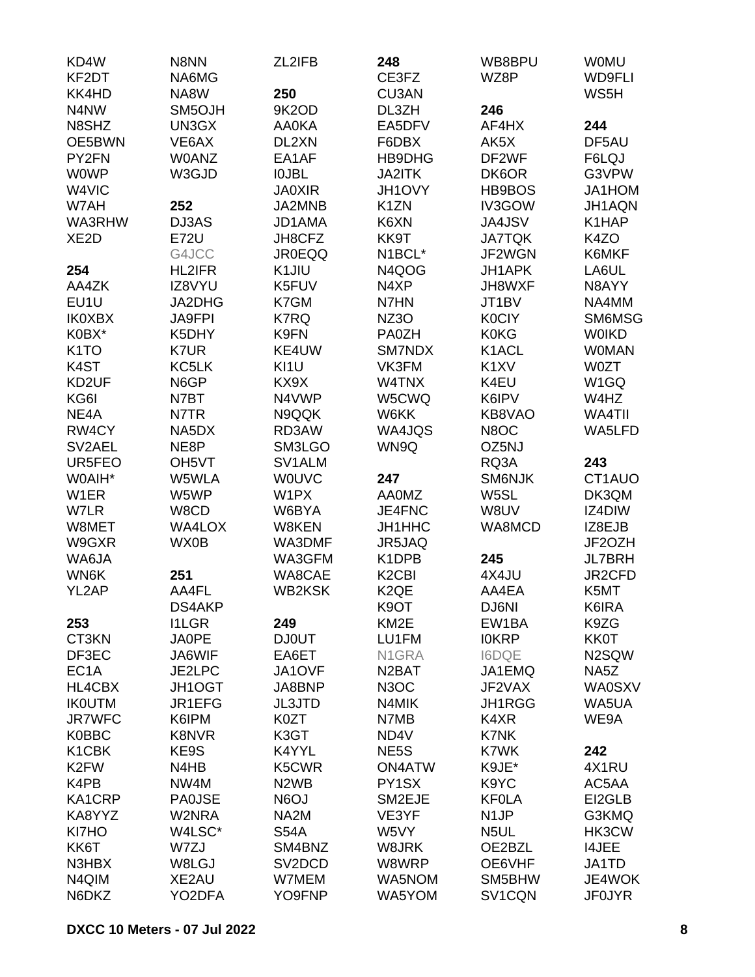| KD4W               | N8NN               | ZL2IFB                        | 248                            | WB8BPU            | <b>WOMU</b>       |
|--------------------|--------------------|-------------------------------|--------------------------------|-------------------|-------------------|
| KF2DT              | NA6MG              |                               | CE3FZ                          | WZ8P              | <b>WD9FLI</b>     |
| KK4HD              | NA8W               | 250                           | CU3AN                          |                   | WS5H              |
| N4NW               | SM5OJH             | 9K2OD                         | DL3ZH                          | 246               |                   |
| N8SHZ              | UN3GX              | <b>AA0KA</b>                  | EA5DFV                         | AF4HX             | 244               |
| OE5BWN             | VE6AX              | DL2XN                         | F6DBX                          | AK5X              | DF5AU             |
| PY2FN              | <b>WOANZ</b>       | EA1AF                         | HB9DHG                         | DF2WF             | F6LQJ             |
| <b>WOWP</b>        | W3GJD              | <b>IOJBL</b>                  | JA2ITK                         | DK6OR             | G3VPW             |
| W4VIC              |                    | <b>JA0XIR</b>                 | JH1OVY                         | HB9BOS            | JA1HOM            |
| W7AH               | 252                | JA2MNB                        | K <sub>1</sub> ZN              | IV3GOW            | JH1AQN            |
| WA3RHW             | DJ3AS              | JD1AMA                        | K6XN                           | JA4JSV            | K1HAP             |
| XE <sub>2</sub> D  | <b>E72U</b>        | JH8CFZ                        | KK9T                           | <b>JA7TQK</b>     | K4ZO              |
|                    | G4JCC              | <b>JR0EQQ</b>                 | N1BCL*                         | JF2WGN            | K6MKF             |
| 254                | <b>HL2IFR</b>      | K1JIU                         | N4QOG                          | <b>JH1APK</b>     | LA6UL             |
| AA4ZK              | IZ8VYU             | K5FUV                         | N4XP                           | JH8WXF            | N8AYY             |
| EU1U               | JA2DHG             | K7GM                          | N7HN                           | JT1BV             | NA4MM             |
| <b>IK0XBX</b>      | <b>JA9FPI</b>      | K7RQ                          | NZ3O                           | <b>K0CIY</b>      | SM6MSG            |
| K0BX*              | K5DHY              | K9FN                          | PA0ZH                          | <b>K0KG</b>       | <b>WOIKD</b>      |
| K <sub>1</sub> TO  | K7UR               | KE4UW                         | SM7NDX                         | K1ACL             | <b>WOMAN</b>      |
| K4ST               | KC5LK              | KI1U                          | VK3FM                          | K <sub>1</sub> XV | <b>W0ZT</b>       |
| KD <sub>2</sub> UF | N6GP               | KX9X                          | W4TNX                          | K4EU              | W <sub>1</sub> GQ |
| KG6I               | N7BT               | N4VWP                         | W5CWQ                          | K6IPV             | W4HZ              |
| NE4A               | N7TR               | N9QQK                         | W6KK                           | KB8VAO            | WA4TII            |
| RW4CY              | NA5DX              | RD3AW                         | WA4JQS                         | N8OC              | WA5LFD            |
| SV2AEL             | NE8P               | SM3LGO                        | WN9Q                           | OZ5NJ             |                   |
| UR5FEO             | OH <sub>5</sub> VT | SV1ALM                        |                                | RQ3A              | 243               |
| W0AIH*             | W5WLA              | <b>WOUVC</b>                  | 247                            | SM6NJK            | CT1AUO            |
| W1ER               | W5WP               | W1PX                          | <b>AA0MZ</b>                   | W5SL              | DK3QM             |
|                    | W8CD               | W6BYA                         | JE4FNC                         | W8UV              | IZ4DIW            |
| W7LR<br>W8MET      |                    |                               |                                | WA8MCD            |                   |
|                    | <b>WA4LOX</b>      | W8KEN                         | JH1HHC                         |                   | IZ8EJB            |
| W9GXR              | WX0B               | WA3DMF                        | JR5JAQ                         |                   | JF2OZH            |
| WA6JA              |                    | WA3GFM                        | K1DPB                          | 245               | <b>JL7BRH</b>     |
| WN6K               | 251                | WA8CAE                        | K <sub>2</sub> C <sub>BI</sub> | 4X4JU             | JR2CFD            |
| YL2AP              | AA4FL              | <b>WB2KSK</b>                 | K <sub>2</sub> QE              | AA4EA             | K5MT              |
|                    | DS4AKP             |                               | K9OT                           | DJ6NI             | K6IRA             |
| 253                | <b>I1LGR</b>       | 249                           | KM <sub>2</sub> E              | EW1BA             | K9ZG              |
| CT3KN              | <b>JA0PE</b>       | <b>DJ0UT</b>                  | LU1FM                          | <b>IOKRP</b>      | <b>KK0T</b>       |
| DF3EC              | JA6WIF             | EA6ET                         | N1GRA                          | <b>I6DQE</b>      | N2SQW             |
| EC <sub>1</sub> A  | JE2LPC             | JA1OVF                        | N <sub>2</sub> BAT             | JA1EMQ            | NA5Z              |
| HL4CBX             | JH1OGT             | JA8BNP                        | N <sub>3</sub> OC              | JF2VAX            | <b>WA0SXV</b>     |
| <b>IKOUTM</b>      | JR1EFG             | <b>JL3JTD</b>                 | N4MIK                          | JH1RGG            | WA5UA             |
| <b>JR7WFC</b>      | K6IPM              | K0ZT                          | N7MB                           | K4XR              | WE9A              |
| <b>K0BBC</b>       | <b>K8NVR</b>       | K3GT                          | ND4V                           | K7NK              |                   |
| K <sub>1</sub> CBK | KE9S               | K4YYL                         | NE <sub>5</sub> S              | K7WK              | 242               |
| K <sub>2</sub> FW  | N4HB               | K5CWR                         | <b>ON4ATW</b>                  | K9JE*             | 4X1RU             |
| K4PB               | NW4M               | N <sub>2</sub> W <sub>B</sub> | PY1SX                          | K9YC              | AC5AA             |
| KA1CRP             | <b>PA0JSE</b>      | N6OJ                          | SM2EJE                         | <b>KFOLA</b>      | EI2GLB            |
| KA8YYZ             | W2NRA              | NA <sub>2</sub> M             | VE3YF                          | N <sub>1</sub> JP | G3KMQ             |
| KI7HO              | W4LSC*             | <b>S54A</b>                   | W5VY                           | N <sub>5</sub> UL | HK3CW             |
| KK6T               | W7ZJ               | SM4BNZ                        | W8JRK                          | OE2BZL            | <b>I4JEE</b>      |
| N3HBX              | W8LGJ              | SV <sub>2</sub> DCD           | W8WRP                          | OE6VHF            | JA1TD             |
| N4QIM              | XE2AU              | W7MEM                         | WA5NOM                         | SM5BHW            | JE4WOK            |
| N6DKZ              | YO2DFA             | YO9FNP                        | WA5YOM                         | SV1CQN            | <b>JF0JYR</b>     |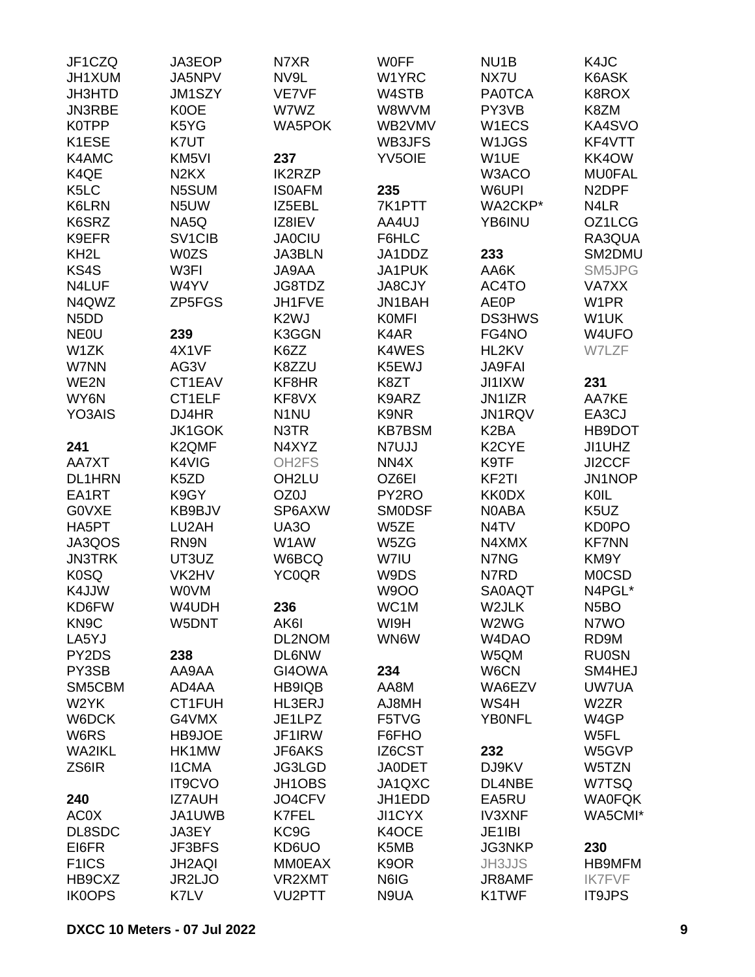| JF1CZQ                        | JA3EOP                          | N7XR               | <b>WOFF</b>       | NU <sub>1</sub> B               | K4JC               |
|-------------------------------|---------------------------------|--------------------|-------------------|---------------------------------|--------------------|
| JH1XUM                        | JA5NPV                          | NV9L               | W1YRC             | NX7U                            | K6ASK              |
| JH3HTD                        | JM1SZY                          | VE7VF              | W4STB             | <b>PA0TCA</b>                   | K8ROX              |
| JN3RBE                        | K0OE                            | W7WZ               | W8WVM             | PY3VB                           | K8ZM               |
| <b>K0TPP</b>                  | K5YG                            | <b>WA5POK</b>      | WB2VMV            | W1ECS                           | KA4SVO             |
| K1ESE                         | K7UT                            |                    | WB3JFS            | W1JGS                           | KF4VTT             |
| K4AMC                         | KM <sub>5VI</sub>               | 237                | <b>YV5OIE</b>     | W1UE                            | KK4OW              |
| K4QE                          | N <sub>2</sub> K <sub>X</sub>   | <b>IK2RZP</b>      |                   | W3ACO                           | <b>MU0FAL</b>      |
| K <sub>5</sub> LC             | N5SUM                           | <b>ISOAFM</b>      | 235               | W6UPI                           | N <sub>2</sub> DPF |
| <b>K6LRN</b>                  | N <sub>5</sub> UW               | IZ5EBL             | 7K1PTT            | WA2CKP*                         | N4LR               |
| K6SRZ                         | NA5Q                            | IZ8IEV             | AA4UJ             | YB6INU                          | OZ1LCG             |
|                               |                                 |                    | F6HLC             |                                 | RA3QUA             |
| K9EFR                         | SV <sub>1</sub> C <sub>IB</sub> | <b>JA0CIU</b>      |                   |                                 |                    |
| KH <sub>2</sub> L             | <b>W0ZS</b>                     | <b>JA3BLN</b>      | JA1DDZ            | 233                             | SM2DMU             |
| KS4S                          | W3FI                            | JA9AA              | JA1PUK            | AA6K                            | SM5JPG             |
| N4LUF                         | W4YV                            | JG8TDZ             | <b>JA8CJY</b>     | AC4TO                           | <b>VA7XX</b>       |
| N4QWZ                         | ZP5FGS                          | JH1FVE             | JN1BAH            | <b>AE0P</b>                     | W1PR               |
| N <sub>5</sub> D <sub>D</sub> |                                 | K <sub>2</sub> WJ  | <b>KOMFI</b>      | <b>DS3HWS</b>                   | W1UK               |
| <b>NEOU</b>                   | 239                             | K3GGN              | K4AR              | FG4NO                           | W4UFO              |
| W1ZK                          | 4X1VF                           | K6ZZ               | K4WES             | HL2KV                           | W7LZF              |
| W7NN                          | AG3V                            | K8ZZU              | K5EWJ             | <b>JA9FAI</b>                   |                    |
| WE2N                          | CT1EAV                          | KF8HR              | K8ZT              | <b>JI1IXW</b>                   | 231                |
| WY6N                          | CT1ELF                          | KF8VX              | K9ARZ             | JN1IZR                          | AA7KE              |
| YO3AIS                        | DJ4HR                           | N <sub>1</sub> NU  | K9NR              | JN1RQV                          | EA3CJ              |
|                               | JK1GOK                          | N3TR               | <b>KB7BSM</b>     | K <sub>2</sub> BA               | HB9DOT             |
| 241                           | K2QMF                           | N4XYZ              | N7UJJ             | K <sub>2</sub> CYE              | JI1UHZ             |
| AA7XT                         | K4VIG                           | OH <sub>2</sub> FS | NN4X              | K9TF                            | JI2CCF             |
| <b>DL1HRN</b>                 | K <sub>5</sub> ZD               | OH <sub>2LU</sub>  | OZ6EI             | KF2TI                           | JN1NOP             |
| EA1RT                         | K9GY                            | OZ0J               | PY2RO             | <b>KK0DX</b>                    | KOIL               |
| <b>GOVXE</b>                  | KB9BJV                          | SP6AXW             | <b>SMODSF</b>     | N0ABA                           | K5UZ               |
| HA5PT                         | LU2AH                           | UA3O               | W5ZE              | N <sub>4</sub> TV               | KD0PO              |
| JA3QOS                        | RN9N                            | W1AW               | W5ZG              | N4XMX                           | <b>KF7NN</b>       |
| <b>JN3TRK</b>                 | UT3UZ                           | W6BCQ              | W7IU              | N7NG                            | KM9Y               |
| <b>K0SQ</b>                   | VK2HV                           | <b>YC0QR</b>       | W9DS              | N7RD                            | <b>MOCSD</b>       |
| K4JJW                         | <b>WOVM</b>                     |                    | <b>W9OO</b>       | <b>SA0AQT</b>                   | N4PGL*             |
| KD6FW                         | W4UDH                           | 236                | WC1M              | W2JLK                           | N <sub>5</sub> BO  |
| KN <sub>9</sub> C             | W5DNT                           | AK6I               | WI9H              | W2WG                            | N7WO               |
|                               |                                 |                    | WN6W              | W <sub>4</sub> D <sub>A</sub> O |                    |
| LA5YJ                         |                                 | DL2NOM             |                   |                                 | RD9M               |
| PY2DS                         | 238                             | <b>DL6NW</b>       |                   | W5QM                            | <b>RU0SN</b>       |
| PY3SB                         | AA9AA                           | GI4OWA             | 234               | W6CN                            | SM4HEJ             |
| SM5CBM                        | AD4AA                           | HB9IQB             | AA8M              | WA6EZV                          | UW7UA              |
| W2YK                          | CT1FUH                          | HL3ERJ             | AJ8MH             | WS4H                            | W2ZR               |
| W6DCK                         | G4VMX                           | JE1LPZ             | F5TVG             | <b>YB0NFL</b>                   | W4GP               |
| W6RS                          | HB9JOE                          | JF1IRW             | F6FHO             |                                 | W5FL               |
| <b>WA2IKL</b>                 | HK1MW                           | JF6AKS             | IZ6CST            | 232                             | W5GVP              |
| ZS6IR                         | <b>I1CMA</b>                    | JG3LGD             | <b>JA0DET</b>     | DJ9KV                           | W5TZN              |
|                               | <b>IT9CVO</b>                   | JH1OBS             | JA1QXC            | DL4NBE                          | W7TSQ              |
| 240                           | <b>IZ7AUH</b>                   | JO4CFV             | JH1EDD            | EA5RU                           | <b>WA0FQK</b>      |
| AC0X                          | JA1UWB                          | K7FEL              | JI1CYX            | <b>IV3XNF</b>                   | WA5CMI*            |
| DL8SDC                        | JA3EY                           | KC9G               | K4OCE             | JE1IBI                          |                    |
| EI6FR                         | JF3BFS                          | KD6UO              | K5MB              | <b>JG3NKP</b>                   | 230                |
| F <sub>1</sub> ICS            | <b>JH2AQI</b>                   | <b>MM0EAX</b>      | K <sub>9</sub> OR | JH3JJS                          | <b>HB9MFM</b>      |
| HB9CXZ                        | JR2LJO                          | VR2XMT             | N6IG              | JR8AMF                          | <b>IK7FVF</b>      |
| <b>IK0OPS</b>                 | K7LV                            | VU2PTT             | N9UA              | K1TWF                           | <b>IT9JPS</b>      |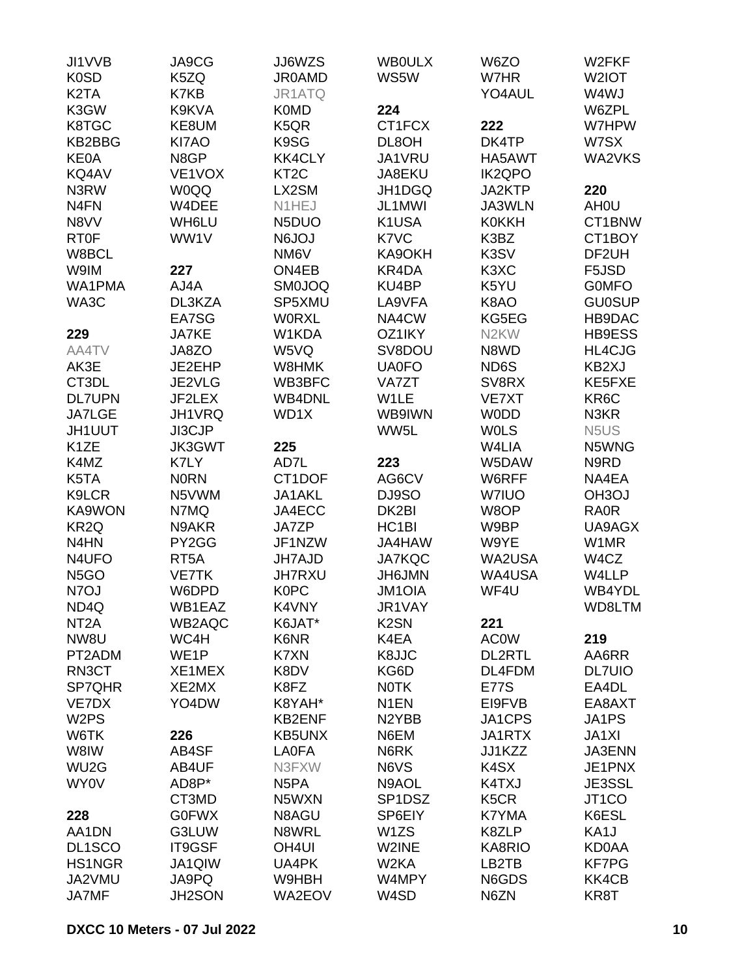| JI1VVB                        | JA9CG             | JJ6WZS            | <b>WBOULX</b>       | W6ZO                          | W2FKF                         |
|-------------------------------|-------------------|-------------------|---------------------|-------------------------------|-------------------------------|
| <b>K0SD</b>                   | K5ZQ              | <b>JR0AMD</b>     | WS5W                | W7HR                          | W2IOT                         |
| K <sub>2</sub> T <sub>A</sub> | K7KB              | JR1ATQ            |                     | YO4AUL                        | W4WJ                          |
| K3GW                          | K9KVA             | <b>K0MD</b>       | 224                 |                               | W6ZPL                         |
| K8TGC                         | KE8UM             | K5QR              | CT1FCX              | 222                           | W7HPW                         |
| KB2BBG                        | KI7AO             | K9SG              | DL8OH               | DK4TP                         | W7SX                          |
| <b>KE0A</b>                   | N8GP              | <b>KK4CLY</b>     | JA1VRU              | HA5AWT                        | WA2VKS                        |
| KQ4AV                         | VE1VOX            | KT <sub>2</sub> C | JA8EKU              | <b>IK2QPO</b>                 |                               |
| N3RW                          | <b>W0QQ</b>       | LX2SM             | JH1DGQ              | JA2KTP                        | 220                           |
|                               | W4DEE             |                   | JL1MWI              |                               |                               |
| N <sub>4</sub> FN             |                   | N1HEJ             |                     | JA3WLN                        | AH <sub>0</sub> U             |
| N8VV                          | WH6LU             | N5DUO             | K1USA               | <b>K0KKH</b>                  | CT1BNW                        |
| <b>RT0F</b>                   | WW1V              | <b>N6JOJ</b>      | K7VC                | K3BZ                          | CT1BOY                        |
| W8BCL                         |                   | NM6V              | KA9OKH              | K3SV                          | DF2UH                         |
| W9IM                          | 227               | ON4EB             | KR4DA               | K <sub>3</sub> X <sub>C</sub> | F5JSD                         |
| <b>WA1PMA</b>                 | AJ4A              | <b>SM0JOQ</b>     | KU4BP               | K5YU                          | <b>GOMFO</b>                  |
| WA3C                          | DL3KZA            | SP5XMU            | LA9VFA              | K8AO                          | <b>GU0SUP</b>                 |
|                               | EA7SG             | <b>WORXL</b>      | NA4CW               | KG5EG                         | HB9DAC                        |
| 229                           | <b>JA7KE</b>      | W1KDA             | OZ1IKY              | N <sub>2</sub> KW             | <b>HB9ESS</b>                 |
| AA4TV                         | JA8ZO             | W5VQ              | SV8DOU              | N8WD                          | HL4CJG                        |
| AK3E                          | JE2EHP            | W8HMK             | <b>UA0FO</b>        | ND6S                          | KB2XJ                         |
| CT3DL                         | JE2VLG            | WB3BFC            | VA7ZT               | SV8RX                         | KE5FXE                        |
| <b>DL7UPN</b>                 | JF2LEX            | <b>WB4DNL</b>     | W1LE                | <b>VE7XT</b>                  | KR <sub>6</sub> C             |
| <b>JA7LGE</b>                 | JH1VRQ            | WD1X              | WB9IWN              | <b>WODD</b>                   | N3KR                          |
| JH1UUT                        | JI3CJP            |                   | WW5L                | <b>WOLS</b>                   | N <sub>5</sub> U <sub>S</sub> |
| K <sub>1</sub> ZE             | <b>JK3GWT</b>     | 225               |                     | W4LIA                         | N5WNG                         |
|                               |                   |                   |                     |                               |                               |
| K4MZ                          | K7LY              | AD7L              | 223                 | W5DAW                         | N9RD                          |
| K5TA                          | <b>NORN</b>       | CT1DOF            | AG6CV               | W6RFF                         | NA4EA                         |
| K9LCR                         | N5VWM             | JA1AKL            | DJ9SO               | <b>W7IUO</b>                  | OH <sub>3</sub> OJ            |
| KA9WON                        | N7MQ              | JA4ECC            | DK2BI               | W8OP                          | RA0R                          |
| KR <sub>2</sub> Q             | N9AKR             | <b>JA7ZP</b>      | HC <sub>1</sub> BI  | W9BP                          | UA9AGX                        |
| N4HN                          | PY2GG             | JF1NZW            | JA4HAW              | W9YE                          | W1MR                          |
| N4UFO                         | RT <sub>5</sub> A | <b>JH7AJD</b>     | <b>JA7KQC</b>       | WA2USA                        | W4CZ                          |
| N <sub>5</sub> GO             | <b>VE7TK</b>      | <b>JH7RXU</b>     | <b>JH6JMN</b>       | WA4USA                        | W4LLP                         |
| N7OJ                          | W6DPD             | <b>K0PC</b>       | <b>JM1OIA</b>       | WF4U                          | WB4YDL                        |
| ND4Q                          | WB1EAZ            | K4VNY             | JR1VAY              |                               | WD8LTM                        |
| NT <sub>2</sub> A             | WB2AQC            | K6JAT*            | K <sub>2</sub> SN   | 221                           |                               |
| NW8U                          | WC4H              | K6NR              | K4EA                | <b>AC0W</b>                   | 219                           |
| PT2ADM                        | WE1P              | K7XN              | K8JJC               | <b>DL2RTL</b>                 | AA6RR                         |
| RN3CT                         | XE1MEX            | K8DV              | KG6D                | DL4FDM                        | <b>DL7UIO</b>                 |
| SP7QHR                        | XE2MX             | K8FZ              | <b>NOTK</b>         | <b>E77S</b>                   | EA4DL                         |
| VE7DX                         | YO4DW             | K8YAH*            | N <sub>1</sub> EN   | EI9FVB                        | EA8AXT                        |
|                               |                   |                   | N <sub>2</sub> YBB  |                               |                               |
| W <sub>2</sub> PS             |                   | <b>KB2ENF</b>     |                     | JA1CPS                        | JA1PS                         |
| W6TK                          | 226               | <b>KB5UNX</b>     | N6EM                | JA1RTX                        | <b>JA1XI</b>                  |
| W8IW                          | AB4SF             | <b>LA0FA</b>      | N6RK                | JJ1KZZ                        | <b>JA3ENN</b>                 |
| WU <sub>2</sub> G             | AB4UF             | N3FXW             | N6VS                | K <sub>4</sub> SX             | JE1PNX                        |
| <b>WY0V</b>                   | AD8P*             | N <sub>5</sub> PA | N9AOL               | K4TXJ                         | JE3SSL                        |
|                               | CT3MD             | N5WXN             | SP <sub>1</sub> DSZ | K <sub>5</sub> C <sub>R</sub> | JT <sub>1</sub> CO            |
| 228                           | <b>G0FWX</b>      | N8AGU             | SP6EIY              | K7YMA                         | K6ESL                         |
| AA1DN                         | G3LUW             | N8WRL             | W1ZS                | K8ZLP                         | KA1J                          |
| DL1SCO                        | IT9GSF            | OH <sub>4UI</sub> | W2INE               | KA8RIO                        | <b>KD0AA</b>                  |
| <b>HS1NGR</b>                 | JA1QIW            | UA4PK             | W <sub>2</sub> KA   | LB2TB                         | <b>KF7PG</b>                  |
| JA2VMU                        | JA9PQ             | W9HBH             | W4MPY               | N6GDS                         | KK4CB                         |
| JA7MF                         | JH2SON            | WA2EOV            | W4SD                | N6ZN                          | KR8T                          |
|                               |                   |                   |                     |                               |                               |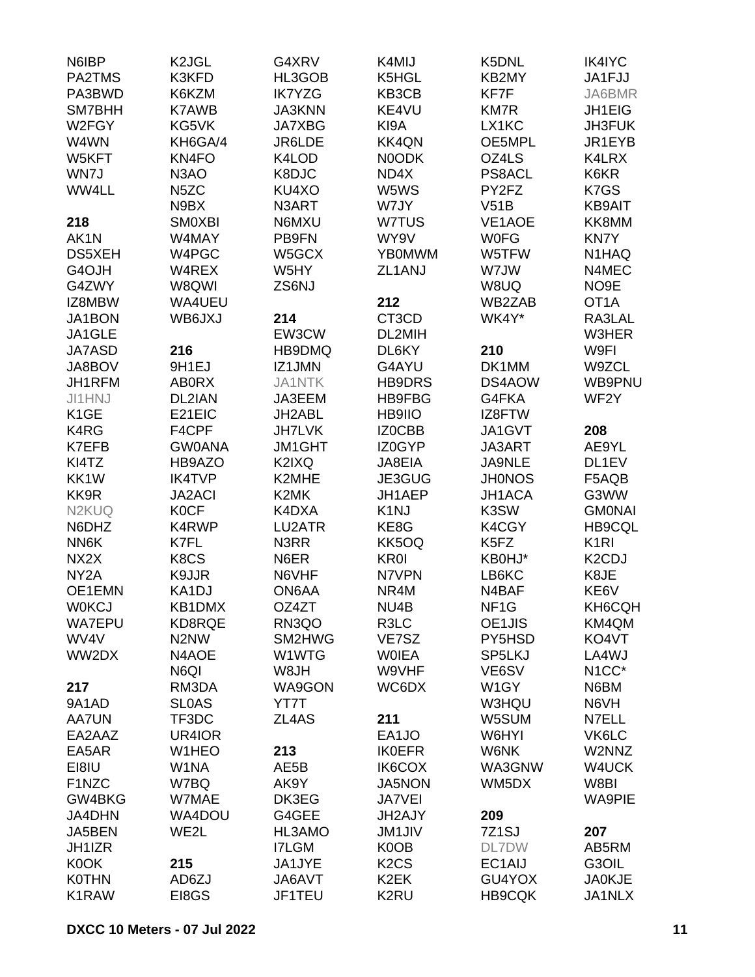| N6IBP              | K <sub>2</sub> JGL            | G4XRV         | K4MIJ                         | K5DNL              | <b>IK4IYC</b>                   |
|--------------------|-------------------------------|---------------|-------------------------------|--------------------|---------------------------------|
| PA2TMS             | K3KFD                         | HL3GOB        | K5HGL                         | KB2MY              | JA1FJJ                          |
| PA3BWD             | K6KZM                         | <b>IK7YZG</b> | KB3CB                         | KF7F               | JA6BMR                          |
| SM7BHH             | <b>K7AWB</b>                  | <b>JA3KNN</b> | KE4VU                         | KM7R               | JH1EIG                          |
| W2FGY              | KG5VK                         | <b>JA7XBG</b> | KI9A                          | LX1KC              | JH3FUK                          |
| W4WN               | KH6GA/4                       | JR6LDE        | <b>KK4QN</b>                  | OE5MPL             | JR1EYB                          |
| W5KFT              | KN4FO                         | K4LOD         | N0ODK                         | OZ4LS              | K4LRX                           |
| WN7J               | N <sub>3</sub> AO             | K8DJC         | ND4X                          | PS8ACL             | K6KR                            |
|                    |                               |               | W5WS                          | PY2FZ              |                                 |
| WW4LL              | N <sub>5</sub> ZC             | KU4XO         |                               |                    | K7GS                            |
|                    | N9BX                          | N3ART         | W7JY                          | V51B               | <b>KB9AIT</b>                   |
| 218                | <b>SMOXBI</b>                 | N6MXU         | W7TUS                         | VE1AOE             | KK8MM                           |
| AK1N               | W4MAY                         | PB9FN         | WY9V                          | <b>WOFG</b>        | KN7Y                            |
| DS5XEH             | W4PGC                         | W5GCX         | <b>YBOMWM</b>                 | W5TFW              | N1HAQ                           |
| G4OJH              | W4REX                         | W5HY          | ZL1ANJ                        | W7JW               | N4MEC                           |
| G4ZWY              | W8QWI                         | ZS6NJ         |                               | W8UQ               | NO <sub>9</sub> E               |
| IZ8MBW             | WA4UEU                        |               | 212                           | WB2ZAB             | OT <sub>1</sub> A               |
| JA1BON             | WB6JXJ                        | 214           | CT3CD                         | WK4Y*              | RA3LAL                          |
| JA1GLE             |                               | EW3CW         | DL2MIH                        |                    | W3HER                           |
| <b>JA7ASD</b>      | 216                           | HB9DMQ        | DL6KY                         | 210                | W9FI                            |
| JA8BOV             | 9H1EJ                         | IZ1JMN        | G4AYU                         | DK1MM              | W9ZCL                           |
| JH1RFM             | <b>ABORX</b>                  | <b>JA1NTK</b> | <b>HB9DRS</b>                 | DS4AOW             | WB9PNU                          |
| JI1HNJ             | DL2IAN                        | JA3EEM        | <b>HB9FBG</b>                 | G4FKA              | WF <sub>2</sub> Y               |
| K <sub>1</sub> GE  | E21EIC                        | JH2ABL        | HB9IIO                        | IZ8FTW             |                                 |
| K4RG               | F4CPF                         | <b>JH7LVK</b> | IZ0CBB                        | JA1GVT             | 208                             |
| K7EFB              | <b>GW0ANA</b>                 | <b>JM1GHT</b> | IZ0GYP                        | JA3ART             | AE9YL                           |
| KI4TZ              | HB9AZO                        | K2IXQ         | JA8EIA                        | JA9NLE             | DL1EV                           |
| KK1W               | <b>IK4TVP</b>                 | K2MHE         | JE3GUG                        | <b>JH0NOS</b>      | F5AQB                           |
| KK9R               | <b>JA2ACI</b>                 | K2MK          | JH1AEP                        | JH1ACA             | G3WW                            |
| N <sub>2</sub> KUQ | <b>K0CF</b>                   | K4DXA         | K <sub>1</sub> NJ             | K3SW               | <b>GMONAI</b>                   |
|                    | K4RWP                         | LU2ATR        |                               |                    | <b>HB9CQL</b>                   |
| N6DHZ              |                               |               | KE8G                          | K4CGY              |                                 |
| NN6K               | K7FL                          | N3RR          | KK5OQ                         | K5FZ               | K <sub>1</sub> RI               |
| NX <sub>2</sub> X  | K8CS                          | N6ER          | <b>KR0I</b>                   | KB0HJ*             | K <sub>2</sub> C <sub>D</sub> J |
| NY <sub>2</sub> A  | K9JJR                         | N6VHF         | N7VPN                         | LB6KC              | K8JE                            |
| OE1EMN             | KA1DJ                         | ON6AA         | NR4M                          | N4BAF              | KE6V                            |
| <b>W0KCJ</b>       | KB1DMX                        | OZ4ZT         | NU4B                          | NF <sub>1</sub> G  | KH6CQH                          |
| <b>WA7EPU</b>      | KD8RQE                        | RN3QO         | R3LC                          | OE1JIS             | KM4QM                           |
| WV4V               | N <sub>2</sub> N <sub>W</sub> | SM2HWG        | VE7SZ                         | PY5HSD             | KO4VT                           |
| WW2DX              | N4AOE                         | W1WTG         | <b>WOIEA</b>                  | SP5LKJ             | LA4WJ                           |
|                    | N6QI                          | W8JH          | W9VHF                         | VE6SV              | N <sub>1</sub> CC*              |
| 217                | RM3DA                         | WA9GON        | WC6DX                         | W1GY               | N6BM                            |
| 9A1AD              | <b>SLOAS</b>                  | YT7T          |                               | W3HQU              | N6VH                            |
| <b>AA7UN</b>       | TF3DC                         | ZL4AS         | 211                           | W5SUM              | N7ELL                           |
| EA2AAZ             | UR4IOR                        |               | EA1JO                         | W6HYI              | VK6LC                           |
| EA5AR              | W1HEO                         | 213           | <b>IK0EFR</b>                 | W6NK               | W2NNZ                           |
| EI8IU              | W1NA                          | AE5B          | IK6COX                        | WA3GNW             | W4UCK                           |
| F1NZC              | W7BQ                          | AK9Y          | <b>JA5NON</b>                 | WM5DX              | W8BI                            |
| GW4BKG             | W7MAE                         | DK3EG         | <b>JA7VEI</b>                 |                    | <b>WA9PIE</b>                   |
| JA4DHN             | WA4DOU                        | G4GEE         | JH2AJY                        | 209                |                                 |
| JA5BEN             | WE2L                          | HL3AMO        | <b>JM1JIV</b>                 | 7Z <sub>1</sub> SJ | 207                             |
| JH1IZR             |                               | <b>I7LGM</b>  | K <sub>0</sub> OB             | DL7DW              | AB5RM                           |
| K0OK               | 215                           | JA1JYE        | K <sub>2</sub> C <sub>S</sub> | EC1AIJ             | G3OIL                           |
| <b>K0THN</b>       | AD6ZJ                         | JA6AVT        | K <sub>2</sub> EK             | GU4YOX             | <b>JA0KJE</b>                   |
| K1RAW              | EI8GS                         | JF1TEU        | K <sub>2</sub> RU             | <b>HB9CQK</b>      | JA1NLX                          |
|                    |                               |               |                               |                    |                                 |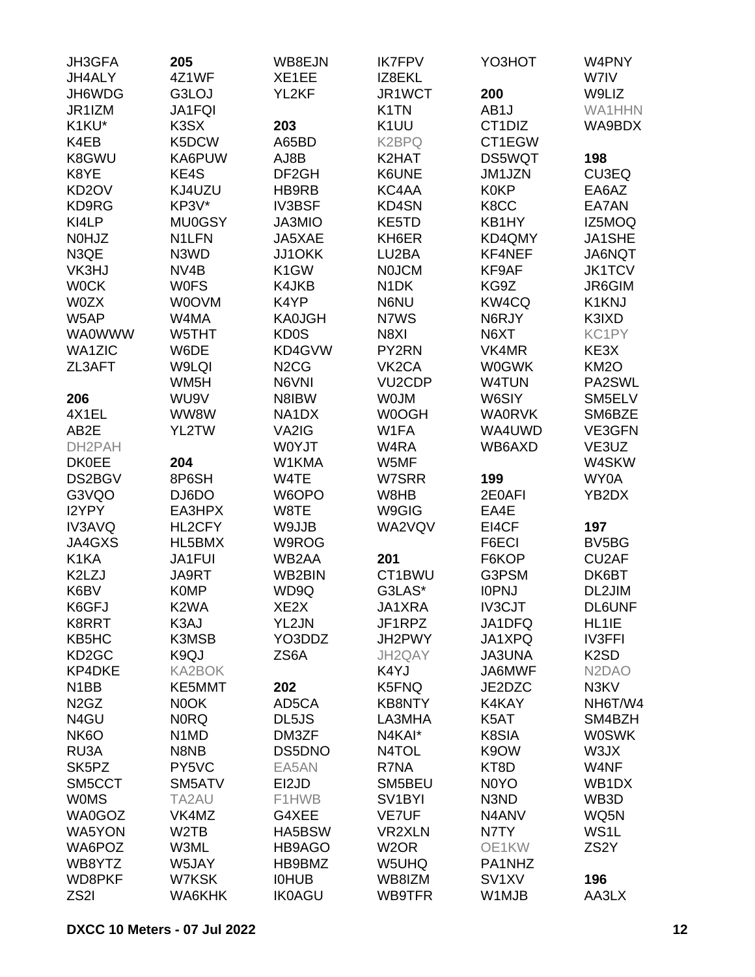| <b>JH3GFA</b>                 | 205                           | WB8EJN                        | <b>IK7FPV</b>       | YO3HOT                           | W4PNY                           |
|-------------------------------|-------------------------------|-------------------------------|---------------------|----------------------------------|---------------------------------|
| JH4ALY                        | 4Z1WF                         | XE1EE                         | IZ8EKL              |                                  | W7IV                            |
| JH6WDG                        | G3LOJ                         | YL2KF                         | JR1WCT              | 200                              | W9LIZ                           |
| JR1IZM                        | JA1FQI                        |                               | K <sub>1</sub> TN   | AB <sub>1</sub> J                | <b>WA1HHN</b>                   |
| K1KU*                         | K3SX                          | 203                           | K <sub>1</sub> UU   | CT <sub>1</sub> D <sub>I</sub> Z | WA9BDX                          |
| K4EB                          | K5DCW                         | A65BD                         | K <sub>2</sub> BPQ  | CT1EGW                           |                                 |
| K8GWU                         | KA6PUW                        | AJ8B                          | K2HAT               | DS5WQT                           | 198                             |
| K8YE                          | KE4S                          | DF <sub>2GH</sub>             | K6UNE               | JM1JZN                           | CU3EQ                           |
| KD <sub>2</sub> OV            | KJ4UZU                        | HB9RB                         | KC4AA               | <b>K0KP</b>                      | EA6AZ                           |
| KD9RG                         | KP3V*                         | <b>IV3BSF</b>                 | KD4SN               | K8CC                             | EA7AN                           |
| KI4LP                         | <b>MU0GSY</b>                 | JA3MIO                        | KE5TD               | KB1HY                            | IZ5MOQ                          |
| N0HJZ                         | N1LFN                         | JA5XAE                        | KH6ER               | KD4QMY                           | JA1SHE                          |
| N3QE                          | N3WD                          | <b>JJ1OKK</b>                 | LU2BA               | KF4NEF                           | JA6NQT                          |
| VK3HJ                         | NV4B                          | K <sub>1</sub> GW             | <b>NOJCM</b>        | KF9AF                            | <b>JK1TCV</b>                   |
| <b>WOCK</b>                   | <b>WOFS</b>                   | K4JKB                         | N <sub>1</sub> DK   | KG9Z                             | JR6GIM                          |
| <b>W0ZX</b>                   | <b>WOOVM</b>                  | K4YP                          | N6NU                | KW4CQ                            | K1KNJ                           |
| W5AP                          | W4MA                          | <b>KA0JGH</b>                 | N7WS                | N6RJY                            | K3IXD                           |
| <b>WA0WWW</b>                 | W5THT                         | KD <sub>0</sub> S             | N8XI                | N6XT                             | KC1PY                           |
| <b>WA1ZIC</b>                 | W6DE                          | KD4GVW                        | PY2RN               | VK4MR                            | KE3X                            |
| ZL3AFT                        | W9LQI                         | N <sub>2</sub> C <sub>G</sub> | VK <sub>2</sub> CA  | <b>W0GWK</b>                     | KM <sub>2</sub> O               |
|                               | WM <sub>5</sub> H             | N6VNI                         | <b>VU2CDP</b>       | <b>W4TUN</b>                     | PA2SWL                          |
| 206                           | WU9V                          | N8IBW                         | <b>WOJM</b>         | W6SIY                            | SM5ELV                          |
| 4X1EL                         | WW8W                          | NA1DX                         | W0OGH               | <b>WA0RVK</b>                    | SM6BZE                          |
| AB2E                          | YL2TW                         | VA2IG                         | W1FA                | WA4UWD                           | VE3GFN                          |
|                               |                               | W0YJT                         |                     |                                  |                                 |
| DH2PAH                        |                               |                               | W4RA                | WB6AXD                           | VE3UZ                           |
| <b>DK0EE</b>                  | 204<br>8P6SH                  | W1KMA                         | W5MF<br>W7SRR       | 199                              | W4SKW                           |
| DS2BGV                        |                               | W4TE                          |                     |                                  | WY0A                            |
| G3VQO                         | DJ6DO                         | W6OPO                         | W8HB                | 2E0AFI                           | YB2DX                           |
| I2YPY                         | EA3HPX                        | W8TE                          | W9GIG               | EA4E                             |                                 |
| <b>IV3AVQ</b>                 | HL2CFY                        | W9JJB                         | WA2VQV              | EI4CF                            | 197                             |
| JA4GXS                        | HL5BMX                        | W9ROG                         |                     | F6ECI                            | BV <sub>5</sub> BG              |
| K1KA                          | JA1FUI                        | WB2AA                         | 201                 | F6KOP                            | CU <sub>2</sub> AF              |
| K2LZJ                         | JA9RT                         | WB2BIN                        | CT1BWU              | G3PSM                            | DK6BT                           |
| K6BV                          | <b>K0MP</b>                   | WD9Q                          | G3LAS*              | <b>IOPNJ</b>                     | DL2JIM                          |
| K6GFJ                         | K <sub>2</sub> WA             | XE <sub>2</sub> X             | JA1XRA              | <b>IV3CJT</b>                    | <b>DL6UNF</b>                   |
| K8RRT                         | K3AJ                          | YL2JN                         | JF1RPZ              | JA1DFQ                           | HL1IE                           |
| KB5HC                         | K3MSB                         | YO3DDZ                        | JH2PWY              | JA1XPQ                           | <b>IV3FFI</b>                   |
| KD <sub>2</sub> GC            | K9QJ                          | ZS6A                          | JH2QAY              | <b>JA3UNA</b>                    | K <sub>2</sub> SD               |
| <b>KP4DKE</b>                 | <b>KA2BOK</b>                 |                               | K4YJ                | JA6MWF                           | N <sub>2</sub> D <sub>A</sub> O |
| N <sub>1</sub> BB             | KE5MMT                        | 202                           | K5FNQ               | JE2DZC                           | N3KV                            |
| N <sub>2</sub> G <sub>Z</sub> | N0OK                          | AD5CA                         | <b>KB8NTY</b>       | K4KAY                            | NH6T/W4                         |
| N4GU                          | <b>NORQ</b>                   | DL5JS                         | LA3MHA              | K5AT                             | SM4BZH                          |
| NK <sub>6</sub> O             | N <sub>1</sub> M <sub>D</sub> | DM3ZF                         | N4KAI*              | K8SIA                            | <b>W0SWK</b>                    |
| RU3A                          | N8NB                          | DS5DNO                        | N4TOL               | K9OW                             | W3JX                            |
| SK5PZ                         | PY5VC                         | EA5AN                         | R7NA                | KT8D                             | W4NF                            |
| SM5CCT                        | SM5ATV                        | EI2JD                         | SM5BEU              | N <sub>0</sub> Y <sub>O</sub>    | WB1DX                           |
| <b>WOMS</b>                   | TA2AU                         | F1HWB                         | SV <sub>1</sub> BYI | N3ND                             | WB3D                            |
| WA0GOZ                        | VK4MZ                         | G4XEE                         | <b>VE7UF</b>        | N4ANV                            | WQ5N                            |
| <b>WA5YON</b>                 | W <sub>2</sub> TB             | HA5BSW                        | <b>VR2XLN</b>       | N7TY                             | WS <sub>1</sub> L               |
| WA6POZ                        | W3ML                          | HB9AGO                        | W <sub>2</sub> OR   | OE1KW                            | ZS <sub>2</sub> Y               |
| WB8YTZ                        | W5JAY                         | HB9BMZ                        | W5UHQ               | PA1NHZ                           |                                 |
| WD8PKF                        | W7KSK                         | <b>IOHUB</b>                  | WB8IZM              | SV <sub>1</sub> XV               | 196                             |
| ZS2I                          | WA6KHK                        | <b>IK0AGU</b>                 | WB9TFR              | W1MJB                            | AA3LX                           |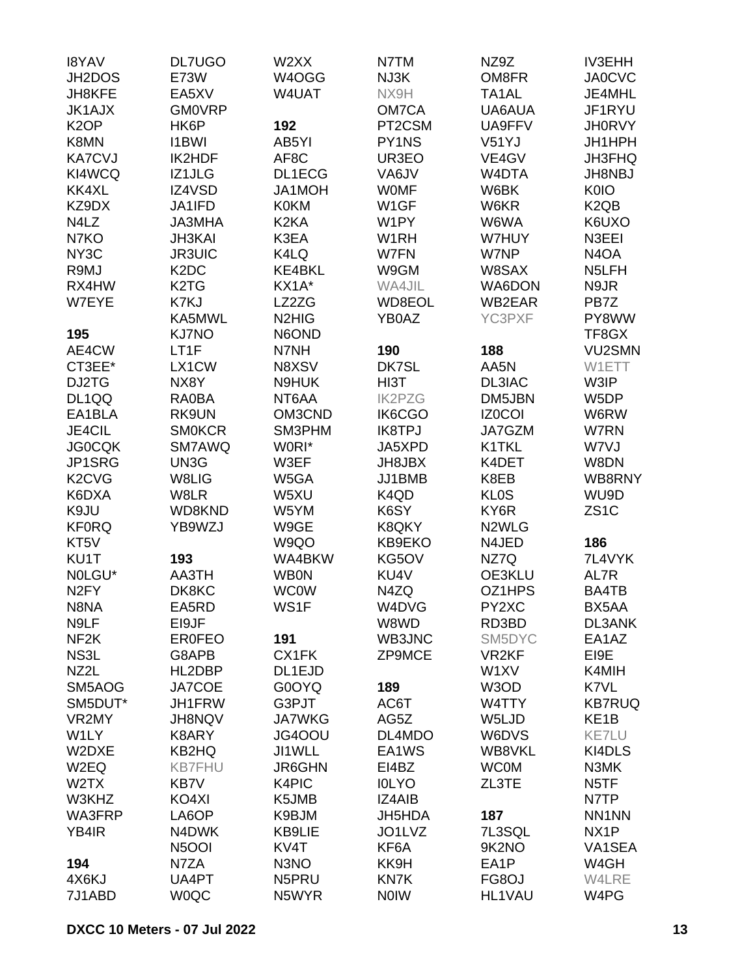| <b>I8YAV</b>                    | <b>DL7UGO</b>                 | W2XX                           | N7TM              | NZ9Z               | <b>IV3EHH</b>                 |
|---------------------------------|-------------------------------|--------------------------------|-------------------|--------------------|-------------------------------|
| JH2DOS                          | <b>E73W</b>                   | W4OGG                          | NJ3K              | OM8FR              | <b>JA0CVC</b>                 |
| JH8KFE                          | EA5XV                         | W4UAT                          | NX9H              | TA <sub>1</sub> AL | JE4MHL                        |
| <b>JK1AJX</b>                   | <b>GM0VRP</b>                 |                                | OM7CA             | UA6AUA             | JF1RYU                        |
| K <sub>2</sub> OP               | HK6P                          | 192                            | PT2CSM            | UA9FFV             | <b>JH0RVY</b>                 |
| K8MN                            | <b>I1BWI</b>                  | AB5YI                          | PY1NS             | V <sub>51</sub> YJ | JH1HPH                        |
| <b>KA7CVJ</b>                   | IK2HDF                        | AF8C                           | UR3EO             | VE4GV              | <b>JH3FHQ</b>                 |
| KI4WCQ                          | IZ1JLG                        | <b>DL1ECG</b>                  | VA6JV             | W4DTA              | <b>JH8NBJ</b>                 |
| KK4XL                           | IZ4VSD                        | JA1MOH                         | <b>WOMF</b>       | W6BK               | <b>K0IO</b>                   |
| KZ9DX                           | JA1IFD                        | <b>K0KM</b>                    | W <sub>1</sub> GF | W6KR               | K <sub>2</sub> Q <sub>B</sub> |
| N4LZ                            | <b>JA3MHA</b>                 | K <sub>2</sub> KA              | W1PY              | W6WA               | K6UXO                         |
| N7KO                            | <b>JH3KAI</b>                 | K3EA                           | W <sub>1</sub> RH | W7HUY              | N3EEI                         |
|                                 |                               |                                | W7FN              |                    |                               |
| NY <sub>3</sub> C               | <b>JR3UIC</b>                 | K4LQ                           |                   | W7NP               | N <sub>4</sub> OA             |
| R9MJ                            | K <sub>2</sub> D <sub>C</sub> | KE4BKL                         | W9GM              | W8SAX              | N <sub>5</sub> LFH            |
| RX4HW                           | K <sub>2</sub> T <sub>G</sub> | KX1A*                          | WA4JIL            | WA6DON             | N9JR                          |
| W7EYE                           | K7KJ                          | LZ2ZG                          | WD8EOL            | WB2EAR             | PB7Z                          |
|                                 | KA5MWL                        | N <sub>2</sub> H <sub>IG</sub> | YB0AZ             | YC3PXF             | PY8WW                         |
| 195                             | <b>KJ7NO</b>                  | N6OND                          |                   |                    | TF8GX                         |
| AE4CW                           | LT1F                          | N7NH                           | 190               | 188                | <b>VU2SMN</b>                 |
| CT3EE*                          | LX1CW                         | N8XSV                          | DK7SL             | AA5N               | W1ETT                         |
| DJ2TG                           | NX8Y                          | N9HUK                          | HI3T              | DL3IAC             | W3IP                          |
| DL1QQ                           | <b>RA0BA</b>                  | NT6AA                          | <b>IK2PZG</b>     | DM5JBN             | W5DP                          |
| EA1BLA                          | RK9UN                         | OM3CND                         | IK6CGO            | <b>IZ0COI</b>      | W6RW                          |
| JE4CIL                          | <b>SMOKCR</b>                 | SM3PHM                         | <b>IK8TPJ</b>     | JA7GZM             | W7RN                          |
| <b>JG0CQK</b>                   | SM7AWQ                        | W0RI*                          | JA5XPD            | K1TKL              | W7VJ                          |
| JP1SRG                          | UN3G                          | W3EF                           | JH8JBX            | K4DET              | W8DN                          |
| K <sub>2</sub> C <sub>V</sub> G | W8LIG                         | W5GA                           | JJ1BMB            | K8EB               | WB8RNY                        |
| K6DXA                           | W8LR                          | W5XU                           | K4QD              | <b>KLOS</b>        | WU9D                          |
| K9JU                            | WD8KND                        | W5YM                           | K6SY              | KY6R               | ZS <sub>1</sub> C             |
| <b>KF0RQ</b>                    | YB9WZJ                        | W9GE                           | K8QKY             | N <sub>2</sub> WLG |                               |
| KT5V                            |                               | W9QO                           | KB9EKO            | N4JED              | 186                           |
| KU1T                            | 193                           | WA4BKW                         | KG5OV             | NZ7Q               | 7L4VYK                        |
| NOLGU*                          | AA3TH                         | <b>WB0N</b>                    | KU4V              | OE3KLU             | AL7R                          |
| N <sub>2</sub> FY               | DK8KC                         | <b>WC0W</b>                    | N4ZQ              | OZ1HPS             | BA4TB                         |
| N8NA                            | EA5RD                         | WS1F                           | W4DVG             | PY2XC              | BX5AA                         |
| N9LF                            | EI9JF                         |                                | W8WD              | RD3BD              | DL3ANK                        |
| NF <sub>2</sub> K               | <b>ER0FEO</b>                 | 191                            | WB3JNC            | SM5DYC             | EA1AZ                         |
| NS3L                            | G8APB                         | CX1FK                          | ZP9MCE            | VR <sub>2KF</sub>  | EI9E                          |
| NZ2L                            | HL2DBP                        | DL1EJD                         |                   | W1XV               | K4MIH                         |
| SM5AOG                          | JA7COE                        | G0OYQ                          | 189               | W3OD               | K7VL                          |
| SM5DUT*                         | JH1FRW                        | G3PJT                          | AC6T              | W4TTY              | <b>KB7RUQ</b>                 |
| VR2MY                           | <b>JH8NQV</b>                 | <b>JA7WKG</b>                  | AG5Z              | W5LJD              | KE <sub>1</sub> B             |
| W1LY                            | K8ARY                         | JG4OOU                         | DL4MDO            | W6DVS              | <b>KE7LU</b>                  |
| W2DXE                           | KB2HQ                         |                                | EA1WS             | WB8VKL             |                               |
|                                 | <b>KB7FHU</b>                 | JI1WLL<br>JR6GHN               |                   |                    | KI4DLS                        |
| W2EQ                            |                               |                                | EI4BZ             | <b>WC0M</b>        | N3MK                          |
| W <sub>2</sub> TX               | KB7V                          | K4PIC                          | <b>IOLYO</b>      | ZL3TE              | N <sub>5</sub> TF             |
| W3KHZ                           | KO4XI                         | K5JMB                          | IZ4AIB            |                    | N7TP                          |
| WA3FRP                          | LA6OP                         | K9BJM                          | JH5HDA            | 187                | NN1NN                         |
| YB4IR                           | N4DWK                         | KB9LIE                         | JO1LVZ            | 7L3SQL             | NX <sub>1</sub> P             |
|                                 | <b>N5OOI</b>                  | KV4T                           | KF6A              | 9K2NO              | VA1SEA                        |
| 194                             | N7ZA                          | N <sub>3</sub> NO              | KK9H              | EA1P               | W4GH                          |
| 4X6KJ                           | UA4PT                         | N5PRU                          | KN7K              | FG8OJ              | W4LRE                         |
| 7J1ABD                          | <b>WOQC</b>                   | N5WYR                          | <b>NOIW</b>       | HL1VAU             | W4PG                          |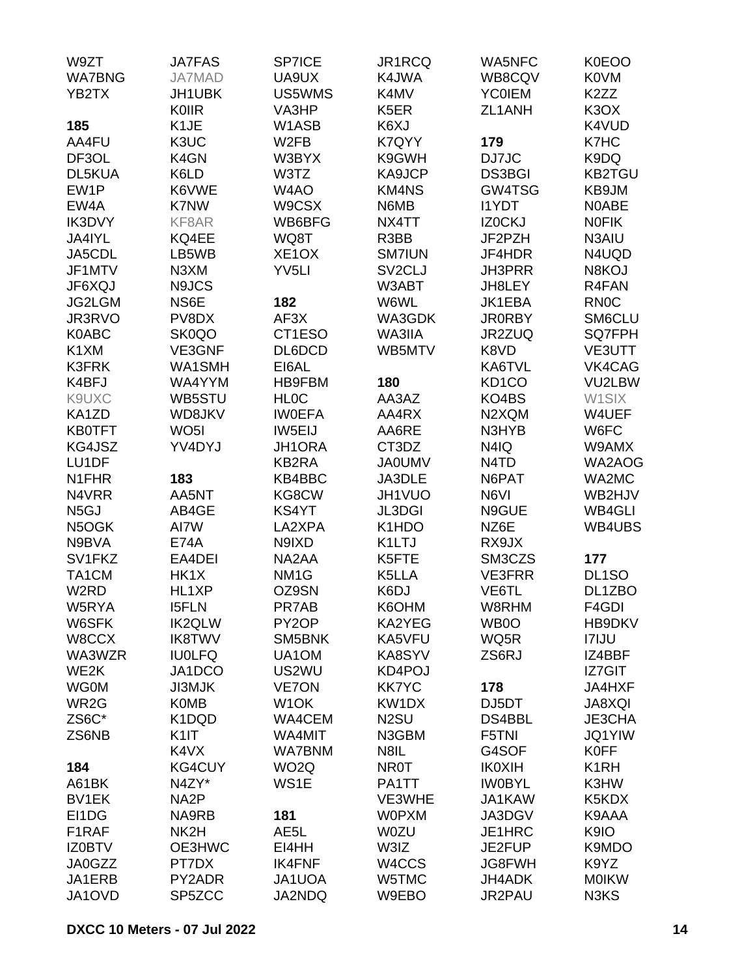| W9ZT              | <b>JA7FAS</b>     | <b>SP7ICE</b>      | JR1RCQ              | <b>WA5NFC</b>                 | K0EOO                         |
|-------------------|-------------------|--------------------|---------------------|-------------------------------|-------------------------------|
| <b>WA7BNG</b>     | JA7MAD            | UA9UX              | K4JWA               | WB8CQV                        | <b>K0VM</b>                   |
| YB2TX             | JH1UBK            | US5WMS             | K4MV                | <b>YC0IEM</b>                 | K <sub>2</sub> ZZ             |
|                   | KOIIR             | VA3HP              | K <sub>5</sub> ER   | ZL1ANH                        | K <sub>3</sub> O <sub>X</sub> |
| 185               | K <sub>1</sub> JE | W1ASB              | K6XJ                |                               | K4VUD                         |
| AA4FU             | K3UC              | W <sub>2FB</sub>   | K7QYY               | 179                           | K7HC                          |
| DF3OL             | K4GN              | W3BYX              | K9GWH               | DJ7JC                         | K9DQ                          |
| <b>DL5KUA</b>     | K6LD              | W3TZ               | KA9JCP              | <b>DS3BGI</b>                 | <b>KB2TGU</b>                 |
| EW1P              | K6VWE             | W4AO               | <b>KM4NS</b>        | GW4TSG                        |                               |
|                   |                   |                    |                     |                               | KB9JM                         |
| EW4A              | <b>K7NW</b>       | W9CSX              | N6MB                | <b>I1YDT</b>                  | N0ABE                         |
| IK3DVY            | KF8AR             | WB6BFG             | NX4TT               | IZ0CKJ                        | <b>NOFIK</b>                  |
| JA4IYL            | KQ4EE             | WQ8T               | R3BB                | JF2PZH                        | N3AIU                         |
| JA5CDL            | LB5WB             | XE <sub>1</sub> OX | <b>SM7IUN</b>       | JF4HDR                        | N4UQD                         |
| JF1MTV            | N3XM              | YV <sub>5LI</sub>  | SV <sub>2</sub> CLJ | <b>JH3PRR</b>                 | N8KOJ                         |
| JF6XQJ            | N9JCS             |                    | W3ABT               | JH8LEY                        | R4FAN                         |
| <b>JG2LGM</b>     | NS6E              | 182                | W6WL                | JK1EBA                        | <b>RN0C</b>                   |
| JR3RVO            | PV8DX             | AF <sub>3</sub> X  | WA3GDK              | <b>JR0RBY</b>                 | SM6CLU                        |
| K0ABC             | SK0QO             | CT1ESO             | WA3IIA              | JR2ZUQ                        | SQ7FPH                        |
| K1XM              | VE3GNF            | DL6DCD             | WB5MTV              | K8VD                          | VE3UTT                        |
| <b>K3FRK</b>      | WA1SMH            | EI6AL              |                     | KA6TVL                        | VK4CAG                        |
| K4BFJ             | WA4YYM            | HB9FBM             | 180                 | KD <sub>1</sub> CO            | VU2LBW                        |
| K9UXC             | WB5STU            | <b>HLOC</b>        | AA3AZ               | KO4BS                         | W1SIX                         |
| KA1ZD             | WD8JKV            | <b>IWOEFA</b>      | AA4RX               | N2XQM                         | W4UEF                         |
| <b>KB0TFT</b>     | WO <sub>5</sub> I | IW5EIJ             | AA6RE               | N3HYB                         | W6FC                          |
| KG4JSZ            | YV4DYJ            | JH1ORA             | CT3DZ               | N4IQ                          | W9AMX                         |
| LU1DF             |                   | <b>KB2RA</b>       | <b>JA0UMV</b>       | N <sub>4</sub> T <sub>D</sub> | WA2AOG                        |
| N1FHR             | 183               | KB4BBC             | JA3DLE              | N6PAT                         | WA2MC                         |
|                   |                   |                    |                     |                               | WB2HJV                        |
| N4VRR             | AA5NT             | KG8CW              | JH1VUO              | N6VI                          |                               |
| N <sub>5</sub> GJ | AB4GE             | KS4YT              | <b>JL3DGI</b>       | N9GUE                         | WB4GLI                        |
| N5OGK             | AI7W              | LA2XPA             | K1HDO               | NZ6E                          | WB4UBS                        |
| N9BVA             | <b>E74A</b>       | N9IXD              | K <sub>1</sub> LTJ  | RX9JX                         |                               |
| SV1FKZ            | EA4DEI            | NA2AA              | K5FTE               | SM3CZS                        | 177                           |
| TA1CM             | HK1X              | NM <sub>1</sub> G  | K5LLA               | <b>VE3FRR</b>                 | DL <sub>1</sub> SO            |
| W <sub>2</sub> RD | HL1XP             | OZ9SN              | K6DJ                | VE6TL                         | DL1ZBO                        |
| W5RYA             | <b>I5FLN</b>      | PR7AB              | K6OHM               | W8RHM                         | F4GDI                         |
| W6SFK             | <b>IK2QLW</b>     | PY <sub>2</sub> OP | KA2YEG              | WB0O                          | HB9DKV                        |
| W8CCX             | <b>IK8TWV</b>     | SM5BNK             | KA5VFU              | WQ5R                          | <b>I7IJU</b>                  |
| WA3WZR            | <b>IU0LFQ</b>     | UA1OM              | KA8SYV              | ZS6RJ                         | IZ4BBF                        |
| WE2K              | JA1DCO            | US2WU              | KD4POJ              |                               | IZ7GIT                        |
| <b>WG0M</b>       | <b>JI3MJK</b>     | <b>VE7ON</b>       | <b>KK7YC</b>        | 178                           | <b>JA4HXF</b>                 |
| WR <sub>2</sub> G | <b>K0MB</b>       | W1OK               | KW1DX               | DJ5DT                         | <b>JA8XQI</b>                 |
| ZS6C*             | K1DQD             | WA4CEM             | N <sub>2</sub> SU   | DS4BBL                        | JE3CHA                        |
| ZS6NB             | K1IT              | WA4MIT             | N3GBM               | F5TNI                         | <b>JQ1YIW</b>                 |
|                   | K4VX              | <b>WA7BNM</b>      | N8IL                | G4SOF                         | <b>K0FF</b>                   |
| 184               | <b>KG4CUY</b>     | WO <sub>2</sub> Q  | <b>NR0T</b>         | <b>IK0XIH</b>                 | K <sub>1</sub> RH             |
| A61BK             | N4ZY*             | WS1E               | PA1TT               | <b>IWOBYL</b>                 | K3HW                          |
| BV1EK             | NA <sub>2</sub> P |                    | VE3WHE              | JA1KAW                        | K5KDX                         |
|                   |                   |                    | <b>W0PXM</b>        |                               |                               |
| EI1DG             | NA9RB             | 181                |                     | JA3DGV                        | K9AAA                         |
| F1RAF             | NK2H              | AE <sub>5</sub> L  | <b>W0ZU</b>         | JE1HRC                        | K9IO                          |
| <b>IZ0BTV</b>     | OE3HWC            | EI4HH              | W3IZ                | JE2FUP                        | K9MDO                         |
| JA0GZZ            | PT7DX             | <b>IK4FNF</b>      | W4CCS               | JG8FWH                        | K9YZ                          |
| JA1ERB            | PY2ADR            | JA1UOA             | W5TMC               | JH4ADK                        | <b>MOIKW</b>                  |
| JA1OVD            | SP5ZCC            | JA2NDQ             | W9EBO               | JR2PAU                        | N3KS                          |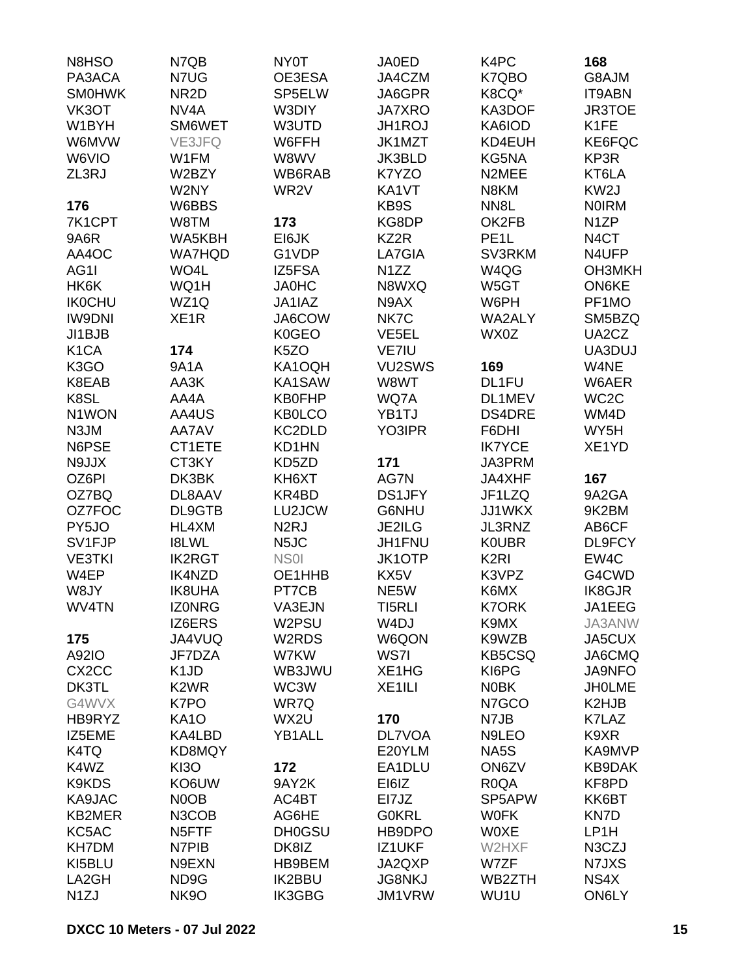| N8HSO              | N7QB               | NY0T              | JA0ED              | K4PC              | 168               |
|--------------------|--------------------|-------------------|--------------------|-------------------|-------------------|
| PA3ACA             | N7UG               | OE3ESA            | JA4CZM             | K7QBO             | G8AJM             |
| <b>SMOHWK</b>      | NR <sub>2</sub> D  | SP5ELW            | JA6GPR             | K8CQ*             | <b>IT9ABN</b>     |
| VK3OT              | NV <sub>4</sub> A  | W3DIY             | <b>JA7XRO</b>      | KA3DOF            | JR3TOE            |
| W1BYH              | SM6WET             | W3UTD             | JH1ROJ             | KA6IOD            | K1FE              |
| W6MVW              | <b>VE3JFQ</b>      | W6FFH             | JK1MZT             | KD4EUH            | KE6FQC            |
| W6VIO              | W1FM               | W8WV              | JK3BLD             | KG5NA             | KP3R              |
| ZL3RJ              | W2BZY              | WB6RAB            | K7YZO              | N2MEE             | KT6LA             |
|                    | W2NY               | WR <sub>2</sub> V | KA1VT              | N8KM              | KW <sub>2</sub> J |
| 176                | W6BBS              |                   | KB9S               | NN <sub>8</sub> L | <b>NOIRM</b>      |
|                    |                    |                   | KG8DP              | OK2FB             | N <sub>1</sub> ZP |
| 7K1CPT             | W8TM               | 173               |                    |                   |                   |
| <b>9A6R</b>        | WA5KBH             | EI6JK             | KZ2R               | PE <sub>1</sub> L | N <sub>4</sub> CT |
| AA4OC              | <b>WA7HQD</b>      | G1VDP             | LA7GIA             | SV3RKM            | N4UFP             |
| AG1I               | WO4L               | IZ5FSA            | N <sub>1</sub> ZZ  | W4QG              | <b>ОНЗМКН</b>     |
| HK6K               | WQ1H               | <b>JA0HC</b>      | N8WXQ              | W5GT              | <b>ON6KE</b>      |
| <b>IK0CHU</b>      | WZ1Q               | JA1IAZ            | N9AX               | W6PH              | PF1MO             |
| <b>IW9DNI</b>      | XE <sub>1</sub> R  | JA6COW            | NK7C               | WA2ALY            | SM5BZQ            |
| JI1BJB             |                    | K0GEO             | VE5EL              | WX0Z              | UA2CZ             |
| K <sub>1</sub> CA  | 174                | K <sub>5</sub> ZO | VE7IU              |                   | UA3DUJ            |
| K <sub>3</sub> GO  | <b>9A1A</b>        | KA1OQH            | VU2SWS             | 169               | W4NE              |
| K8EAB              | AA3K               | KA1SAW            | W8WT               | DL1FU             | W6AER             |
| K8SL               | AA4A               | <b>KB0FHP</b>     | WQ7A               | DL1MEV            | WC <sub>2</sub> C |
| N1WON              | AA4US              | <b>KB0LCO</b>     | YB1TJ              | <b>DS4DRE</b>     | WM4D              |
| N3JM               | AA7AV              | KC2DLD            | YO3IPR             | F6DHI             | WY5H              |
| N6PSE              | CT1ETE             | KD1HN             |                    | <b>IK7YCE</b>     | XE1YD             |
| N9JJX              | CT3KY              | KD5ZD             | 171                | JA3PRM            |                   |
| OZ6PI              | DK3BK              | KH6XT             | AG7N               | JA4XHF            | 167               |
| OZ7BQ              | DL8AAV             | KR4BD             | <b>DS1JFY</b>      | JF1LZQ            | 9A2GA             |
| OZ7FOC             | DL9GTB             | LU2JCW            | G6NHU              | JJ1WKX            | 9K2BM             |
| PY5JO              | HL4XM              | N <sub>2</sub> RJ | JE2ILG             | JL3RNZ            | AB6CF             |
| SV1FJP             | <b>I8LWL</b>       | N <sub>5</sub> JC | JH1FNU             | <b>KOUBR</b>      | DL9FCY            |
| <b>VE3TKI</b>      | <b>IK2RGT</b>      | NS <sub>01</sub>  | <b>JK1OTP</b>      | K <sub>2RI</sub>  | EW4C              |
| W4EP               | <b>IK4NZD</b>      | OE1HHB            | KX5V               | K3VPZ             | G4CWD             |
| W8JY               | <b>IK8UHA</b>      | PT7CB             | NE5W               | K6MX              | <b>IK8GJR</b>     |
| WV4TN              | <b>IZONRG</b>      | VA3EJN            | TI5RLI             | <b>K7ORK</b>      | JA1EEG            |
|                    | IZ6ERS             | W2PSU             | W <sub>4</sub> DJ  | K9MX              | JA3ANW            |
| 175                | JA4VUQ             | W2RDS             | W6QON              | K9WZB             | JA5CUX            |
|                    |                    |                   |                    |                   |                   |
| A92IO              | JF7DZA             | W7KW              | WS7I               | <b>KB5CSQ</b>     | JA6CMQ            |
| CX <sub>2</sub> CC | K <sub>1</sub> JD  | WB3JWU            | XE1HG              | KI6PG             | <b>JA9NFO</b>     |
| DK3TL              | K <sub>2</sub> WR  | WC3W              | XE <sub>1ILI</sub> | <b>NOBK</b>       | <b>JHOLME</b>     |
| G4WVX              | K7PO               | WR7Q              |                    | N7GCO             | K2HJB             |
| HB9RYZ             | <b>KA10</b>        | WX2U              | 170                | N7JB              | K7LAZ             |
| IZ5EME             | KA4LBD             | YB1ALL            | <b>DL7VOA</b>      | N9LEO             | K9XR              |
| K4TQ               | <b>KD8MQY</b>      |                   | E20YLM             | NA5S              | KA9MVP            |
| K4WZ               | <b>KI3O</b>        | 172               | EA1DLU             | ON6ZV             | KB9DAK            |
| K9KDS              | KO6UW              | 9AY2K             | EI6IZ              | R <sub>0</sub> QA | KF8PD             |
| KA9JAC             | N0OB               | AC4BT             | EI7JZ              | SP5APW            | KK6BT             |
| KB2MER             | N3COB              | AG6HE             | <b>GOKRL</b>       | <b>WOFK</b>       | KN7D              |
| KC5AC              | N <sub>5</sub> FTF | <b>DH0GSU</b>     | HB9DPO             | <b>WOXE</b>       | LP1H              |
| <b>KH7DM</b>       | N7PIB              | DK8IZ             | IZ1UKF             | W2HXF             | N3CZJ             |
| KI5BLU             | N9EXN              | HB9BEM            | JA2QXP             | W7ZF              | N7JXS             |
| LA2GH              | ND9G               | <b>IK2BBU</b>     | <b>JG8NKJ</b>      | WB2ZTH            | NS4X              |
| N <sub>1</sub> ZJ  | <b>NK9O</b>        | <b>IK3GBG</b>     | JM1VRW             | WU1U              | ON6LY             |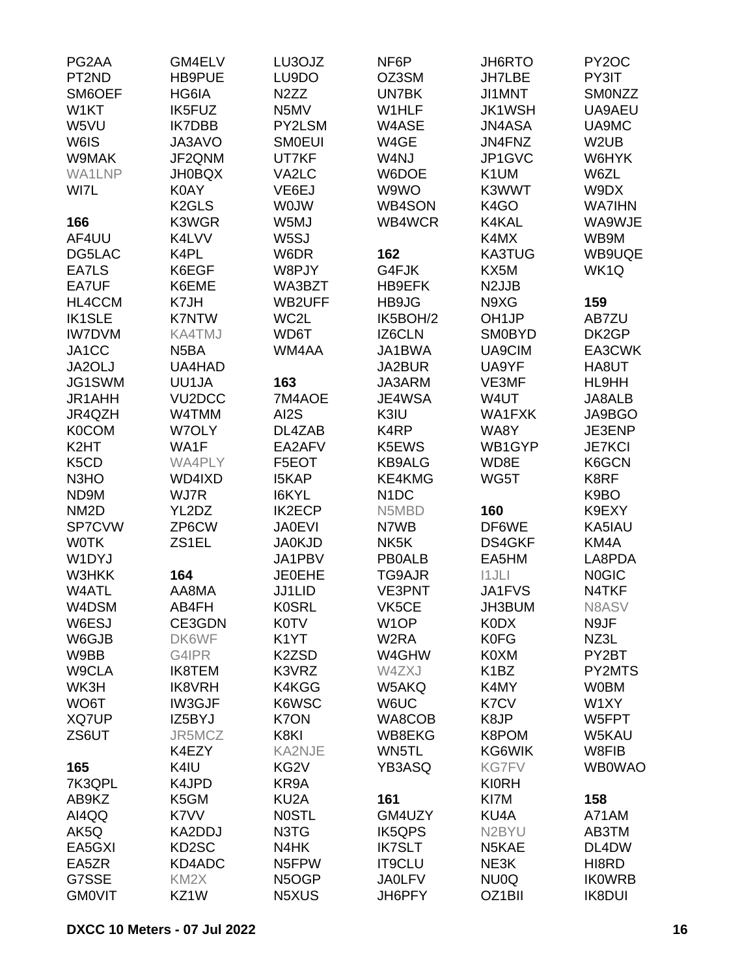| PG2AA                         | GM4ELV              | LU3OJZ            | NF6P              | JH6RTO             | PY <sub>2</sub> OC |
|-------------------------------|---------------------|-------------------|-------------------|--------------------|--------------------|
| PT <sub>2</sub> ND            | <b>HB9PUE</b>       | LU9DO             | OZ3SM             | <b>JH7LBE</b>      | PY3IT              |
| SM6OEF                        | HG6IA               | N <sub>2</sub> ZZ | UN7BK             | JI1MNT             | SMONZZ             |
| W1KT                          | <b>IK5FUZ</b>       | N5MV              | W1HLF             | <b>JK1WSH</b>      | UA9AEU             |
| W5VU                          | <b>IK7DBB</b>       | PY2LSM            | W4ASE             | JN4ASA             | UA9MC              |
| W6IS                          | JA3AVO              | <b>SMOEUI</b>     | W4GE              | JN4FNZ             | W <sub>2</sub> UB  |
| W9MAK                         | JF2QNM              | UT7KF             | W4NJ              | JP1GVC             | W6HYK              |
| WA1LNP                        | <b>JH0BQX</b>       | VA2LC             | W6DOE             | K <sub>1</sub> UM  | W6ZL               |
| WI7L                          | K0AY                | VE6EJ             | W9WO              | K3WWT              | W9DX               |
|                               | K <sub>2</sub> GLS  | <b>WOJW</b>       | <b>WB4SON</b>     | K <sub>4</sub> GO  | <b>WA7IHN</b>      |
| 166                           | K3WGR               | W5MJ              | WB4WCR            | K4KAL              | WA9WJE             |
| AF4UU                         | K4LVV               | W5SJ              |                   | K4MX               | WB9M               |
| DG5LAC                        | K4PL                | W6DR              | 162               | <b>KA3TUG</b>      | WB9UQE             |
| EA7LS                         | K6EGF               | W8PJY             | G4FJK             | KX5M               | WK <sub>1</sub> Q  |
| EA7UF                         | K6EME               | WA3BZT            | HB9EFK            | N <sub>2</sub> JJB |                    |
| HL4CCM                        | K7JH                | WB2UFF            | HB9JG             | N9XG               | 159                |
| <b>IK1SLE</b>                 | <b>K7NTW</b>        | WC2L              | IK5BOH/2          | OH <sub>1JP</sub>  | AB7ZU              |
| <b>IW7DVM</b>                 | <b>KA4TMJ</b>       | WD6T              | IZ6CLN            | <b>SM0BYD</b>      | DK2GP              |
| JA1CC                         | N <sub>5</sub> BA   | WM4AA             | JA1BWA            | UA9CIM             | EA3CWK             |
| JA2OLJ                        | UA4HAD              |                   | JA2BUR            | UA9YF              | HA8UT              |
| JG1SWM                        | UU1JA               | 163               | JA3ARM            | VE3MF              | HL9HH              |
| JR1AHH                        | VU <sub>2</sub> DCC | 7M4AOE            | JE4WSA            | W4UT               | JA8ALB             |
| JR4QZH                        | W4TMM               | AI2S              | K3IU              | WA1FXK             | JA9BGO             |
| <b>K0COM</b>                  | W7OLY               | DL4ZAB            | K4RP              | WA8Y               | JE3ENP             |
| K <sub>2</sub> HT             | WA1F                | EA2AFV            | K5EWS             | WB1GYP             | <b>JE7KCI</b>      |
| K <sub>5</sub> C <sub>D</sub> | WA4PLY              | F5EOT             | <b>KB9ALG</b>     | WD8E               | K6GCN              |
| N <sub>3</sub> H <sub>O</sub> | WD4IXD              | <b>I5KAP</b>      | KE4KMG            | WG5T               | K8RF               |
| ND9M                          | WJ7R                | I6KYL             | N <sub>1</sub> DC |                    | K9BO               |
| NM <sub>2</sub> D             | YL2DZ               | <b>IK2ECP</b>     | N5MBD             | 160                | K9EXY              |
| SP7CVW                        | ZP6CW               | <b>JA0EVI</b>     | N7WB              | DF6WE              | KA5IAU             |
| <b>WOTK</b>                   | ZS1EL               | <b>JA0KJD</b>     | NK <sub>5</sub> K |                    | KM4A               |
| W1DYJ                         |                     |                   |                   | DS4GKF             |                    |
|                               |                     | JA1PBV            | <b>PB0ALB</b>     | EA5HM              | LA8PDA             |
| W3HKK<br>W4ATL                | 164                 | <b>JE0EHE</b>     | TG9AJR            | 11JLI              | <b>NOGIC</b>       |
|                               | AA8MA               | JJ1LID            | VE3PNT            | <b>JA1FVS</b>      | N4TKF              |
| W4DSM                         | AB4FH               | <b>K0SRL</b>      | VK5CE             | JH3BUM             | N8ASV              |
| W6ESJ                         | CE3GDN              | <b>K0TV</b>       | W <sub>1</sub> OP | <b>K0DX</b>        | N9JF               |
| W6GJB                         | DK6WF               | K <sub>1</sub> YT | W <sub>2</sub> RA | <b>K0FG</b>        | NZ3L               |
| W9BB                          | G4IPR               | K2ZSD             | W4GHW             | K0XM               | PY2BT              |
| W9CLA                         | <b>IK8TEM</b>       | K3VRZ             | W4ZXJ             | K <sub>1</sub> BZ  | PY2MTS             |
| WK3H                          | <b>IK8VRH</b>       | K4KGG             | W5AKQ             | K4MY               | <b>WOBM</b>        |
| WO6T                          | IW3GJF              | K6WSC             | W6UC              | K7CV               | W1XY               |
| XQ7UP                         | IZ5BYJ              | K7ON              | WA8COB            | K8JP               | W5FPT              |
| ZS6UT                         | JR5MCZ              | K8KI              | WB8EKG            | K8POM              | W5KAU              |
|                               | K4EZY               | <b>KA2NJE</b>     | WN5TL             | KG6WIK             | W8FIB              |
| 165                           | K4IU                | KG <sub>2V</sub>  | YB3ASQ            | <b>KG7FV</b>       | <b>WB0WAO</b>      |
| 7K3QPL                        | K4JPD               | KR9A              |                   | <b>KI0RH</b>       |                    |
| AB9KZ                         | K5GM                | KU <sub>2</sub> A | 161               | KI7M               | 158                |
| AI4QQ                         | K7VV                | <b>NOSTL</b>      | GM4UZY            | KU4A               | A71AM              |
| AK5Q                          | KA2DDJ              | N3TG              | <b>IK5QPS</b>     | N2BYU              | AB3TM              |
| EA5GXI                        | KD2SC               | N4HK              | <b>IK7SLT</b>     | N5KAE              | DL4DW              |
| EA5ZR                         | KD4ADC              | N5FPW             | <b>IT9CLU</b>     | NE3K               | HI8RD              |
| G7SSE                         | KM <sub>2</sub> X   | N5OGP             | <b>JA0LFV</b>     | NU0Q               | <b>IKOWRB</b>      |
| <b>GMOVIT</b>                 | KZ1W                | N5XUS             | JH6PFY            | OZ1BII             | <b>IK8DUI</b>      |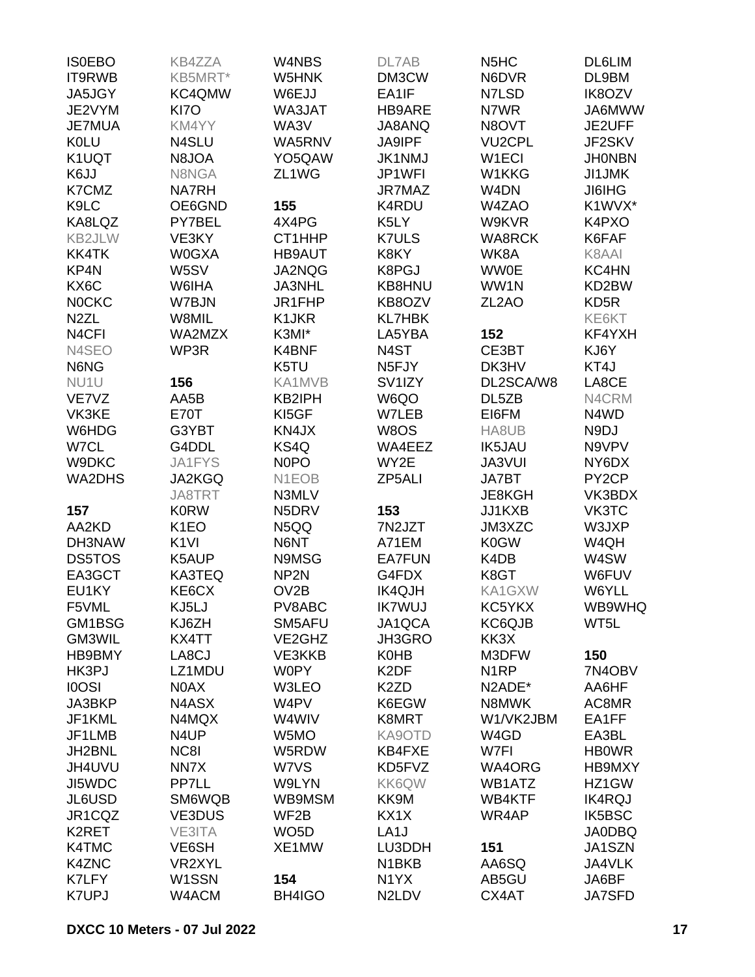| <b>ISOEBO</b>      | <b>KB4ZZA</b>     | W4NBS              | DL7AB               | N <sub>5</sub> H <sub>C</sub> | <b>DL6LIM</b>      |
|--------------------|-------------------|--------------------|---------------------|-------------------------------|--------------------|
| IT9RWB             | KB5MRT*           | W5HNK              | DM3CW               | N6DVR                         | DL9BM              |
| JA5JGY             | KC4QMW            | W6EJJ              | EA1IF               | N7LSD                         | IK8OZV             |
| JE2VYM             | KI7O              | WA3JAT             | HB9ARE              | N7WR                          | JA6MWW             |
| <b>JE7MUA</b>      | KM4YY             | WA3V               | JA8ANQ              | N8OVT                         | JE2UFF             |
| <b>K0LU</b>        | N4SLU             | WA5RNV             | <b>JA9IPF</b>       | <b>VU2CPL</b>                 | JF2SKV             |
| K1UQT              | N8JOA             | YO5QAW             | <b>JK1NMJ</b>       | W <sub>1</sub> ECI            | <b>JHONBN</b>      |
| K6JJ               | N8NGA             | ZL1WG              | JP1WFI              | W1KKG                         | <b>JI1JMK</b>      |
| K7CMZ              | <b>NA7RH</b>      |                    | <b>JR7MAZ</b>       | W <sub>4</sub> DN             | <b>JI6IHG</b>      |
| K9LC               | OE6GND            | 155                | K4RDU               | W4ZAO                         | K1WVX*             |
| KA8LQZ             | PY7BEL            | 4X4PG              | K5LY                | W9KVR                         | K4PXO              |
| KB2JLW             | VE3KY             | CT1HHP             | <b>K7ULS</b>        | <b>WA8RCK</b>                 | K6FAF              |
| <b>KK4TK</b>       | <b>W0GXA</b>      | <b>HB9AUT</b>      | K8KY                | WK8A                          | K8AAI              |
| KP4N               | W5SV              | JA2NQG             | K8PGJ               | <b>WW0E</b>                   | KC4HN              |
| KX6C               | W6IHA             | <b>JA3NHL</b>      | KB8HNU              | WW1N                          | KD2BW              |
| <b>NOCKC</b>       | W7BJN             | JR1FHP             | KB8OZV              | ZL <sub>2</sub> AO            | KD <sub>5</sub> R  |
| N <sub>2</sub> ZL  | W8MIL             | K1JKR              | <b>KL7HBK</b>       |                               | KE6KT              |
| N <sub>4</sub> CFI | WA2MZX            | K3MI*              | LA5YBA              | 152                           | KF4YXH             |
| N4SEO              | WP3R              | K4BNF              | N <sub>4</sub> ST   | CE3BT                         | KJ6Y               |
| N6NG               |                   | K5TU               | N <sub>5</sub> FJY  | DK3HV                         | KT4J               |
| NU1U               | 156               | KA1MVB             | SV <sub>1</sub> IZY | DL2SCA/W8                     | LA8CE              |
| VE7VZ              | AA5B              | KB2IPH             | W6QO                | DL5ZB                         | N4CRM              |
| VK3KE              | <b>E70T</b>       | KI5GF              | W7LEB               | EI6FM                         | N4WD               |
| W6HDG              | G3YBT             | KN4JX              | W8OS                | HA8UB                         | N9DJ               |
| W7CL               | G4DDL             | KS4Q               | WA4EEZ              | <b>IK5JAU</b>                 | N9VPV              |
| W9DKC              | JA1FYS            | N <sub>0</sub> PO  | WY2E                | JA3VUI                        | NY6DX              |
| <b>WA2DHS</b>      | JA2KGQ            | N <sub>1</sub> EOB | ZP5ALI              | JA7BT                         | PY <sub>2</sub> CP |
|                    | JA8TRT            | N3MLV              |                     | JE8KGH                        | VK3BDX             |
| 157                | <b>K0RW</b>       | N5DRV              | 153                 | JJ1KXB                        | VK3TC              |
| AA2KD              | K <sub>1</sub> EO | N5QQ               | 7N2JZT              | JM3XZC                        | W3JXP              |
| DH3NAW             | K <sub>1VI</sub>  | N6NT               | A71EM               | <b>K0GW</b>                   | W4QH               |
| <b>DS5TOS</b>      | K5AUP             | N9MSG              | <b>EA7FUN</b>       | K4DB                          | W4SW               |
| EA3GCT             | KA3TEQ            | NP <sub>2N</sub>   | G4FDX               | K8GT                          | W6FUV              |
| EU1KY              |                   | OV <sub>2</sub> B  |                     | KA1GXW                        |                    |
|                    | KE6CX<br>KJ5LJ    |                    | <b>IK4QJH</b>       |                               | W6YLL<br>WB9WHQ    |
| F5VML              |                   | PV8ABC             | <b>IK7WUJ</b>       | KC5YKX                        |                    |
| GM1BSG             | KJ6ZH             | SM5AFU             | JA1QCA              | KC6QJB                        | WT5L               |
| GM3WIL             | KX4TT             | VE2GHZ             | JH3GRO              | KK3X                          |                    |
| HB9BMY             | LA8CJ             | VE3KKB             | <b>K0HB</b>         | M3DFW                         | 150                |
| HK3PJ              | LZ1MDU            | <b>W0PY</b>        | K <sub>2</sub> DF   | N <sub>1</sub> RP             | 7N4OBV             |
| <b>IOOSI</b>       | N0AX              | W3LEO              | K <sub>2</sub> ZD   | N2ADE*                        | AA6HF              |
| JA3BKP             | N4ASX             | W4PV               | K6EGW               | N8MWK                         | AC8MR              |
| JF1KML             | N4MQX             | W4WIV              | K8MRT               | W1/VK2JBM                     | EA1FF              |
| JF1LMB             | N4UP              | W5MO               | KA9OTD              | W4GD                          | EA3BL              |
| JH2BNL             | NC8I              | W5RDW              | KB4FXE              | W7FI                          | <b>HBOWR</b>       |
| JH4UVU             | NN7X              | W7VS               | KD5FVZ              | WA4ORG                        | HB9MXY             |
| JI5WDC             | PP7LL             | W9LYN              | KK6QW               | WB1ATZ                        | HZ1GW              |
| JL6USD             | SM6WQB            | WB9MSM             | KK9M                | WB4KTF                        | <b>IK4RQJ</b>      |
| JR1CQZ             | <b>VE3DUS</b>     | WF2B               | KX1X                | WR4AP                         | <b>IK5BSC</b>      |
| K2RET              | VE3ITA            | WO <sub>5</sub> D  | LA <sub>1</sub> J   |                               | <b>JA0DBQ</b>      |
| <b>K4TMC</b>       | VE6SH             | XE1MW              | LU3DDH              | 151                           | JA1SZN             |
| K4ZNC              | VR2XYL            |                    | N <sub>1</sub> BKB  | AA6SQ                         | JA4VLK             |
| K7LFY              | W1SSN             | 154                | N <sub>1</sub> YX   | AB5GU                         | JA6BF              |
| <b>K7UPJ</b>       | W4ACM             | BH4IGO             | N2LDV               | CX4AT                         | <b>JA7SFD</b>      |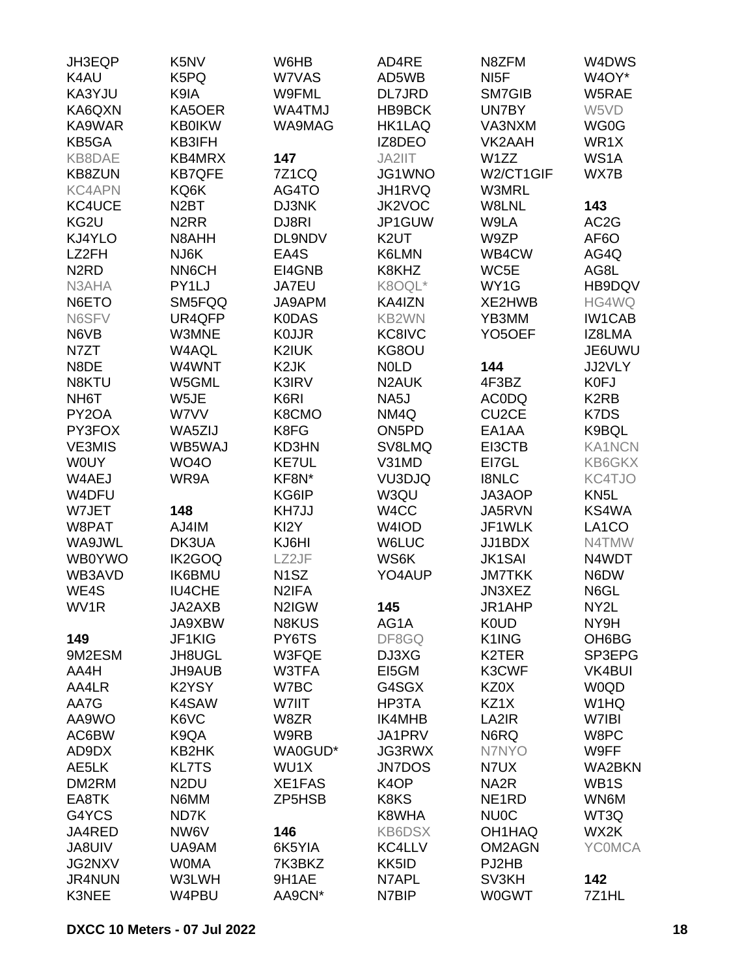| JH3EQP                        | K5NV              | W6HB               | AD4RE              | N8ZFM               | W4DWS             |
|-------------------------------|-------------------|--------------------|--------------------|---------------------|-------------------|
| K4AU                          | K5PQ              | W7VAS              | AD5WB              | NI <sub>5</sub> F   | W4OY*             |
| KA3YJU                        | K9IA              | W9FML              | DL7JRD             | SM7GIB              | W5RAE             |
| KA6QXN                        | KA5OER            | WA4TMJ             | HB9BCK             | UN7BY               | W5VD              |
| KA9WAR                        | <b>KB0IKW</b>     | WA9MAG             | <b>HK1LAQ</b>      | VA3NXM              | WG0G              |
| KB5GA                         | KB3IFH            |                    | IZ8DEO             | VK2AAH              | WR1X              |
| KB8DAE                        | KB4MRX            | 147                | JA2IIT             | W1ZZ                | WS1A              |
| <b>KB8ZUN</b>                 | <b>KB7QFE</b>     | <b>7Z1CQ</b>       | JG1WNO             | W2/CT1GIF           | WX7B              |
| <b>KC4APN</b>                 | KQ6K              | AG4TO              | JH1RVQ             | W3MRL               |                   |
| KC4UCE                        | N <sub>2</sub> BT | DJ3NK              | JK2VOC             | W8LNL               | 143               |
| KG2U                          | N <sub>2</sub> RR | DJ8RI              | JP1GUW             | W9LA                | AC <sub>2</sub> G |
| KJ4YLO                        | N8AHH             | DL9NDV             | K <sub>2</sub> UT  | W9ZP                | AF6O              |
| LZ2FH                         | NJ6K              | EA4S               | K6LMN              | WB4CW               | AG4Q              |
| N <sub>2</sub> R <sub>D</sub> | NN6CH             | EI4GNB             | K8KHZ              | WC5E                | AG8L              |
| N3AHA                         | PY1LJ             | JA7EU              | K8OQL*             | WY1G                | HB9DQV            |
| N6ETO                         | SM5FQQ            | JA9APM             | KA4IZN             | XE2HWB              | HG4WQ             |
| N6SFV                         | UR4QFP            | <b>K0DAS</b>       | KB2WN              | YB3MM               | <b>IW1CAB</b>     |
| N6VB                          | W3MNE             | <b>KOJJR</b>       | KC8IVC             | YO <sub>5</sub> OEF | IZ8LMA            |
| N7ZT                          | W4AQL             | K2IUK              | KG8OU              |                     | JE6UWU            |
| N8DE                          | W4WNT             | K <sub>2</sub> JK  | <b>NOLD</b>        | 144                 | JJ2VLY            |
| N8KTU                         | W5GML             | K3IRV              | N <sub>2</sub> AUK | 4F3BZ               | K0FJ              |
| NH <sub>6</sub> T             | W5JE              | K6RI               | NA5J               | <b>ACODQ</b>        | K <sub>2</sub> RB |
| PY2OA                         | W7VV              | K8CMO              | NM4Q               | CU <sub>2</sub> CE  | K7DS              |
| PY3FOX                        | WA5ZIJ            | K8FG               | ON <sub>5</sub> PD | EA1AA               | K9BQL             |
| <b>VE3MIS</b>                 | WB5WAJ            | <b>KD3HN</b>       | SV8LMQ             | EI3CTB              | <b>KA1NCN</b>     |
| <b>WOUY</b>                   | <b>WO4O</b>       | <b>KE7UL</b>       | V31MD              | EI7GL               | KB6GKX            |
| W4AEJ                         | WR9A              | KF8N*              | VU3DJQ             | <b>I8NLC</b>        | KC4TJO            |
| W4DFU                         |                   | KG6IP              | W3QU               | JA3AOP              | KN <sub>5</sub> L |
| W7JET                         | 148               | KH7JJ              | W4CC               | JA5RVN              | KS4WA             |
| W8PAT                         | AJ4IM             | KI2Y               | W4IOD              | JF1WLK              | LA1CO             |
| WA9JWL                        | DK3UA             | KJ6HI              | <b>W6LUC</b>       | JJ1BDX              | N4TMW             |
| <b>WB0YWO</b>                 | IK2GOQ            | LZ2JF              | WS6K               | <b>JK1SAI</b>       | N4WDT             |
| WB3AVD                        | <b>IK6BMU</b>     | N <sub>1</sub> SZ  | YO4AUP             | <b>JM7TKK</b>       | N6DW              |
| WE4S                          | <b>IU4CHE</b>     | N <sub>2</sub> IFA |                    | JN3XEZ              | N6GL              |
| WV1R                          | JA2AXB            | N2IGW              | 145                | JR1AHP              | NY2L              |
|                               | JA9XBW            | <b>N8KUS</b>       | AG1A               | <b>K0UD</b>         | NY9H              |
| 149                           | JF1KIG            | PY6TS              | DF8GQ              | K1ING               | OH6BG             |
| 9M2ESM                        | JH8UGL            | W3FQE              | DJ3XG              | K <sub>2</sub> TER  | SP3EPG            |
| AA4H                          | JH9AUB            | W3TFA              | EI5GM              | K3CWF               | <b>VK4BUI</b>     |
| AA4LR                         | K2YSY             | W7BC               | G4SGX              | KZ0X                | <b>W0QD</b>       |
| AA7G                          | K4SAW             | W7IIT              | HP3TA              | KZ1X                | W <sub>1</sub> HQ |
| AA9WO                         | K6VC              | W8ZR               | IK4MHB             | LA2IR               | W7IBI             |
|                               |                   | W9RB               |                    |                     |                   |
| AC6BW                         | K9QA              |                    | JA1PRV             | N6RQ                | W8PC              |
| AD9DX                         | KB2HK             | WA0GUD*            | <b>JG3RWX</b>      | N7NYO               | W9FF              |
| AE5LK                         | <b>KL7TS</b>      | WU1X               | <b>JN7DOS</b>      | N7UX                | <b>WA2BKN</b>     |
| DM2RM                         | N <sub>2</sub> DU | XE1FAS             | K <sub>4</sub> OP  | NA <sub>2</sub> R   | WB <sub>1</sub> S |
| EA8TK                         | N6MM              | ZP5HSB             | K8KS               | NE <sub>1</sub> RD  | WN6M              |
| G4YCS                         | ND7K              |                    | K8WHA              | <b>NU0C</b>         | WT3Q              |
| JA4RED                        | NW6V              | 146                | <b>KB6DSX</b>      | OH1HAQ              | WX2K              |
| <b>JA8UIV</b>                 | UA9AM             | 6K5YIA             | KC4LLV             | OM2AGN              | <b>YCOMCA</b>     |
| JG2NXV                        | <b>WOMA</b>       | 7K3BKZ             | KK5ID              | PJ2HB               |                   |
| <b>JR4NUN</b>                 | W3LWH             | 9H1AE              | N7APL              | SV3KH               | 142               |
| K3NEE                         | W4PBU             | AA9CN*             | N7BIP              | <b>W0GWT</b>        | 7Z1HL             |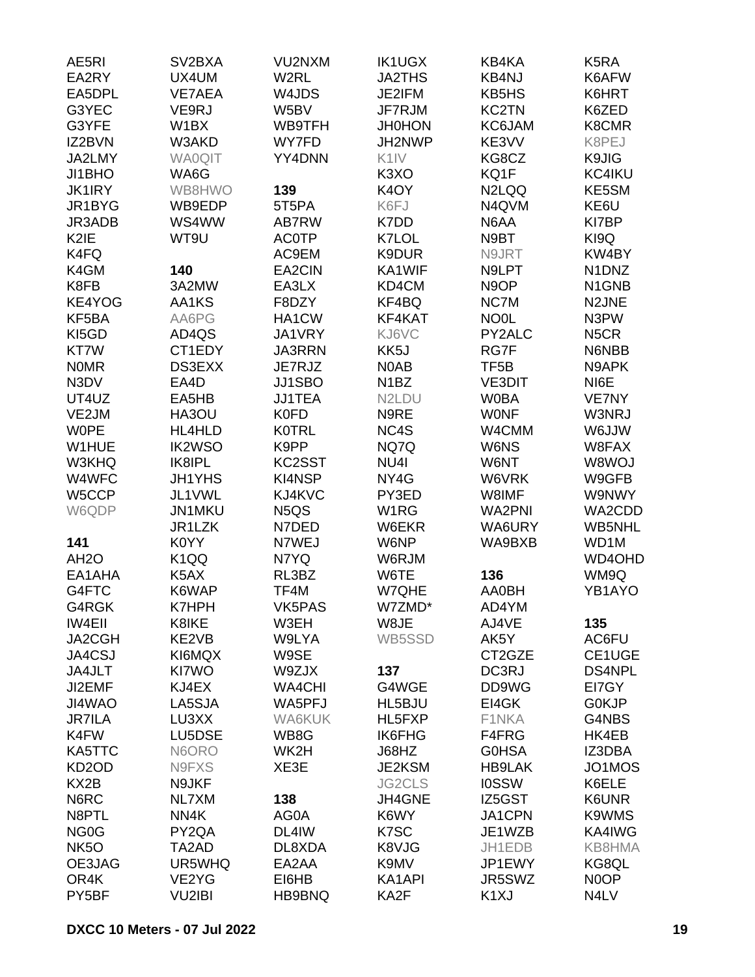| AE5RI              | SV <sub>2</sub> BXA | VU2NXM        | <b>IK1UGX</b>                  | KB4KA              | K <sub>5</sub> RA              |
|--------------------|---------------------|---------------|--------------------------------|--------------------|--------------------------------|
| EA2RY              | UX4UM               | W2RL          | <b>JA2THS</b>                  | KB4NJ              | K6AFW                          |
| EA5DPL             | <b>VE7AEA</b>       | W4JDS         | JE2IFM                         | KB5HS              | K6HRT                          |
| G3YEC              | VE9RJ               | W5BV          | JF7RJM                         | <b>KC2TN</b>       | K6ZED                          |
| G3YFE              | W1BX                | WB9TFH        | <b>JH0HON</b>                  | <b>KC6JAM</b>      | K8CMR                          |
| IZ2BVN             | W3AKD               | WY7FD         | JH2NWP                         | KE3VV              | K8PEJ                          |
| JA2LMY             | <b>WA0QIT</b>       | YY4DNN        | K <sub>1</sub> IV              | KG8CZ              | K9JIG                          |
| JI1BHO             | WA6G                |               | K <sub>3</sub> XO              | KQ1F               | KC4IKU                         |
| <b>JK1IRY</b>      | WB8HWO              | 139           | K <sub>4</sub> OY              | N <sub>2</sub> LQQ | KE5SM                          |
| JR1BYG             | WB9EDP              | 5T5PA         | K6FJ                           | N4QVM              | KE6U                           |
| JR3ADB             | WS4WW               | AB7RW         | K7DD                           | N6AA               | KI7BP                          |
| K <sub>2</sub> IE  | WT9U                | <b>AC0TP</b>  | K7LOL                          | N9BT               | KI9Q                           |
| K4FQ               |                     | AC9EM         | K9DUR                          | N9JRT              | KW4BY                          |
| K4GM               | 140                 |               | KA1WIF                         | N9LPT              | N1DNZ                          |
|                    |                     | EA2CIN        |                                |                    |                                |
| K8FB               | 3A2MW               | EA3LX         | KD4CM                          | N <sub>9</sub> OP  | N <sub>1</sub> GN <sub>B</sub> |
| KE4YOG             | AA1KS               | F8DZY         | KF4BQ                          | NC7M               | N2JNE                          |
| KF5BA              | AA6PG               | HA1CW         | KF4KAT                         | NO <sub>OL</sub>   | N3PW                           |
| KI5GD              | AD4QS               | <b>JA1VRY</b> | KJ6VC                          | PY2ALC             | N <sub>5</sub> CR              |
| KT7W               | CT1EDY              | <b>JA3RRN</b> | KK <sub>5</sub> J              | RG7F               | N6NBB                          |
| <b>NOMR</b>        | DS3EXX              | JE7RJZ        | N0AB                           | TF <sub>5</sub> B  | N9APK                          |
| N3DV               | EA4D                | JJ1SBO        | N <sub>1</sub> BZ              | <b>VE3DIT</b>      | NI6E                           |
| UT4UZ              | EA5HB               | <b>JJ1TEA</b> | N <sub>2</sub> L <sub>DU</sub> | <b>W0BA</b>        | VE7NY                          |
| VE2JM              | HA3OU               | K0FD          | N9RE                           | <b>WONF</b>        | W3NRJ                          |
| <b>WOPE</b>        | HL4HLD              | <b>K0TRL</b>  | NC4S                           | W4CMM              | <b>WUJA</b>                    |
| W1HUE              | <b>IK2WSO</b>       | K9PP          | NQ7Q                           | W6NS               | W8FAX                          |
| W3KHQ              | IK8IPL              | KC2SST        | NU <sub>4</sub>                | W6NT               | W8WOJ                          |
| W4WFC              | <b>JH1YHS</b>       | <b>KI4NSP</b> | NY4G                           | W6VRK              | W9GFB                          |
| W5CCP              | JL1VWL              | KJ4KVC        | PY3ED                          | W8IMF              | W9NWY                          |
| W6QDP              | JN1MKU              | N5QS          | W1RG                           | WA2PNI             | WA2CDD                         |
|                    | JR1LZK              | N7DED         | W6EKR                          | WA6URY             | WB5NHL                         |
| 141                | K0YY                | N7WEJ         | W6NP                           | WA9BXB             | WD1M                           |
| AH <sub>2</sub> O  | K <sub>1</sub> QQ   | N7YQ          | W6RJM                          |                    | WD4OHD                         |
| EA1AHA             | K5AX                | RL3BZ         | W6TE                           | 136                | WM9Q                           |
| G4FTC              | K6WAP               | TF4M          | W7QHE                          | <b>AA0BH</b>       | YB1AYO                         |
| G4RGK              | <b>K7HPH</b>        | VK5PAS        | W7ZMD*                         | AD4YM              |                                |
| <b>IW4EII</b>      | K8IKE               | W3EH          | W8JE                           | AJ4VE              | 135                            |
| JA2CGH             | KE2VB               | W9LYA         | WB5SSD                         | AK5Y               | AC6FU                          |
| JA4CSJ             | KI6MQX              | W9SE          |                                | CT2GZE             | CE1UGE                         |
| JA4JLT             | KI7WO               | W9ZJX         | 137                            | DC3RJ              | <b>DS4NPL</b>                  |
| JI2EMF             | KJ4EX               | <b>WA4CHI</b> | G4WGE                          | DD9WG              | EI7GY                          |
| JI4WAO             | LA5SJA              | WA5PFJ        | HL5BJU                         | EI4GK              | G0KJP                          |
| <b>JR7ILA</b>      | LU3XX               | WA6KUK        | HL5FXP                         | F1NKA              | G4NBS                          |
| K4FW               | LU5DSE              | WB8G          | <b>IK6FHG</b>                  | F4FRG              | HK4EB                          |
| KA5TTC             | N6ORO               | WK2H          | J68HZ                          | <b>GOHSA</b>       | IZ3DBA                         |
| KD <sub>2</sub> OD | N9FXS               | XE3E          | JE2KSM                         | <b>HB9LAK</b>      | JO1MOS                         |
| KX <sub>2</sub> B  | N9JKF               |               | JG2CLS                         | <b>IOSSW</b>       | K6ELE                          |
| N6RC               | NL7XM               | 138           | JH4GNE                         | IZ5GST             | K6UNR                          |
| N8PTL              | NN4K                | AG0A          | K6WY                           | JA1CPN             | K9WMS                          |
| NG <sub>0</sub> G  | PY2QA               | DL4IW         | K7SC                           | JE1WZB             | KA4IWG                         |
| NK <sub>5</sub> O  | TA2AD               | DL8XDA        | K8VJG                          | JH1EDB             | <b>KB8HMA</b>                  |
| OE3JAG             | UR5WHQ              | EA2AA         | K9MV                           | JP1EWY             | KG8QL                          |
| OR4K               | VE2YG               | EI6HB         | KA1API                         | JR5SWZ             | N0OP                           |
|                    |                     |               |                                |                    |                                |
| PY5BF              | VU2IBI              | HB9BNQ        | KA2F                           | K <sub>1</sub> XJ  | N4LV                           |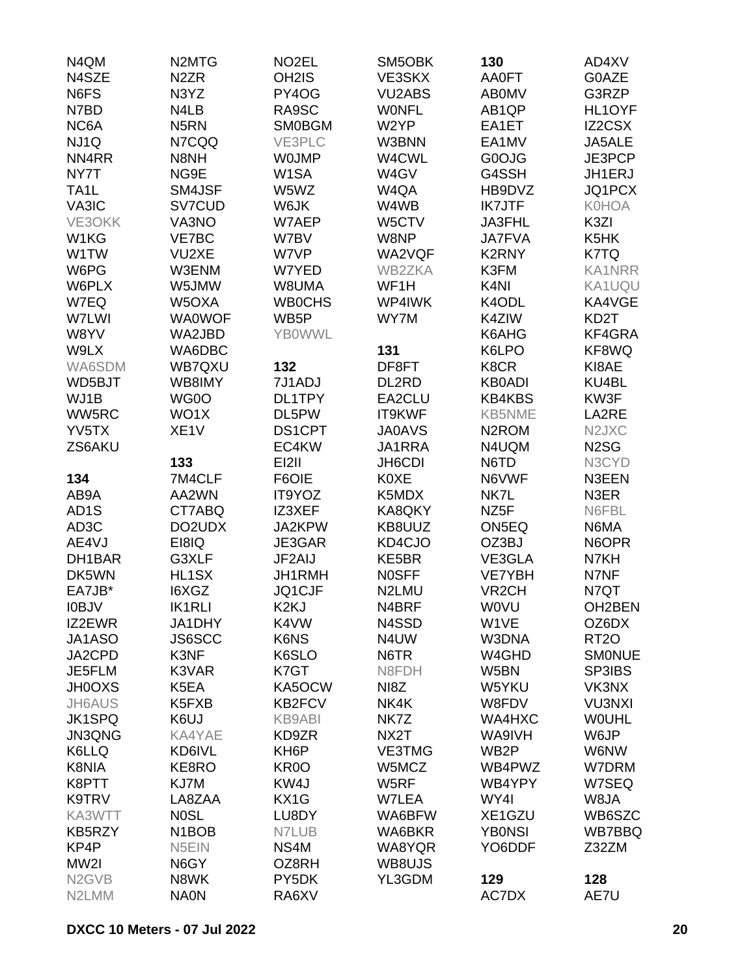| N4QM                           | N <sub>2</sub> MT <sub>G</sub> | NO <sub>2</sub> EL | SM5OBK             | 130                | AD4XV                          |
|--------------------------------|--------------------------------|--------------------|--------------------|--------------------|--------------------------------|
| N4SZE                          | N <sub>2</sub> ZR              | OH <sub>2</sub> IS | VE3SKX             | <b>AA0FT</b>       | G0AZE                          |
| N6FS                           | N3YZ                           | PY4OG              | <b>VU2ABS</b>      | <b>ABOMV</b>       | G3RZP                          |
| N7BD                           | N4LB                           | RA9SC              | <b>WONFL</b>       | AB <sub>1QP</sub>  | HL1OYF                         |
| NC6A                           | N <sub>5</sub> RN              | <b>SM0BGM</b>      | W2YP               | EA1ET              | IZ2CSX                         |
| NJ1Q                           | N7CQQ                          | VE3PLC             | W3BNN              | EA1MV              | JA5ALE                         |
| NN4RR                          | N8NH                           | <b>WOJMP</b>       | W4CWL              | G0OJG              | JE3PCP                         |
| NY7T                           | NG9E                           | W1SA               | W4GV               | G4SSH              | JH1ERJ                         |
| TA <sub>1</sub> L              | SM4JSF                         | W5WZ               | W4QA               | HB9DVZ             | JQ1PCX                         |
| VA3IC                          | SV7CUD                         | W6JK               | W4WB               | <b>IK7JTF</b>      | <b>K0HOA</b>                   |
| VE3OKK                         | VA3NO                          | W7AEP              | W5CTV              | JA3FHL             | K3ZI                           |
|                                |                                |                    | W8NP               |                    | K5HK                           |
| W1KG                           | VE7BC                          | W7BV               |                    | <b>JA7FVA</b>      |                                |
| W1TW                           | VU2XE                          | W7VP               | WA2VQF             | K2RNY              | K7TQ                           |
| W6PG                           | W3ENM                          | W7YED              | WB2ZKA             | K3FM               | <b>KA1NRR</b>                  |
| W6PLX                          | W5JMW                          | W8UMA              | WF1H               | K <sub>4N</sub>    | KA1UQU                         |
| W7EQ                           | W5OXA                          | <b>WB0CHS</b>      | WP4IWK             | K4ODL              | KA4VGE                         |
| W7LWI                          | <b>WA0WOF</b>                  | WB <sub>5</sub> P  | WY7M               | K4ZIW              | KD <sub>2</sub> T              |
| W8YV                           | WA2JBD                         | <b>YBOWWL</b>      |                    | K6AHG              | KF4GRA                         |
| W9LX                           | WA6DBC                         |                    | 131                | K6LPO              | KF8WQ                          |
| WA6SDM                         | WB7QXU                         | 132                | DF8FT              | K8CR               | KI8AE                          |
| WD5BJT                         | WB8IMY                         | 7J1ADJ             | DL2RD              | <b>KB0ADI</b>      | KU4BL                          |
| WJ1B                           | WG0O                           | DL1TPY             | EA2CLU             | <b>KB4KBS</b>      | KW3F                           |
| WW5RC                          | WO1X                           | DL5PW              | IT9KWF             | <b>KB5NME</b>      | LA2RE                          |
| YV5TX                          | XE <sub>1</sub> V              | DS1CPT             | <b>JA0AVS</b>      | N <sub>2</sub> ROM | N <sub>2</sub> JX <sub>C</sub> |
| ZS6AKU                         |                                | EC4KW              | JA1RRA             | N4UQM              | N <sub>2</sub> SG              |
|                                | 133                            | <b>EI2II</b>       | JH6CDI             | N6TD               | N3CYD                          |
| 134                            | 7M4CLF                         | F6OIE              | <b>K0XE</b>        | N6VWF              | N3EEN                          |
| AB9A                           | AA2WN                          | IT9YOZ             | K5MDX              | NK7L               | N3ER                           |
| AD <sub>1</sub> S              | CT7ABQ                         | IZ3XEF             | KA8QKY             | NZ <sub>5</sub> F  | N6FBL                          |
| AD <sub>3</sub> C              | DO2UDX                         | JA2KPW             | KB8UUZ             | ON5EQ              | N6MA                           |
| AE4VJ                          | EI8IQ                          | JE3GAR             | KD4CJO             | OZ3BJ              | N6OPR                          |
| DH1BAR                         | G3XLF                          | JF2AIJ             | KE5BR              | VE3GLA             | N7KH                           |
| DK5WN                          | HL1SX                          | JH1RMH             | <b>NOSFF</b>       | <b>VE7YBH</b>      | N7NF                           |
| EA7JB*                         | I6XGZ                          | JQ1CJF             | N <sub>2</sub> LMU | VR <sub>2</sub> CH | N7QT                           |
| <b>I0BJV</b>                   | <b>IK1RLI</b>                  | K <sub>2K</sub> J  | N4BRF              | <b>WOVU</b>        | OH2BEN                         |
| IZ2EWR                         | JA1DHY                         | K4VW               | N4SSD              | W1VE               | OZ6DX                          |
| JA1ASO                         | <b>JS6SCC</b>                  | K6NS               | N4UW               | W3DNA              |                                |
|                                |                                |                    |                    |                    | RT <sub>20</sub>               |
| JA2CPD                         | K3NF                           | K6SLO              | N6TR               | W4GHD              | <b>SMONUE</b>                  |
| JE5FLM                         | K3VAR                          | K7GT               | N8FDH              | W5BN               | SP3IBS                         |
| <b>JH0OXS</b>                  | K5EA                           | KA5OCW             | NI8Z               | W5YKU              | VK3NX                          |
| <b>JH6AUS</b>                  | K5FXB                          | KB2FCV             | NK4K               | W8FDV              | <b>VU3NXI</b>                  |
| <b>JK1SPQ</b>                  | K6UJ                           | <b>KB9ABI</b>      | NK7Z               | WA4HXC             | <b>WOUHL</b>                   |
| <b>JN3QNG</b>                  | KA4YAE                         | KD9ZR              | NX2T               | WA9IVH             | W6JP                           |
| K6LLQ                          | KD6IVL                         | KH <sub>6</sub> P  | <b>VE3TMG</b>      | WB <sub>2</sub> P  | W6NW                           |
| K8NIA                          | KE8RO                          | KR <sub>0</sub> O  | W5MCZ              | WB4PWZ             | W7DRM                          |
| K8PTT                          | KJ7M                           | KW4J               | W5RF               | WB4YPY             | W7SEQ                          |
| K9TRV                          | LA8ZAA                         | KX1G               | W7LEA              | WY4I               | W8JA                           |
| KA3WTT                         | <b>NOSL</b>                    | LU8DY              | WA6BFW             | XE1GZU             | WB6SZC                         |
| KB5RZY                         | N <sub>1</sub> BO <sub>B</sub> | N7LUB              | WA6BKR             | <b>YBONSI</b>      | WB7BBQ                         |
| KP4P                           | N5EIN                          | NS4M               | WA8YQR             | YO6DDF             | Z32ZM                          |
| MW2I                           | N6GY                           | OZ8RH              | WB8UJS             |                    |                                |
| N <sub>2</sub> GV <sub>B</sub> | N8WK                           | PY5DK              | YL3GDM             | 129                | 128                            |
| N2LMM                          | <b>NA0N</b>                    | RA6XV              |                    | AC7DX              | AE7U                           |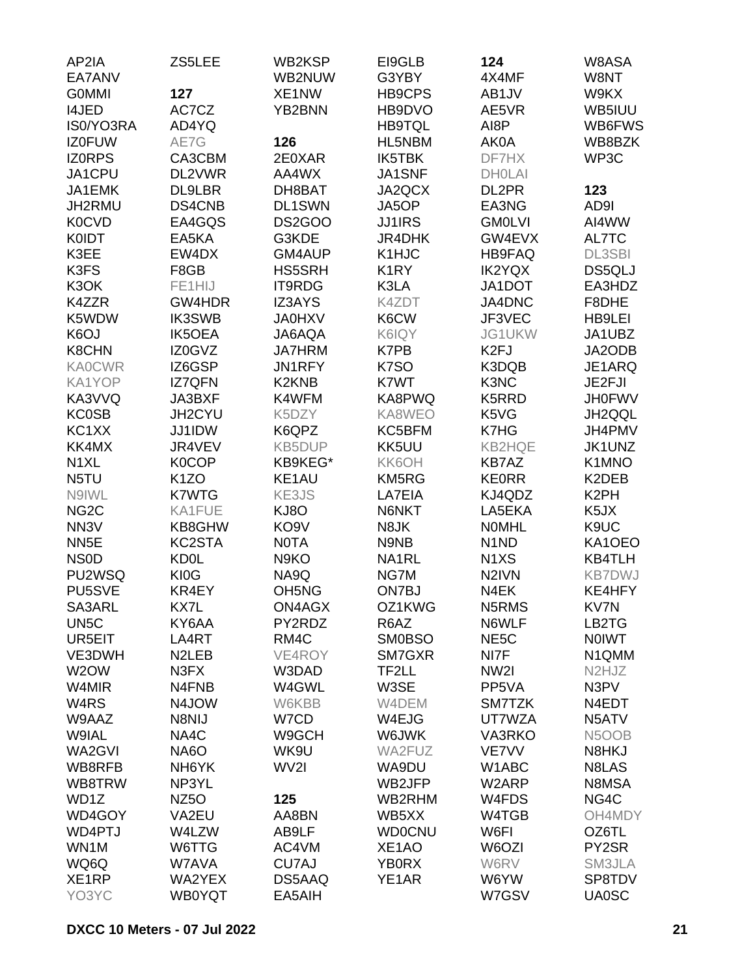| AP2IA             | ZS5LEE             | WB2KSP                         | EI9GLB             | 124                           | W8ASA                          |
|-------------------|--------------------|--------------------------------|--------------------|-------------------------------|--------------------------------|
| EA7ANV            |                    | WB2NUW                         | G3YBY              | 4X4MF                         | W8NT                           |
| <b>GOMMI</b>      | 127                | XE1NW                          | <b>HB9CPS</b>      | AB1JV                         | W9KX                           |
| I4JED             | AC7CZ              | YB2BNN                         | HB9DVO             | AE5VR                         | WB5IUU                         |
| IS0/YO3RA         | AD4YQ              |                                | <b>HB9TQL</b>      | AI8P                          | WB6FWS                         |
| <b>IZ0FUW</b>     | AE7G               | 126                            | HL5NBM             | AK0A                          | WB8BZK                         |
| <b>IZORPS</b>     | CA3CBM             | 2E0XAR                         | <b>IK5TBK</b>      | DF7HX                         | WP3C                           |
| JA1CPU            | DL2VWR             | AA4WX                          | JA1SNF             | <b>DHOLAI</b>                 |                                |
| JA1EMK            | DL9LBR             | DH8BAT                         | JA2QCX             | DL2PR                         | 123                            |
| JH2RMU            | DS4CNB             | DL1SWN                         | JA5OP              | EA3NG                         | AD9I                           |
| <b>K0CVD</b>      | EA4GQS             | DS2GOO                         | <b>JJ1IRS</b>      | <b>GM0LVI</b>                 | AI4WW                          |
| <b>K0IDT</b>      | EA5KA              | G3KDE                          | JR4DHK             | GW4EVX                        | AL7TC                          |
| K3EE              | EW4DX              | GM4AUP                         | K1HJC              | HB9FAQ                        | <b>DL3SBI</b>                  |
| K3FS              | F8GB               | <b>HS5SRH</b>                  | K <sub>1</sub> RY  | <b>IK2YQX</b>                 | DS5QLJ                         |
| K3OK              | FE1HIJ             | IT9RDG                         | K3LA               | JA1DOT                        | EA3HDZ                         |
| K4ZZR             | GW4HDR             | IZ3AYS                         | K4ZDT              | JA4DNC                        | F8DHE                          |
| K5WDW             | <b>IK3SWB</b>      | <b>JA0HXV</b>                  | K6CW               | JF3VEC                        | <b>HB9LEI</b>                  |
| K <sub>6</sub> OJ | <b>IK5OEA</b>      | JA6AQA                         | K6IQY              | JG1UKW                        | JA1UBZ                         |
| <b>K8CHN</b>      | IZ0GVZ             | <b>JA7HRM</b>                  | K7PB               | K <sub>2FJ</sub>              | JA2ODB                         |
| <b>KA0CWR</b>     | IZ6GSP             | JN1RFY                         | K7SO               | K3DQB                         | JE1ARQ                         |
| KA1YOP            | <b>IZ7QFN</b>      | K <sub>2</sub> KN <sub>B</sub> | K7WT               | K3NC                          | JE2FJI                         |
| KA3VVQ            | JA3BXF             | K4WFM                          | KA8PWQ             | K5RRD                         | <b>JH0FWV</b>                  |
| <b>KC0SB</b>      | JH2CYU             | K5DZY                          | KA8WEO             | K5VG                          | JH2QQL                         |
| KC1XX             | JJ1IDW             | K6QPZ                          | KC5BFM             | K7HG                          | JH4PMV                         |
| KK4MX             | JR4VEV             | <b>KB5DUP</b>                  | KK5UU              | <b>KB2HQE</b>                 | JK1UNZ                         |
| N <sub>1</sub> XL | <b>K0COP</b>       | KB9KEG*                        | KK6OH              | <b>KB7AZ</b>                  | K1MNO                          |
| N5TU              | K <sub>1</sub> ZO  | KE1AU                          | KM5RG              | <b>KE0RR</b>                  | K2DEB                          |
| N9IWL             | <b>K7WTG</b>       | KE3JS                          | LA7EIA             | KJ4QDZ                        | K <sub>2</sub> PH              |
| NG <sub>2</sub> C | KA1FUE             | KJ8O                           | N6NKT              | LA5EKA                        | K5JX                           |
| NN <sub>3</sub> V | KB8GHW             | KO <sub>9</sub> V              | N8JK               | <b>NOMHL</b>                  | K9UC                           |
| NN <sub>5E</sub>  | KC2STA             | <b>NOTA</b>                    | N9NB               | N <sub>1</sub> N <sub>D</sub> | KA1OEO                         |
| <b>NSOD</b>       | <b>KD0L</b>        | N9KO                           | NA1RL              | N <sub>1</sub> X <sub>S</sub> | <b>KB4TLH</b>                  |
| PU2WSQ            | KI0G               | NA9Q                           | NG7M               | N <sub>2</sub> IVN            | <b>KB7DWJ</b>                  |
| PU5SVE            | KR4EY              | OH <sub>5</sub> N <sub>G</sub> | ON7BJ              | N4EK                          | KE4HFY                         |
| SA3ARL            | KX7L               | ON4AGX                         | OZ1KWG             | N5RMS                         | KV7N                           |
| UN <sub>5</sub> C | KY6AA              | PY2RDZ                         | R6AZ               | N6WLF                         | LB2TG                          |
| UR5EIT            | LA4RT              | RM4C                           | <b>SM0BSO</b>      | NE <sub>5</sub> C             | <b>NOIWT</b>                   |
| VE3DWH            | N <sub>2</sub> LEB | VE4ROY                         | SM7GXR             | NI7F                          | N1QMM                          |
| W <sub>2</sub> OW | N3FX               | W3DAD                          | TF2LL              | NW <sub>2</sub>               | N <sub>2</sub> HJ <sub>Z</sub> |
| W4MIR             | N4FNB              | W4GWL                          | W3SE               | PP5VA                         | N3PV                           |
| W <sub>4</sub> RS | N4JOW              | W6KBB                          | W4DEM              | SM7TZK                        | N4EDT                          |
| W9AAZ             | N8NIJ              | W7CD                           | W4EJG              | UT7WZA                        | N5ATV                          |
| W9IAL             | NA4C               | W9GCH                          | W6JWK              | <b>VA3RKO</b>                 | N5OOB                          |
| WA2GVI            | <b>NA6O</b>        | WK9U                           | WA2FUZ             | <b>VE7VV</b>                  | N8HKJ                          |
| WB8RFB            | NH6YK              | WV2I                           | WA9DU              | W1ABC                         | N8LAS                          |
| WB8TRW            | NP3YL              |                                | WB2JFP             | W2ARP                         | N8MSA                          |
| WD1Z              | NZ <sub>50</sub>   | 125                            | WB2RHM             | W4FDS                         | NG4C                           |
| WD4GOY            | VA2EU              | AA8BN                          | WB5XX              | W4TGB                         | OH4MDY                         |
| WD4PTJ            | W4LZW              | AB9LF                          | <b>WD0CNU</b>      | W6FI                          | OZ6TL                          |
| WN1M              | W6TTG              | AC4VM                          | XE <sub>1</sub> AO | W6OZI                         | PY2SR                          |
| WQ6Q              | W7AVA              | CU7AJ                          | <b>YB0RX</b>       | W6RV                          | SM3JLA                         |
| XE1RP             | WA2YEX             | DS5AAQ                         | YE1AR              | W6YW                          | SP8TDV                         |
| YO3YC             | WB0YQT             | EA5AIH                         |                    | W7GSV                         | <b>UA0SC</b>                   |
|                   |                    |                                |                    |                               |                                |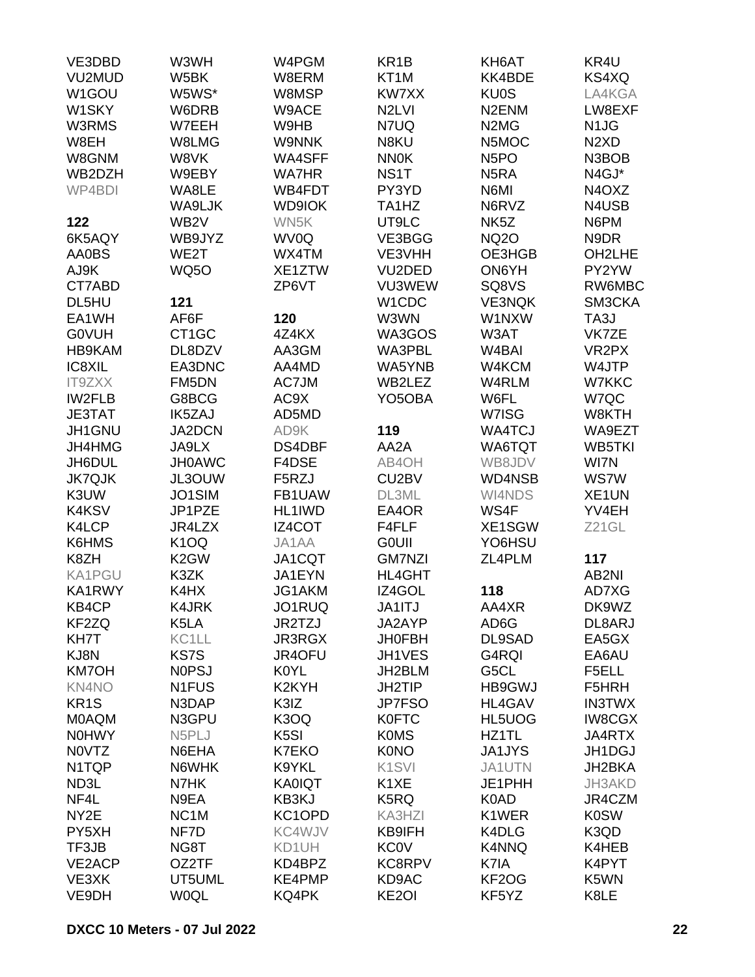| VE3DBD            | W3WH               | W4PGM              | KR <sub>1</sub> B              | KH6AT                         | KR4U                          |
|-------------------|--------------------|--------------------|--------------------------------|-------------------------------|-------------------------------|
| VU2MUD            | W5BK               | W8ERM              | KT <sub>1</sub> M              | KK4BDE                        | KS4XQ                         |
| W1GOU             | W5WS*              | W8MSP              | KW7XX                          | <b>KU0S</b>                   | LA4KGA                        |
| W1SKY             | W6DRB              | W9ACE              | N <sub>2LVI</sub>              | N <sub>2</sub> ENM            | LW8EXF                        |
| W3RMS             | W7EEH              | W9HB               | N7UQ                           | N <sub>2</sub> M <sub>G</sub> | N <sub>1</sub> JG             |
| W8EH              | W8LMG              | <b>W9NNK</b>       | N8KU                           | N5MOC                         | N <sub>2</sub> X <sub>D</sub> |
| W8GNM             | W8VK               | WA4SFF             | <b>NN0K</b>                    | N <sub>5</sub> PO             | N3BOB                         |
|                   |                    |                    |                                |                               |                               |
| WB2DZH            | W9EBY              | <b>WA7HR</b>       | NS <sub>1</sub> T              | N <sub>5</sub> RA             | N4GJ*                         |
| WP4BDI            | WA8LE              | WB4FDT             | PY3YD                          | N6MI                          | N4OXZ                         |
|                   | WA9LJK             | <b>WD9IOK</b>      | TA <sub>1</sub> H <sub>Z</sub> | N6RVZ                         | N4USB                         |
| 122               | WB <sub>2</sub> V  | WN5K               | UT9LC                          | NK <sub>5</sub> Z             | N6PM                          |
| 6K5AQY            | WB9JYZ             | WV0Q               | VE3BGG                         | <b>NQ2O</b>                   | N9DR                          |
| AA0BS             | WE2T               | WX4TM              | VE3VHH                         | OE3HGB                        | OH2LHE                        |
| AJ9K              | <b>WQ50</b>        | XE1ZTW             | VU2DED                         | ON6YH                         | PY2YW                         |
| CT7ABD            |                    | ZP6VT              | VU3WEW                         | SQ8VS                         | RW6MBC                        |
| DL5HU             | 121                |                    | W <sub>1</sub> CDC             | <b>VE3NQK</b>                 | SM3CKA                        |
| EA1WH             | AF6F               | 120                | W3WN                           | W1NXW                         | TA3J                          |
| <b>GOVUH</b>      | CT <sub>1</sub> GC | 4Z4KX              | WA3GOS                         | W3AT                          | VK7ZE                         |
| HB9KAM            | DL8DZV             | AA3GM              | WA3PBL                         | W <sub>4</sub> BAI            | VR <sub>2</sub> PX            |
| IC8XIL            | EA3DNC             | AA4MD              | WA5YNB                         | W4KCM                         | W4JTP                         |
| <b>IT9ZXX</b>     | FM5DN              | AC7JM              | WB2LEZ                         | W4RLM                         | W7KKC                         |
| <b>IW2FLB</b>     | G8BCG              | AC9X               | YO5OBA                         | W6FL                          | W7QC                          |
| <b>JE3TAT</b>     | <b>IK5ZAJ</b>      | AD5MD              |                                | W7ISG                         | W8KTH                         |
| JH1GNU            | JA2DCN             | AD9K               | 119                            | <b>WA4TCJ</b>                 | WA9EZT                        |
| JH4HMG            | JA9LX              | DS4DBF             | AA2A                           | WA6TQT                        | WB5TKI                        |
| JH6DUL            | <b>JH0AWC</b>      | F4DSE              | AB4OH                          | WB8JDV                        | WI7N                          |
| <b>JK7QJK</b>     | JL3OUW             | F5RZJ              | CU2BV                          | WD4NSB                        | <b>WS7W</b>                   |
| K3UW              | JO1SIM             | FB1UAW             | DL3ML                          | WI4NDS                        | XE <sub>1</sub> UN            |
|                   |                    |                    |                                |                               |                               |
| K4KSV             | JP1PZE             | HL1IWD             | EA4OR                          | WS4F                          | YV4EH                         |
| K4LCP             | JR4LZX             | IZ4COT             | F4FLF                          | XE1SGW                        | Z21GL                         |
| K6HMS             | <b>K10Q</b>        | JA1AA              | <b>GOUII</b>                   | YO6HSU                        |                               |
| K8ZH              | K <sub>2</sub> GW  | JA1CQT             | <b>GM7NZI</b>                  | ZL4PLM                        | 117                           |
| <b>KA1PGU</b>     | K3ZK               | JA1EYN             | <b>HL4GHT</b>                  |                               | AB2NI                         |
| KA1RWY            | K4HX               | JG1AKM             | IZ4GOL                         | 118                           | AD7XG                         |
| KB4CP             | K4JRK              | JO1RUQ             | JA1ITJ                         | AA4XR                         | DK9WZ                         |
| KF2ZQ             | K5LA               | JR2TZJ             | JA2AYP                         | AD6G                          | DL8ARJ                        |
| KH7T              | KC <sub>1</sub> LL | JR3RGX             | <b>JH0FBH</b>                  | DL9SAD                        | EA5GX                         |
| KJ8N              | KS7S               | JR4OFU             | JH1VES                         | G4RQI                         | EA6AU                         |
| <b>KM7OH</b>      | <b>NOPSJ</b>       | K0YL               | JH2BLM                         | G5CL                          | F5ELL                         |
| <b>KN4NO</b>      | N <sub>1</sub> FUS | K <sub>2</sub> KYH | JH2TIP                         | HB9GWJ                        | F5HRH                         |
| KR <sub>1</sub> S | N3DAP              | K3IZ               | <b>JP7FSO</b>                  | HL4GAV                        | <b>IN3TWX</b>                 |
| <b>MOAQM</b>      | N3GPU              | K3OQ               | <b>K0FTC</b>                   | HL5UOG                        | <b>IW8CGX</b>                 |
| <b>NOHWY</b>      | N5PLJ              | K <sub>5</sub> SI  | <b>K0MS</b>                    | HZ1TL                         | JA4RTX                        |
| <b>NOVTZ</b>      | N6EHA              | K7EKO              | <b>K0NO</b>                    | <b>JA1JYS</b>                 | JH1DGJ                        |
| N1TQP             | N6WHK              | K9YKL              | K <sub>1</sub> SVI             | JA1UTN                        | JH2BKA                        |
| ND3L              | N7HK               | <b>KA0IQT</b>      | K1XE                           | JE1PHH                        | JH3AKD                        |
| NF4L              | N9EA               | KB3KJ              | K5RQ                           | K0AD                          | JR4CZM                        |
| NY2E              | NC <sub>1</sub> M  | KC1OPD             | KA3HZI                         | K1WER                         | <b>K0SW</b>                   |
| PY5XH             |                    |                    |                                |                               |                               |
|                   | NF7D               | KC4WJV             | KB9IFH                         | K4DLG                         | K3QD                          |
| TF3JB             | NG8T               | KD1UH              | <b>KC0V</b>                    | <b>K4NNQ</b>                  | K4HEB                         |
| VE2ACP            | OZ2TF              | KD4BPZ             | KC8RPV                         | K7IA                          | K4PYT                         |
| VE3XK             | UT5UML             | KE4PMP             | KD9AC                          | KF <sub>2</sub> OG            | K5WN                          |
| VE9DH             | <b>W0QL</b>        | KQ4PK              | KE <sub>2</sub> OI             | KF5YZ                         | K8LE                          |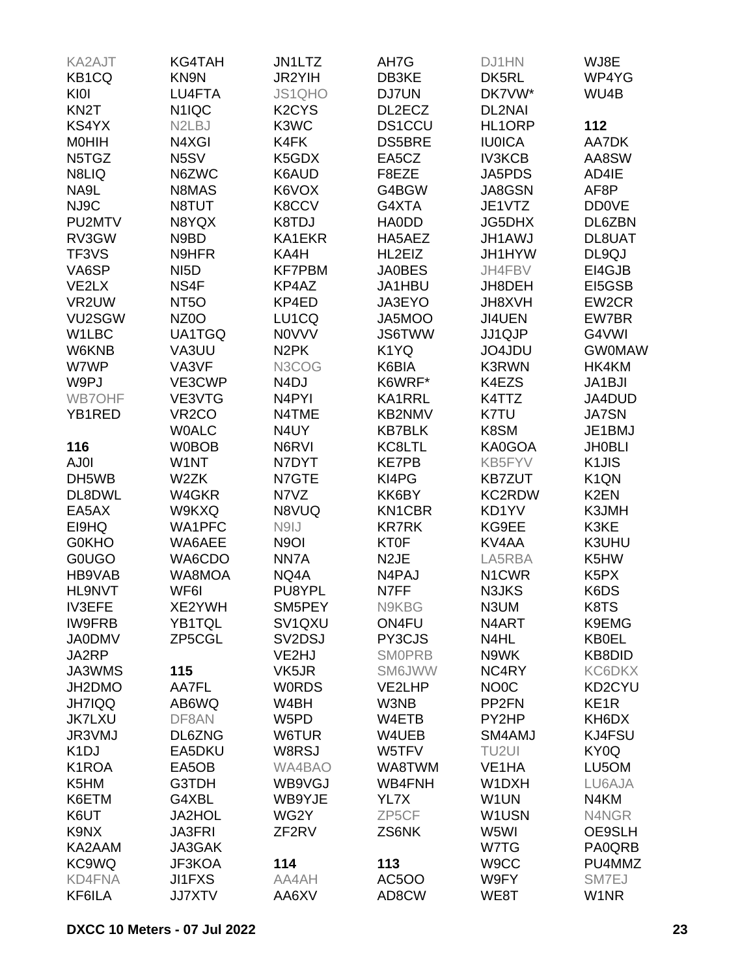| <b>KA2AJT</b>      | KG4TAH                          | <b>JN1LTZ</b>                  | AH7G              | DJ1HN              | WJ8E               |
|--------------------|---------------------------------|--------------------------------|-------------------|--------------------|--------------------|
| KB1CQ              | KN9N                            | JR2YIH                         | DB3KE             | DK5RL              | WP4YG              |
| KI0I               | LU4FTA                          | JS1QHO                         | DJ7UN             | DK7VW*             | WU4B               |
| KN <sub>2</sub> T  | N <sub>1</sub> IQC              | K <sub>2</sub> CY <sub>S</sub> | DL2ECZ            | DL2NAI             |                    |
| KS4YX              | N <sub>2</sub> L <sub>B</sub> J | K3WC                           | <b>DS1CCU</b>     | HL1ORP             | 112                |
| <b>MOHIH</b>       | N4XGI                           | K4FK                           | <b>DS5BRE</b>     | <b>IU0ICA</b>      | AA7DK              |
| N5TGZ              | N <sub>5</sub> SV               | K5GDX                          | EA5CZ             | <b>IV3KCB</b>      | AA8SW              |
| N8LIQ              | N6ZWC                           | K6AUD                          | F8EZE             | JA5PDS             | AD4IE              |
| NA9L               | N8MAS                           | K6VOX                          | G4BGW             | JA8GSN             | AF8P               |
| NJ9C               | N8TUT                           | K8CCV                          | G4XTA             | JE1VTZ             |                    |
|                    |                                 |                                |                   |                    | <b>DD0VE</b>       |
| PU2MTV             | N8YQX                           | K8TDJ                          | <b>HAODD</b>      | JG5DHX             | DL6ZBN             |
| RV3GW              | N9BD                            | KA1EKR                         | HA5AEZ            | <b>JH1AWJ</b>      | DL8UAT             |
| TF3VS              | N9HFR                           | KA4H                           | HL2EIZ            | JH1HYW             | DL9QJ              |
| VA6SP              | NI <sub>5</sub> D               | <b>KF7PBM</b>                  | <b>JA0BES</b>     | JH4FBV             | EI4GJB             |
| VE2LX              | NS4F                            | KP4AZ                          | JA1HBU            | JH8DEH             | EI5GSB             |
| VR2UW              | NT <sub>50</sub>                | KP4ED                          | JA3EYO            | <b>JH8XVH</b>      | EW2CR              |
| VU2SGW             | NZ <sub>0</sub> O               | LU1CQ                          | JA5MOO            | JI4UEN             | EW7BR              |
| W1LBC              | UA1TGQ                          | <b>NOVVV</b>                   | <b>JS6TWW</b>     | JJ1QJP             | G4VWI              |
| W6KNB              | VA3UU                           | N <sub>2</sub> PK              | K1YQ              | JO4JDU             | <b>GW0MAW</b>      |
| W7WP               | VA3VF                           | N3COG                          | K6BIA             | <b>K3RWN</b>       | HK4KM              |
| W9PJ               | VE3CWP                          | N <sub>4</sub> DJ              | K6WRF*            | K4EZS              | JA1BJI             |
| <b>WB7OHF</b>      | VE3VTG                          | N4PYI                          | KA1RRL            | K4TTZ              | JA4DUD             |
| YB1RED             | VR <sub>2</sub> CO              | N4TME                          | KB2NMV            | K7TU               | <b>JA7SN</b>       |
|                    | <b>WOALC</b>                    | N4UY                           | <b>KB7BLK</b>     | K8SM               | JE1BMJ             |
| 116                | <b>W0BOB</b>                    | N6RVI                          | KC8LTL            | KA0GOA             | <b>JH0BLI</b>      |
| AJ0I               | W1NT                            | N7DYT                          | <b>KE7PB</b>      | KB5FYV             | K <sub>1</sub> JIS |
| DH5WB              | W2ZK                            | N7GTE                          | KI4PG             | <b>KB7ZUT</b>      | K <sub>1</sub> QN  |
| DL8DWL             | W4GKR                           | N7VZ                           | KK6BY             | KC2RDW             | K <sub>2</sub> EN  |
| EA5AX              | W9KXQ                           | N8VUQ                          | KN1CBR            | KD1YV              | K3JMH              |
| EI9HQ              | WA1PFC                          | N9IJ                           | <b>KR7RK</b>      | KG9EE              | K3KE               |
| <b>G0KHO</b>       | WA6AEE                          | N <sub>9</sub> OI              | KT0F              | KV4AA              | K3UHU              |
| <b>GOUGO</b>       | WA6CDO                          | NN7A                           | N <sub>2</sub> JE | LA5RBA             | K5HW               |
| HB9VAB             | WA8MOA                          | NQ4A                           | N4PAJ             | N <sub>1</sub> CWR | K <sub>5</sub> PX  |
| <b>HL9NVT</b>      | WF6I                            | PU8YPL                         | N7FF              | N3JKS              | K6DS               |
| <b>IV3EFE</b>      | XE2YWH                          | SM5PEY                         | N9KBG             | N3UM               | K8TS               |
| <b>IW9FRB</b>      | YB1TQL                          | SV1QXU                         | ON4FU             | N4ART              | K9EMG              |
| <b>JA0DMV</b>      | ZP5CGL                          | SV2DSJ                         | PY3CJS            | N4HL               | <b>KB0EL</b>       |
| JA2RP              |                                 | VE2HJ                          | <b>SMOPRB</b>     | N9WK               | KB8DID             |
| JA3WMS             |                                 |                                |                   | NC4RY              |                    |
|                    | 115                             | VK5JR                          | SM6JWW            |                    | <b>KC6DKX</b>      |
| JH2DMO             | AA7FL                           | <b>WORDS</b>                   | VE2LHP            | NO <sub>0</sub> C  | KD2CYU             |
| <b>JH7IQQ</b>      | AB6WQ                           | W4BH                           | W3NB              | PP <sub>2FN</sub>  | KE <sub>1R</sub>   |
| <b>JK7LXU</b>      | DF8AN                           | W5PD                           | W4ETB             | PY2HP              | KH6DX              |
| JR3VMJ             | DL6ZNG                          | W6TUR                          | W4UEB             | SM4AMJ             | KJ4FSU             |
| K <sub>1</sub> DJ  | EA5DKU                          | W8RSJ                          | W5TFV             | TU <sub>2UI</sub>  | KY0Q               |
| K <sub>1</sub> ROA | EA5OB                           | WA4BAO                         | WA8TWM            | VE <sub>1</sub> HA | LU5OM              |
| K5HM               | G3TDH                           | WB9VGJ                         | WB4FNH            | W1DXH              | LU6AJA             |
| K6ETM              | G4XBL                           | WB9YJE                         | YL7X              | W1UN               | N4KM               |
| K6UT               | <b>JA2HOL</b>                   | WG2Y                           | ZP5CF             | W1USN              | N4NGR              |
| K9NX               | <b>JA3FRI</b>                   | ZF <sub>2RV</sub>              | ZS6NK             | W5WI               | OE9SLH             |
| KA2AAM             | JA3GAK                          |                                |                   | W7TG               | PA0QRB             |
| KC9WQ              | JF3KOA                          | 114                            | 113               | W9CC               | PU4MMZ             |
| KD4FNA             | <b>JI1FXS</b>                   | AA4AH                          | <b>AC5OO</b>      | W9FY               | SM7EJ              |
| KF6ILA             | <b>JJ7XTV</b>                   | AA6XV                          | AD8CW             | WE8T               | W1NR               |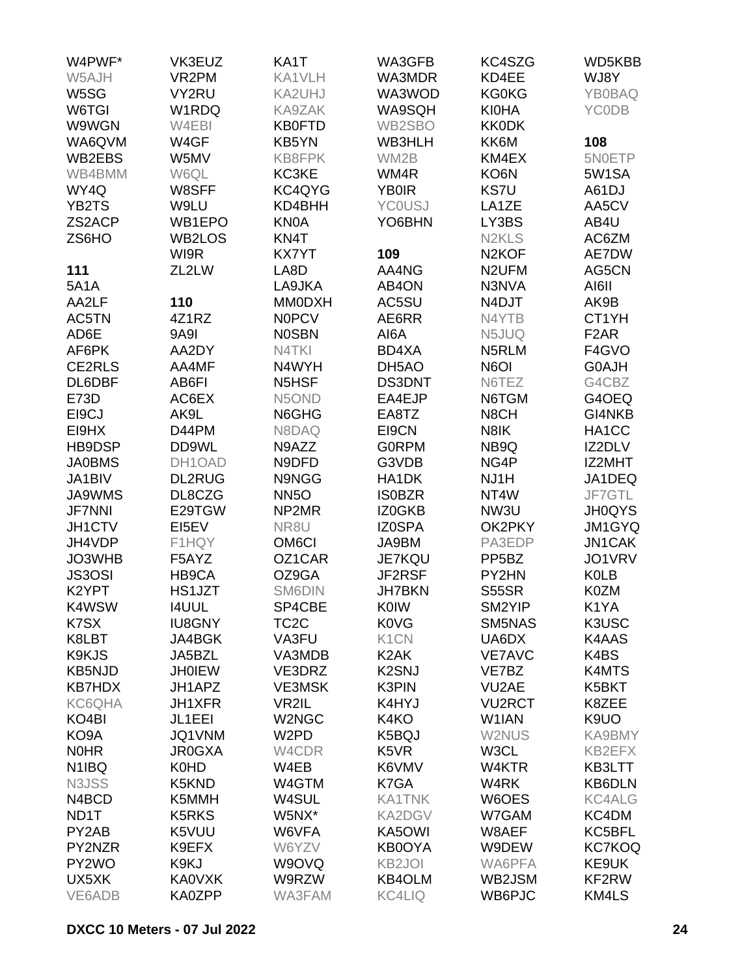| W4PWF*             | VK3EUZ        | KA1T               | WA3GFB                        | KC4SZG                         | WD5KBB            |
|--------------------|---------------|--------------------|-------------------------------|--------------------------------|-------------------|
| W5AJH              | VR2PM         | KA1VLH             | WA3MDR                        | KD4EE                          | WJ8Y              |
| W5SG               | VY2RU         | KA2UHJ             | WA3WOD                        | <b>KG0KG</b>                   | <b>YB0BAQ</b>     |
| W6TGI              | W1RDQ         | KA9ZAK             | WA9SQH                        | <b>KI0HA</b>                   | <b>YCODB</b>      |
| W9WGN              | W4EBI         | <b>KB0FTD</b>      | WB2SBO                        | <b>KK0DK</b>                   |                   |
| WA6QVM             | W4GF          | KB5YN              | WB3HLH                        | KK6M                           | 108               |
|                    |               |                    |                               |                                |                   |
| WB2EBS             | W5MV          | KB8FPK             | WM2B                          | KM4EX                          | 5N0ETP            |
| WB4BMM             | W6QL          | KC3KE              | WM4R                          | KO6N                           | 5W1SA             |
| WY4Q               | W8SFF         | KC4QYG             | <b>YB0IR</b>                  | <b>KS7U</b>                    | A61DJ             |
| YB2TS              | W9LU          | KD4BHH             | <b>YCOUSJ</b>                 | LA1ZE                          | AA5CV             |
| ZS2ACP             | WB1EPO        | <b>KN0A</b>        | YO6BHN                        | LY3BS                          | AB4U              |
| ZS6HO              | WB2LOS        | KN4T               |                               | N <sub>2</sub> KL <sub>S</sub> | AC6ZM             |
|                    | WI9R          | <b>KX7YT</b>       | 109                           | N <sub>2</sub> KOF             | AE7DW             |
| 111                | ZL2LW         | LA8D               | AA4NG                         | N <sub>2</sub> UFM             | AG5CN             |
| <b>5A1A</b>        |               | LA9JKA             | AB4ON                         | N3NVA                          | AI6II             |
| AA2LF              | 110           | <b>MM0DXH</b>      | AC5SU                         | N4DJT                          | AK9B              |
| AC5TN              | 4Z1RZ         | <b>NOPCV</b>       | AE6RR                         | N4YTB                          | CT1YH             |
| AD6E               | <b>9A9I</b>   | <b>NOSBN</b>       | AI6A                          | N5JUQ                          | F <sub>2</sub> AR |
| AF6PK              | AA2DY         | N4TKI              | BD4XA                         | N5RLM                          | F4GVO             |
| CE2RLS             | AA4MF         | N4WYH              | DH5AO                         | N6OI                           | G0AJH             |
| DL6DBF             | AB6FI         | N5HSF              | <b>DS3DNT</b>                 | N6TEZ                          | G4CBZ             |
| <b>E73D</b>        | AC6EX         | N5OND              | EA4EJP                        | N6TGM                          | G4OEQ             |
| EI9CJ              | AK9L          | N6GHG              | EA8TZ                         | N8CH                           | GI4NKB            |
| EI9HX              | D44PM         | N8DAQ              | EI9CN                         | N8IK                           | HA1CC             |
| HB9DSP             | DD9WL         | N9AZZ              | <b>GORPM</b>                  | NB9Q                           | IZ2DLV            |
|                    |               |                    |                               |                                |                   |
| <b>JA0BMS</b>      | DH1OAD        | N9DFD              | G3VDB                         | NG4P                           | IZ2MHT            |
| JA1BIV             | <b>DL2RUG</b> | N9NGG              | HA1DK                         | NJ1H                           | JA1DEQ            |
| <b>JA9WMS</b>      | DL8CZG        | <b>NN5O</b>        | <b>ISOBZR</b>                 | NT4W                           | JF7GTL            |
| <b>JF7NNI</b>      | E29TGW        | NP2MR              | IZ0GKB                        | NW3U                           | <b>JH0QYS</b>     |
| JH1CTV             | EI5EV         | NR8U               | IZ0SPA                        | OK2PKY                         | <b>JM1GYQ</b>     |
| JH4VDP             | F1HQY         | OM <sub>6</sub> CI | JA9BM                         | PA3EDP                         | <b>JN1CAK</b>     |
| JO3WHB             | F5AYZ         | OZ1CAR             | <b>JE7KQU</b>                 | PP <sub>5</sub> BZ             | JO1VRV            |
| <b>JS3OSI</b>      | HB9CA         | OZ9GA              | JF2RSF                        | PY2HN                          | <b>K0LB</b>       |
| K <sub>2</sub> YPT | HS1JZT        | SM6DIN             | <b>JH7BKN</b>                 | <b>S55SR</b>                   | K0ZM              |
| K4WSW              | <b>I4UUL</b>  | SP4CBE             | <b>K0IW</b>                   | SM2YIP                         | K1YA              |
| K7SX               | <b>IU8GNY</b> | TC <sub>2</sub> C  | <b>K0VG</b>                   | SM5NAS                         | K3USC             |
| K8LBT              | JA4BGK        | VA3FU              | K <sub>1</sub> CN             | UA6DX                          | K4AAS             |
| K9KJS              | JA5BZL        | VA3MDB             | K <sub>2</sub> AK             | <b>VE7AVC</b>                  | K4BS              |
| <b>KB5NJD</b>      | <b>JH0IEW</b> | VE3DRZ             | K <sub>2</sub> SNJ            | VE7BZ                          | K4MTS             |
| <b>KB7HDX</b>      | JH1APZ        | <b>VE3MSK</b>      | <b>K3PIN</b>                  | VU <sub>2</sub> AE             | K5BKT             |
| KC6QHA             | JH1XFR        | VR2IL              | K4HYJ                         | <b>VU2RCT</b>                  | K8ZEE             |
| KO <sub>4</sub> BI | JL1EEI        | W2NGC              | K4KO                          | W <sub>1</sub> IAN             | K9UO              |
| KO9A               | JQ1VNM        | W2PD               | K5BQJ                         | W2NUS                          | KA9BMY            |
| <b>NOHR</b>        | <b>JR0GXA</b> | W4CDR              | K <sub>5</sub> V <sub>R</sub> | W3CL                           | KB2EFX            |
| N <sub>1</sub> IBQ | K0HD          | W4EB               | K6VMV                         | W4KTR                          | KB3LTT            |
| N3JSS              | K5KND         | W4GTM              | K7GA                          | W4RK                           | <b>KB6DLN</b>     |
|                    |               |                    |                               |                                |                   |
| N4BCD              | K5MMH         | W4SUL              | <b>KA1TNK</b>                 | W6OES                          | <b>KC4ALG</b>     |
| ND1T               | K5RKS         | W5NX*              | <b>KA2DGV</b>                 | W7GAM                          | KC4DM             |
| PY2AB              | K5VUU         | W6VFA              | KA5OWI                        | W8AEF                          | KC5BFL            |
| PY2NZR             | K9EFX         | W6YZV              | <b>KB0OYA</b>                 | W9DEW                          | <b>KC7KOQ</b>     |
| PY2WO              | K9KJ          | W9OVQ              | KB <sub>2JOI</sub>            | WA6PFA                         | KE9UK             |
| UX5XK              | KA0VXK        | W9RZW              | <b>KB4OLM</b>                 | WB2JSM                         | KF2RW             |
| VE6ADB             | KA0ZPP        | WA3FAM             | <b>KC4LIQ</b>                 | WB6PJC                         | KM4LS             |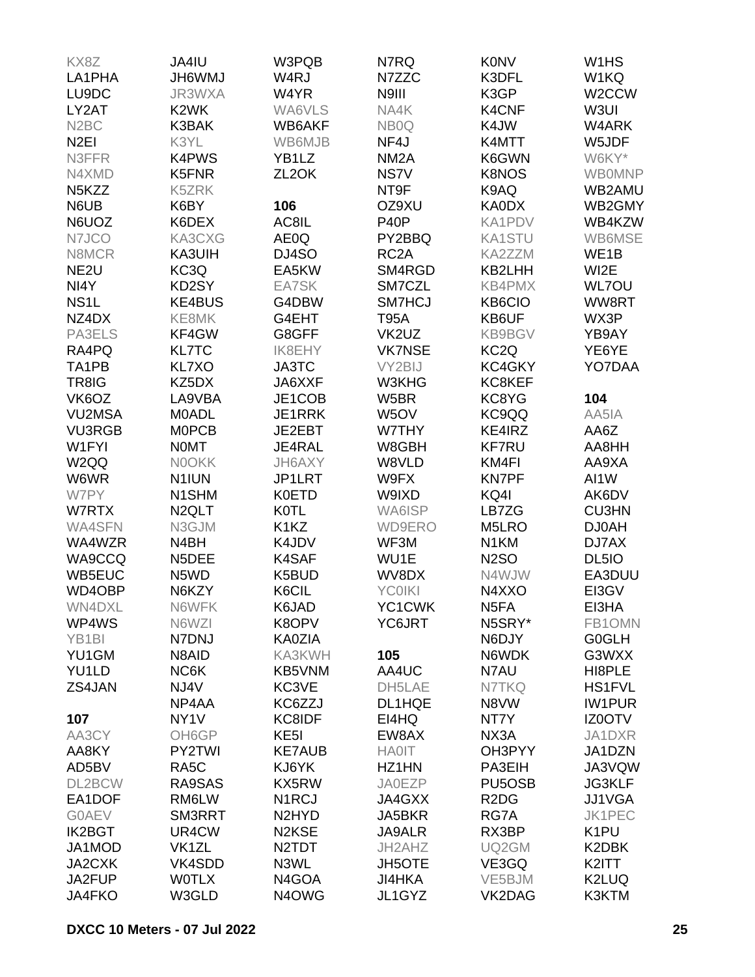| KX8Z                           | JA4IU                         | W3PQB                          | N7RQ              | <b>K0NV</b>                   | W <sub>1</sub> H <sub>S</sub> |
|--------------------------------|-------------------------------|--------------------------------|-------------------|-------------------------------|-------------------------------|
| LA1PHA                         | <b>JH6WMJ</b>                 | W <sub>4</sub> RJ              | N7ZZC             | K3DFL                         | W1KQ                          |
| LU9DC                          | JR3WXA                        | W4YR                           | N9III             | K3GP                          | W <sub>2</sub> CCW            |
| LY2AT                          | K <sub>2</sub> WK             | WA6VLS                         | NA4K              | <b>K4CNF</b>                  | W3UI                          |
| N <sub>2</sub> BC              | K3BAK                         | WB6AKF                         | NB <sub>0</sub> Q | K4JW                          | W4ARK                         |
| N <sub>2El</sub>               | K3YL                          | WB6MJB                         | NF4J              | K4MTT                         | W5JDF                         |
| N3FFR                          | <b>K4PWS</b>                  | YB1LZ                          | NM <sub>2</sub> A | K6GWN                         | W6KY*                         |
| N4XMD                          | K5FNR                         | ZL <sub>2</sub> OK             | NS7V              | <b>K8NOS</b>                  |                               |
| N <sub>5</sub> K <sub>ZZ</sub> | K5ZRK                         |                                | NT9F              | K9AQ                          | <b>WB0MNP</b><br>WB2AMU       |
|                                |                               |                                | OZ9XU             |                               |                               |
| N6UB                           | K6BY                          | 106                            |                   | <b>KA0DX</b>                  | WB2GMY                        |
| N6UOZ                          | K6DEX                         | AC8IL                          | P <sub>40</sub> P | KA1PDV                        | WB4KZW                        |
| N7JCO                          | KA3CXG                        | AE0Q                           | PY2BBQ            | <b>KA1STU</b>                 | WB6MSE                        |
| N8MCR                          | KA3UIH                        | DJ4SO                          | RC <sub>2</sub> A | KA2ZZM                        | WE1B                          |
| NE <sub>2U</sub>               | KC3Q                          | EA5KW                          | SM4RGD            | KB2LHH                        | WI2E                          |
| NI4Y                           | KD2SY                         | EA7SK                          | SM7CZL            | <b>KB4PMX</b>                 | <b>WL7OU</b>                  |
| NS <sub>1</sub> L              | <b>KE4BUS</b>                 | G4DBW                          | SM7HCJ            | KB6CIO                        | WW8RT                         |
| NZ4DX                          | KE8MK                         | G4EHT                          | <b>T95A</b>       | KB6UF                         | WX3P                          |
| PA3ELS                         | KF4GW                         | G8GFF                          | VK2UZ             | <b>KB9BGV</b>                 | YB9AY                         |
| RA4PQ                          | <b>KL7TC</b>                  | <b>IK8EHY</b>                  | <b>VK7NSE</b>     | KC <sub>2</sub> Q             | YE6YE                         |
| TA1PB                          | KL7XO                         | JA3TC                          | VY2BIJ            | KC4GKY                        | YO7DAA                        |
| TR8IG                          | KZ5DX                         | JA6XXF                         | W3KHG             | KC8KEF                        |                               |
| VK6OZ                          | LA9VBA                        | JE1COB                         | W5BR              | KC8YG                         | 104                           |
| <b>VU2MSA</b>                  | <b>MOADL</b>                  | JE1RRK                         | W <sub>5</sub> OV | KC9QQ                         | AA5IA                         |
| <b>VU3RGB</b>                  | <b>MOPCB</b>                  | JE2EBT                         | W7THY             | KE4IRZ                        | AA6Z                          |
| W1FYI                          | <b>NOMT</b>                   | JE4RAL                         | W8GBH             | <b>KF7RU</b>                  | AA8HH                         |
| W <sub>2QQ</sub>               | <b>NOOKK</b>                  | JH6AXY                         | W8VLD             | KM4FI                         | AA9XA                         |
| W6WR                           | N <sub>1</sub> IUN            | JP1LRT                         | W9FX              | <b>KN7PF</b>                  | AI1W                          |
| W7PY                           | N1SHM                         | <b>K0ETD</b>                   | W9IXD             | KQ4I                          | AK6DV                         |
| W7RTX                          | N <sub>2</sub> QLT            | <b>K0TL</b>                    | WA6ISP            | LB7ZG                         | <b>CU3HN</b>                  |
| WA4SFN                         | N3GJM                         | K <sub>1</sub> K <sub>Z</sub>  | <b>WD9ERO</b>     | M5LRO                         | <b>DJ0AH</b>                  |
| WA4WZR                         | N4BH                          | K4JDV                          | WF3M              | N <sub>1</sub> KM             | DJ7AX                         |
| WA9CCQ                         | N5DEE                         | K4SAF                          | WU1E              | <b>N2SO</b>                   | DL <sub>5IO</sub>             |
| WB5EUC                         | N <sub>5</sub> W <sub>D</sub> | K5BUD                          | WV8DX             | N4WJW                         | EA3DUU                        |
| WD4OBP                         | N6KZY                         | K6CIL                          | <b>YC0IKI</b>     | N4XXO                         | EI3GV                         |
| WN4DXL                         | N6WFK                         | K6JAD                          | YC1CWK            | N <sub>5FA</sub>              | EI3HA                         |
| WP4WS                          | N6WZI                         | K8OPV                          | YC6JRT            | N5SRY*                        | FB1OMN                        |
| YB <sub>1</sub> BI             | N7DNJ                         | <b>KA0ZIA</b>                  |                   | N6DJY                         | <b>G0GLH</b>                  |
| YU1GM                          | N8AID                         | KA3KWH                         | 105               | N6WDK                         | G3WXX                         |
| YU1LD                          | NC6K                          | KB5VNM                         | AA4UC             | N7AU                          | HI8PLE                        |
| ZS4JAN                         | NJ4V                          | KC3VE                          | DH5LAE            | N7TKQ                         | <b>HS1FVL</b>                 |
|                                | NP4AA                         | KC6ZZJ                         | DL1HQE            | N8VW                          | <b>IW1PUR</b>                 |
| 107                            | NY <sub>1</sub> V             | KC8IDF                         | EI4HQ             | NT7Y                          | <b>IZ0OTV</b>                 |
| AA3CY                          | OH6GP                         | KE <sub>5</sub> I              | EW8AX             | NX3A                          | JA1DXR                        |
| AA8KY                          | PY2TWI                        | <b>KE7AUB</b>                  | <b>HA0IT</b>      | OH3PYY                        | JA1DZN                        |
| AD5BV                          | RA <sub>5</sub> C             | KJ6YK                          | HZ1HN             | PA3EIH                        | JA3VQW                        |
| DL2BCW                         | RA9SAS                        | KX5RW                          | <b>JA0EZP</b>     | PU <sub>5</sub> OSB           |                               |
|                                |                               |                                |                   |                               | <b>JG3KLF</b>                 |
| EA1DOF                         | RM6LW                         | N <sub>1</sub> RCJ             | JA4GXX            | R <sub>2</sub> D <sub>G</sub> | JJ1VGA                        |
| <b>GOAEV</b>                   | SM3RRT                        | N <sub>2</sub> HY <sub>D</sub> | JA5BKR            | RG7A                          | JK1PEC                        |
| <b>IK2BGT</b>                  | UR4CW                         | N <sub>2</sub> K <sub>SE</sub> | <b>JA9ALR</b>     | RX3BP                         | K <sub>1</sub> PU             |
| JA1MOD                         | VK1ZL                         | N <sub>2</sub> TDT             | JH2AHZ            | UQ2GM                         | K2DBK                         |
| JA2CXK                         | VK4SDD                        | N3WL                           | <b>JH5OTE</b>     | VE3GQ                         | K2ITT                         |
| JA2FUP                         | <b>WOTLX</b>                  | N4GOA                          | <b>JI4HKA</b>     | VE5BJM                        | K2LUQ                         |
| JA4FKO                         | W3GLD                         | N4OWG                          | JL1GYZ            | VK2DAG                        | K3KTM                         |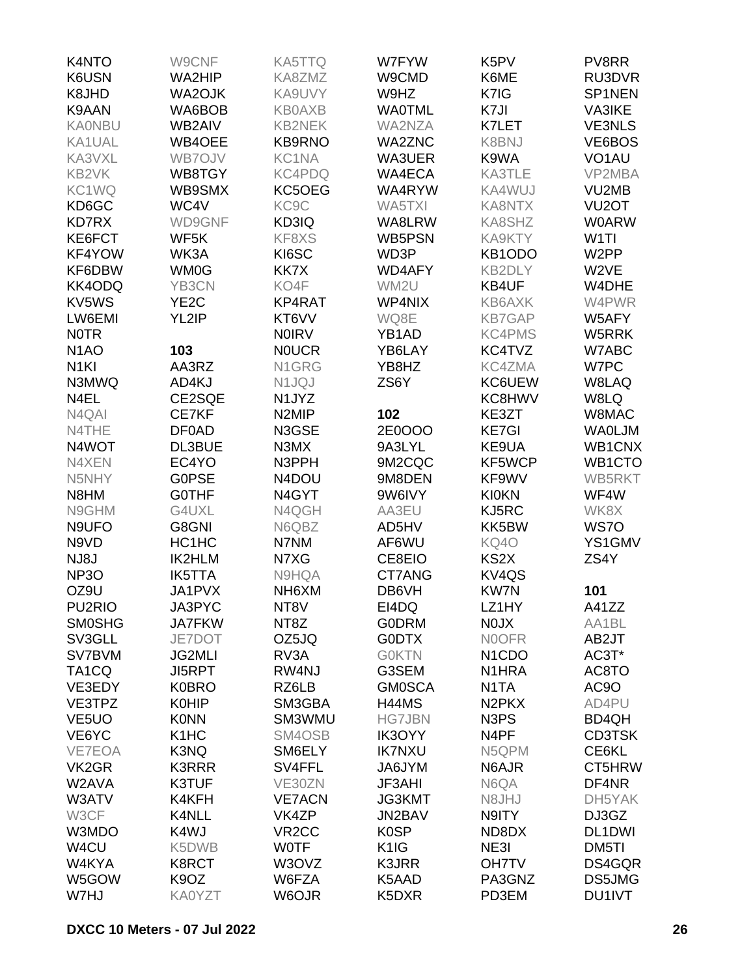| K4NTO               | W9CNF                         | <b>KA5TTQ</b>      | W7FYW             | K <sub>5</sub> PV               | PV8RR              |
|---------------------|-------------------------------|--------------------|-------------------|---------------------------------|--------------------|
| K6USN               | WA2HIP                        | KA8ZMZ             | W9CMD             | K6ME                            | RU3DVR             |
| K8JHD               | WA2OJK                        | KA9UVY             | W9HZ              | K7IG                            | SP1NEN             |
| K9AAN               | WA6BOB                        | <b>KB0AXB</b>      | <b>WA0TML</b>     | K7JI                            | <b>VA3IKE</b>      |
| <b>KA0NBU</b>       | WB2AIV                        | <b>KB2NEK</b>      | WA2NZA            | K7LET                           | <b>VE3NLS</b>      |
| KA1UAL              | WB4OEE                        | <b>KB9RNO</b>      | <b>WA2ZNC</b>     | K8BNJ                           | VE6BOS             |
| KA3VXL              | WB7OJV                        | KC1NA              | WA3UER            | K9WA                            | VO <sub>1</sub> AU |
| KB2VK               | WB8TGY                        | KC4PDQ             | WA4ECA            | KA3TLE                          | VP2MBA             |
| KC1WQ               | WB9SMX                        | KC5OEG             | WA4RYW            | KA4WUJ                          | VU2MB              |
| KD6GC               | WC4V                          | KC <sub>9</sub> C  | WA5TXI            | KA8NTX                          | VU <sub>2</sub> OT |
| <b>KD7RX</b>        | WD9GNF                        | KD3IQ              | WA8LRW            | KA8SHZ                          | <b>W0ARW</b>       |
| KE6FCT              | WF5K                          | KF8XS              | WB5PSN            | KA9KTY                          | W <sub>1</sub> TI  |
|                     |                               |                    | WD3P              | KB1ODO                          | W <sub>2</sub> PP  |
| KF4YOW              | WK3A                          | KI6SC              |                   |                                 |                    |
| KF6DBW              | <b>WM0G</b>                   | KK7X               | WD4AFY            | KB2DLY                          | W2VE               |
| KK4ODQ              | YB3CN                         | KO4F               | WM2U              | KB4UF                           | W4DHE              |
| KV5WS               | YE <sub>2</sub> C             | KP4RAT             | WP4NIX            | KB6AXK                          | W4PWR              |
| LW6EMI              | YL2IP                         | KT6VV              | WQ8E              | <b>KB7GAP</b>                   | W5AFY              |
| <b>NOTR</b>         |                               | <b>NOIRV</b>       | YB1AD             | <b>KC4PMS</b>                   | W5RRK              |
| N <sub>1</sub> AO   | 103                           | <b>NOUCR</b>       | YB6LAY            | KC4TVZ                          | W7ABC              |
| N <sub>1</sub> KI   | AA3RZ                         | N1GRG              | YB8HZ             | <b>KC4ZMA</b>                   | W7PC               |
| N3MWQ               | AD4KJ                         | N1JQJ              | ZS6Y              | KC6UEW                          | W8LAQ              |
| N4EL                | CE2SQE                        | N1JYZ              |                   | KC8HWV                          | W8LQ               |
| N4QAI               | CE7KF                         | N <sub>2</sub> MIP | 102               | KE3ZT                           | W8MAC              |
| N4THE               | <b>DF0AD</b>                  | N3GSE              | 2E0OOO            | <b>KE7GI</b>                    | <b>WAOLJM</b>      |
| N4WOT               | DL3BUE                        | N3MX               | 9A3LYL            | KE9UA                           | WB1CNX             |
| N4XEN               | EC4YO                         | N3PPH              | 9M2CQC            | KF5WCP                          | WB1CTO             |
| N5NHY               | <b>G0PSE</b>                  | N4DOU              | 9M8DEN            | KF9WV                           | WB5RKT             |
| N8HM                | <b>GOTHF</b>                  | N4GYT              | 9W6IVY            | <b>KI0KN</b>                    | WF4W               |
| N9GHM               | G4UXL                         | N4QGH              | AA3EU             | KJ5RC                           | WK8X               |
| N9UFO               | G8GNI                         | N6QBZ              | AD5HV             | KK5BW                           | WS7O               |
| N9VD                | HC1HC                         | N7NM               | AF6WU             | <b>KQ40</b>                     | YS1GMV             |
| NJ8J                | <b>IK2HLM</b>                 | N7XG               | CE8EIO            | KS <sub>2</sub> X               | ZS4Y               |
| <b>NP3O</b>         | <b>IK5TTA</b>                 | N9HQA              | CT7ANG            | KV4QS                           |                    |
| OZ9U                | JA1PVX                        | NH6XM              | DB6VH             | <b>KW7N</b>                     | 101                |
| PU <sub>2</sub> RIO | JA3PYC                        | NT8V               | EI4DQ             | LZ1HY                           | A41ZZ              |
| <b>SMOSHG</b>       | <b>JA7FKW</b>                 | NT8Z               | <b>GODRM</b>      | <b>NOJX</b>                     | AA1BL              |
| SV3GLL              | JE7DOT                        | OZ5JQ              | <b>G0DTX</b>      | <b>NOOFR</b>                    | AB2JT              |
| SV7BVM              | <b>JG2MLI</b>                 | RV3A               | <b>GOKTN</b>      | N <sub>1</sub> C <sub>D</sub> O | AC3T*              |
| TA <sub>1</sub> CQ  | <b>JI5RPT</b>                 | RW4NJ              | G3SEM             | N1HRA                           | AC8TO              |
| VE3EDY              | <b>K0BRO</b>                  | RZ6LB              | <b>GM0SCA</b>     | N <sub>1</sub> TA               | AC <sub>9</sub> O  |
| VE3TPZ              | <b>K0HIP</b>                  | SM3GBA             | <b>H44MS</b>      | N <sub>2</sub> PK <sub>X</sub>  | AD4PU              |
| VE <sub>5</sub> UO  | <b>K0NN</b>                   | SM3WMU             | <b>HG7JBN</b>     | N <sub>3</sub> P <sub>S</sub>   | BD4QH              |
| VE6YC               | K <sub>1</sub> H <sub>C</sub> | SM4OSB             | IK3OYY            | N <sub>4</sub> PF               | <b>CD3TSK</b>      |
|                     | K3NQ                          | SM6ELY             | <b>IK7NXU</b>     | N5QPM                           | CE6KL              |
| VE7EOA              |                               |                    |                   |                                 |                    |
| VK <sub>2</sub> GR  | <b>K3RRR</b>                  | SV4FFL             | JA6JYM            | N6AJR                           | CT5HRW             |
| W2AVA               | K3TUF                         | VE30ZN             | JF3AHI            | N6QA                            | DF4NR              |
| W3ATV               | K4KFH                         | <b>VE7ACN</b>      | JG3KMT            | N8JHJ                           | DH5YAK             |
| W3CF                | K4NLL                         | VK4ZP              | JN2BAV            | N9ITY                           | DJ3GZ              |
| W3MDO               | K4WJ                          | VR <sub>2</sub> CC | <b>K0SP</b>       | ND8DX                           | DL1DWI             |
| W <sub>4</sub> CU   | K5DWB                         | <b>WOTF</b>        | K <sub>1</sub> IG | NE3I                            | DM5TI              |
| W4KYA               | K8RCT                         | W3OVZ              | K3JRR             | <b>OH7TV</b>                    | DS4GQR             |
| W5GOW               | K <sub>9</sub> OZ             | W6FZA              | K5AAD             | PA3GNZ                          | DS5JMG             |
| W7HJ                | KA0YZT                        | W6OJR              | K5DXR             | PD3EM                           | DU1IVT             |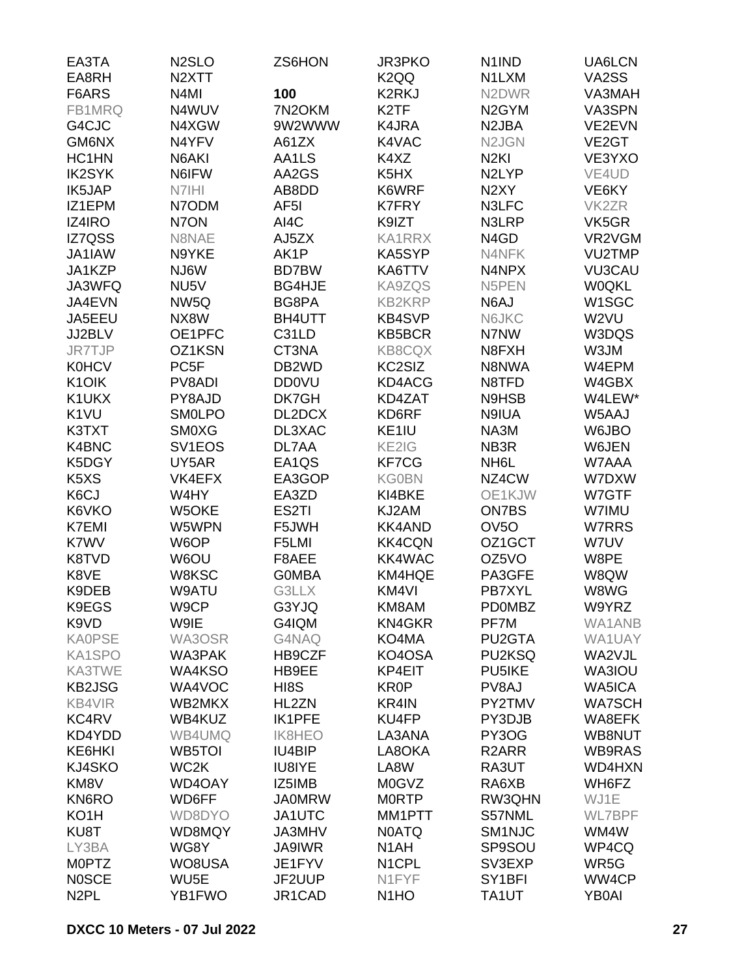| EA3TA                         | N <sub>2</sub> SLO  | ZS6HON             | <b>JR3PKO</b>                 | N <sub>1</sub> IND            | UA6LCN             |
|-------------------------------|---------------------|--------------------|-------------------------------|-------------------------------|--------------------|
| EA8RH                         | N <sub>2</sub> XTT  |                    | K <sub>2</sub> QQ             | N1LXM                         | VA2SS              |
| F6ARS                         | N <sub>4</sub> MI   | 100                | K2RKJ                         | N <sub>2</sub> DWR            | VA3MAH             |
| FB1MRQ                        | N4WUV               | 7N2OKM             | K <sub>2</sub> TF             | N <sub>2</sub> GYM            | VA3SPN             |
| G4CJC                         | N4XGW               | 9W2WWW             | K4JRA                         | N <sub>2</sub> JBA            | VE2EVN             |
| GM6NX                         | N4YFV               | A61ZX              | K4VAC                         | N <sub>2J</sub> GN            | VE <sub>2</sub> GT |
| HC1HN                         | N6AKI               | AA1LS              | K4XZ                          | N <sub>2KI</sub>              | VE3YXO             |
| <b>IK2SYK</b>                 | N6IFW               | AA2GS              | K <sub>5</sub> H <sub>X</sub> | N <sub>2</sub> LYP            | VE4UD              |
| IK5JAP                        | N7IHI               | AB8DD              | K6WRF                         | N <sub>2</sub> XY             | VE6KY              |
| IZ1EPM                        | N7ODM               | AF <sub>5</sub> I  | <b>K7FRY</b>                  | N3LFC                         | VK <sub>2</sub> ZR |
| IZ4IRO                        | N7ON                | AI4C               | K9IZT                         | N3LRP                         | VK5GR              |
| IZ7QSS                        | N8NAE               | AJ5ZX              | <b>KA1RRX</b>                 | N <sub>4</sub> G <sub>D</sub> | VR2VGM             |
| JA1IAW                        | N9YKE               | AK1P               | KA5SYP                        | N4NFK                         | VU2TMP             |
| JA1KZP                        | NJ6W                | <b>BD7BW</b>       | KA6TTV                        | N4NPX                         | <b>VU3CAU</b>      |
| JA3WFQ                        | NU <sub>5</sub> V   | BG4HJE             | KA9ZQS                        | N5PEN                         | <b>W0QKL</b>       |
| JA4EVN                        | NW <sub>5Q</sub>    | BG8PA              | <b>KB2KRP</b>                 | N6AJ                          | W1SGC              |
| JA5EEU                        | NX8W                | BH4UTT             | <b>KB4SVP</b>                 | N6JKC                         | W2VU               |
| JJ2BLV                        | OE1PFC              | C31LD              | KB5BCR                        | N7NW                          | W3DQS              |
| JR7TJP                        | OZ1KSN              | CT3NA              | KB8CQX                        | N8FXH                         | W3JM               |
| <b>K0HCV</b>                  | PC <sub>5F</sub>    | DB <sub>2</sub> WD | KC2SIZ                        | N8NWA                         | W4EPM              |
| K10IK                         | PV8ADI              | <b>DD0VU</b>       | KD4ACG                        | N8TFD                         | W4GBX              |
| K1UKX                         | PY8AJD              | DK7GH              | KD4ZAT                        | N9HSB                         | W4LEW*             |
| K <sub>1</sub> VU             | <b>SMOLPO</b>       | DL2DCX             | KD6RF                         | N9IUA                         | W5AAJ              |
| K3TXT                         | <b>SMOXG</b>        | DL3XAC             | KE1IU                         | NA3M                          | W6JBO              |
| K4BNC                         | SV <sub>1</sub> EOS | DL7AA              | KE2IG                         | NB <sub>3</sub> R             | W6JEN              |
| K5DGY                         | UY5AR               | EA1QS              | KF7CG                         | NH <sub>6</sub> L             | W7AAA              |
| K <sub>5</sub> X <sub>S</sub> | VK4EFX              | EA3GOP             | <b>KG0BN</b>                  | NZ4CW                         | W7DXW              |
| K6CJ                          | W4HY                | EA3ZD              | KI4BKE                        | OE1KJW                        | W7GTF              |
| K6VKO                         | W5OKE               | ES2TI              | KJ2AM                         | <b>ON7BS</b>                  | W7IMU              |
| <b>K7EMI</b>                  | W5WPN               | F5JWH              | <b>KK4AND</b>                 | OV <sub>5</sub> O             | W7RRS              |
| K7WV                          | W6OP                | F5LMI              | <b>KK4CQN</b>                 | OZ1GCT                        | W7UV               |
|                               |                     | F8AEE              | KK4WAC                        | OZ5VO                         |                    |
| K8TVD<br>K8VE                 | W6OU<br>W8KSC       |                    | KM4HQE                        | PA3GFE                        | W8PE               |
|                               |                     | <b>GOMBA</b>       |                               | PB7XYL                        | W8QW               |
| K9DEB                         | W9ATU               | G3LLX              | KM4VI<br>KM8AM                |                               | W8WG               |
| K9EGS                         | W9CP                | G3YJQ              | <b>KN4GKR</b>                 | <b>PD0MBZ</b>                 | W9YRZ              |
| K9VD<br><b>KA0PSE</b>         | W9IE                | G4IQM              |                               | PF7M                          | WA1ANB             |
|                               | WA3OSR              | G4NAQ              | KO4MA                         | PU2GTA                        | WA1UAY             |
| KA1SPO                        | WA3PAK              | HB9CZF             | KO4OSA                        | PU2KSQ                        | WA2VJL             |
| KA3TWE                        | WA4KSO              | HB9EE              | KP4EIT                        | PU5IKE                        | WA3IOU             |
| <b>KB2JSG</b>                 | WA4VOC              | HI8S               | <b>KR0P</b>                   | PV8AJ                         | WA5ICA             |
| KB4VIR                        | WB2MKX              | HL2ZN              | KR4IN                         | PY2TMV                        | <b>WA7SCH</b>      |
| KC4RV                         | WB4KUZ              | <b>IK1PFE</b>      | KU4FP                         | PY3DJB                        | WA8EFK             |
| KD4YDD                        | WB4UMQ              | <b>IK8HEO</b>      | LA3ANA                        | PY3OG                         | WB8NUT             |
| KE6HKI                        | WB5TOI              | IU4BIP             | LA8OKA                        | R <sub>2</sub> ARR            | WB9RAS             |
| KJ4SKO                        | WC <sub>2</sub> K   | IU8IYE             | LA8W                          | RA3UT                         | WD4HXN             |
| KM8V                          | WD4OAY              | IZ5IMB             | <b>M0GVZ</b>                  | RA6XB                         | WH6FZ              |
| KN6RO                         | WD6FF               | <b>JA0MRW</b>      | <b>MORTP</b>                  | RW3QHN                        | WJ1E               |
| KO <sub>1</sub> H             | WD8DYO              | JA1UTC             | MM1PTT                        | S57NML                        | WL7BPF             |
| KU8T                          | WD8MQY              | JA3MHV             | <b>N0ATQ</b>                  | SM <sub>1NJC</sub>            | WM4W               |
| LY3BA                         | WG8Y                | <b>JA9IWR</b>      | N <sub>1</sub> AH             | SP9SOU                        | WP4CQ              |
| <b>MOPTZ</b>                  | WO8USA              | JE1FYV             | N1CPL                         | SV3EXP                        | WR5G               |
| <b>NOSCE</b>                  | WU5E                | JF2UUP             | N1FYF                         | SY <sub>1</sub> BFI           | WW4CP              |
| N <sub>2</sub> PL             | YB1FWO              | JR1CAD             | N <sub>1</sub> HO             | TA1UT                         | <b>YB0AI</b>       |